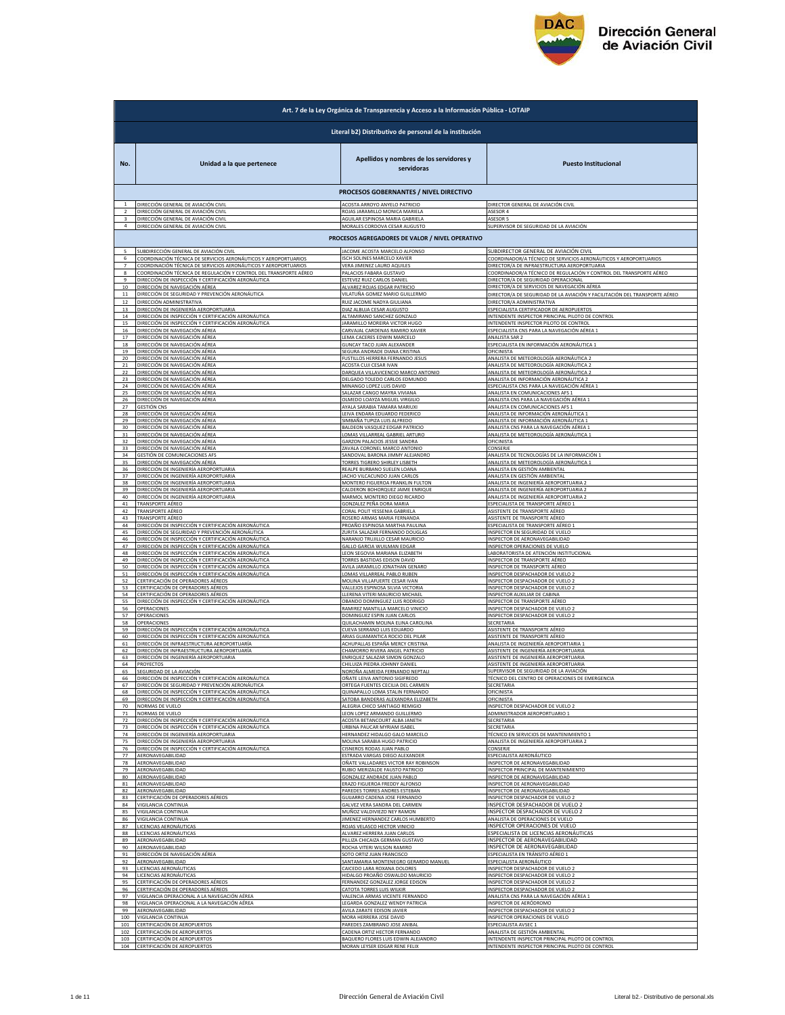

|                    | Art. 7 de la Ley Orgánica de Transparencia y Acceso a la Información Pública - LOTAIP                             |                                                                                                          |                                                                                                                           |  |  |
|--------------------|-------------------------------------------------------------------------------------------------------------------|----------------------------------------------------------------------------------------------------------|---------------------------------------------------------------------------------------------------------------------------|--|--|
|                    | Literal b2) Distributivo de personal de la institución                                                            |                                                                                                          |                                                                                                                           |  |  |
| No.                | Unidad a la que pertenece                                                                                         | Apellidos y nombres de los servidores y<br>servidoras                                                    | <b>Puesto Institucional</b>                                                                                               |  |  |
|                    |                                                                                                                   | PROCESOS GOBERNANTES / NIVEL DIRECTIVO                                                                   |                                                                                                                           |  |  |
| $\overline{ }$     | DIRECCIÓN GENERAL DE AVIACIÓN CIVIL                                                                               | ACOSTA ARROYO ANYELO PATRICIO                                                                            | DIRECTOR GENERAL DE AVIACIÓN CIVIL                                                                                        |  |  |
|                    | DIRECCIÓN GENERAL DE AVIACIÓN CIVIL                                                                               | ROJAS JARAMILLO MONICA MARIELA                                                                           | ASESOR 4                                                                                                                  |  |  |
|                    | DIRECCIÓN GENERAL DE AVIACIÓN CIVIL                                                                               | AGUILAR ESPINOSA MARIA GABRIELA                                                                          | ASESOR 5                                                                                                                  |  |  |
| $\overline{4}$     | DIRECCIÓN GENERAL DE AVIACIÓN CIVIL                                                                               | MORALES CORDOVA CESAR AUGUSTO                                                                            | SUPERVISOR DE SEGURIDAD DE LA AVIACIÓN.                                                                                   |  |  |
|                    | SUBDIRECCIÓN GENERAL DE AVIACIÓN CIVIL                                                                            | PROCESOS AGREGADORES DE VALOR / NIVEL OPERATIVO<br>JACOME ACOSTA MARCELO ALFONSO                         | IUBDIRECTOR GENERAL DE AVIACIÓN CIVIL                                                                                     |  |  |
|                    | COORDINACIÓN TÉCNICA DE SERVICIOS AERONÁUTICOS Y AEROPORTUARIOS                                                   | ISCH SOLINES MARCELO XAVIER                                                                              | COORDINADOR/A TÉCNICO DE SERVICIOS AERONÁUTICOS Y AEROPORTUARIOS                                                          |  |  |
|                    | COORDINACIÓN TÉCNICA DE SERVICIOS AERONÁUTICOS Y AEROPORTUARIOS                                                   | VERA JIMENEZ LAURO AQUILES                                                                               | DIRECTOR/A DE INFRAESTRUCTURA AEROPORTUARIA                                                                               |  |  |
| $\mathbf{R}$       | COORDINACIÓN TÉCNICA DE REGULACIÓN Y CONTROL DEL TRANSPORTE AÉREO                                                 | PALACIOS FABARA GUSTAVO                                                                                  | COORDINADOR/A TÉCNICO DE REGULACIÓN Y CONTROL DEL TRANSPORTE AÉREO                                                        |  |  |
| 9                  | DIRECCIÓN DE INSPECCIÓN Y CERTIFICACIÓN AERONÁUTICA                                                               | ESTEVEZ RUIZ CARLOS DANIEL                                                                               | DIRECTOR/A DE SEGURIDAD OPERACIONAL                                                                                       |  |  |
| 10<br>$11\,$<br>12 | DIRECCIÓN DE NAVEGACIÓN AÉREA<br>DIRECCIÓN DE SEGURIDAD Y PREVENCIÓN AERONÁUTICA<br>DIRECCIÓN ADMINISTRATIVA      | ALVAREZ ROJAS EDGAR PATRICIO<br>VILATUÑA GOMEZ MARIO GUILLERMO<br>RUIZ JACOME NADYA GIULIANA             | DIRECTOR/A DE SERVICIOS DE NAVEGACIÓN AÉREA<br>DIRECTOR/A DE SEGURIDAD DE LA AVIACIÓN Y FACILITACIÓN DEL TRANSPORTE AÉREO |  |  |
| 13<br>14           | DIRECCIÓN DE INGENIERÍA AEROPORTUARIA<br>DIRECCIÓN DE INSPECCIÓN Y CERTIFICACIÓN AERONÁUTICA                      | DIAZ ALBUJA CESAR AUGUSTO<br>ALTAMIRANO SANCHEZ GONZALO                                                  | DIRECTOR/A ADMINISTRATIVA<br>ESPECIALISTA CERTIFICADOR DE AEROPUERTOS<br>INTENDENTE INSPECTOR PRINCIPAL PILOTO DE CONTROL |  |  |
| 15                 | DIRECCIÓN DE INSPECCIÓN Y CERTIFICACIÓN AERONÁUTICA                                                               | JARAMILLO MOREIRA VICTOR HUGO                                                                            | INTENDENTE INSPECTOR PILOTO DE CONTROI                                                                                    |  |  |
| 16                 | DIRECCIÓN DE NAVEGACIÓN AÉREA                                                                                     | CARVAJAL CARDENAS RAMIRO XAVIER                                                                          | ESPECIALISTA CNS PARA LA NAVEGACIÓN AÉREA 1                                                                               |  |  |
| 17                 | DIRECCIÓN DE NAVEGACIÓN AÉREA                                                                                     | LEMA CACERES EDWIN MARCELO                                                                               | ANALISTA SAR 2                                                                                                            |  |  |
| 18                 | DIRECCIÓN DE NAVEGACIÓN AÉREA                                                                                     | GUNCAY TACO JUAN ALEXANDER                                                                               | ESPECIALISTA EN INFORMACIÓN AERONÁUTICA 1                                                                                 |  |  |
| 19                 | DIRECCIÓN DE NAVEGACIÓN AÉREA                                                                                     | SEGURA ANDRADE DIANA CRISTINA                                                                            | <b>DFICINISTA</b>                                                                                                         |  |  |
| 20                 | <u>DIRECCIÓN DE NAVEGACIÓN AÉREA</u>                                                                              | <b>FUSTILLOS HERRERA FERNANDO JESU:</b>                                                                  | ANALISTA DE METEOROLOGÍA AERONÁUTICA 2                                                                                    |  |  |
| 21                 | DIRECCIÓN DE NAVEGACIÓN AÉREA                                                                                     | ACOSTA CUJI CESAR IVAN                                                                                   | ANALISTA DE METEOROLOGÍA AERONÁUTICA 2                                                                                    |  |  |
| 22                 | DIRECCIÓN DE NAVEGACIÓN AÉREA                                                                                     | DARQUEA VILLAVICENCIO MARCO ANTONIO                                                                      | <u>ANALISTA DE METEOROLOGÍA AERONÁUTICA 2</u>                                                                             |  |  |
| 23                 | DIRECCIÓN DE NAVEGACIÓN AÉREA                                                                                     | DELGADO TOLEDO CARLOS EDMUNDO                                                                            | ANALISTA DE INFORMACIÓN AERONÁUTICA 2                                                                                     |  |  |
| 24                 | DIRECCIÓN DE NAVEGACIÓN AÉREA                                                                                     | MINANGO LOPEZ LUIS DAVID                                                                                 | ESPECIALISTA CNS PARA LA NAVEGACIÓN AÉREA 1                                                                               |  |  |
|                    | <u>DIRECCIÓN DE NAVEGACIÓN AÉREA</u>                                                                              | SALAZAR CANGO MAYRA VIVIAN                                                                               | ANALISTA EN COMUNICACIONES AFS :                                                                                          |  |  |
| 26                 | DIRECCIÓN DE NAVEGACIÓN AÉREA                                                                                     | OLMEDO LOAYZA MIGUEL VIRGILIO                                                                            | ANALISTA CNS PARA LA NAVEGACIÓN AÉREA 1                                                                                   |  |  |
| 27                 | <b>GESTIÓN CNS</b>                                                                                                | AYALA SARABIA TAMARA MARIUXI                                                                             | ANALISTA EN COMUNICACIONES AFS 1                                                                                          |  |  |
| 28                 | DIRECCIÓN DE NAVEGACIÓN AÉREA                                                                                     | LEIVA ENDARA EDUARDO FEDERICO                                                                            | ANALISTA DE INFORMACIÓN AERONÁUTICA 1                                                                                     |  |  |
| 29                 | DIRECCIÓN DE NAVEGACIÓN AÉREA                                                                                     | SIMBAÑA TUPIZA LUIS ALFREDO                                                                              | ANALISTA DE INFORMACIÓN AERONÁUTICA 1                                                                                     |  |  |
| 30                 | <u>DIRECCIÓN DE NAVEGACIÓN AÉREA</u>                                                                              | <b>BALDEON VASQUEZ EDGAR PATRICI</b>                                                                     | ANALISTA CNS PARA LA NAVEGACIÓN AÉRE                                                                                      |  |  |
| 31                 | DIRECCIÓN DE NAVEGACIÓN AÉREA                                                                                     | LOMAS VILLARREAL GABRIEL ARTURO                                                                          | ANALISTA DE METEOROLOGÍA AERONÁUTICA 1                                                                                    |  |  |
| 32                 | DIRECCIÓN DE NAVEGACIÓN AÉREA                                                                                     | GARZON PALACIOS JESSIE SANDRA                                                                            | OFICINISTA                                                                                                                |  |  |
| 33<br>34           | DIRECCIÓN DE NAVEGACIÓN AÉREA<br>GESTIÓN DE COMUNICACIONES AFS<br><u>DIRECCIÓN DE NAVEGACIÓN AÉREA</u>            | ZAVALA CORONEL MARCO ANTONIO<br>SANDOVAL BARONA JIMMY ALEJANDRO<br><b>TORRES TIGRERO SHIRLEY LISBETH</b> | CONSERJE<br>ANALISTA DE TECNOLOGÍAS DE LA INFORMACIÓN 1<br>ANALISTA DE METEOROLOGÍA AERONÁUTICA :                         |  |  |
| 36                 | DIRECCIÓN DE INGENIERÍA AEROPORTUARIA                                                                             | REALPE BURBANO SUELEN LOANA                                                                              | ANALISTA EN GESTIÓN AMBIENTAL                                                                                             |  |  |
| 37                 | DIRECCIÓN DE INGENIERÍA AEROPORTUARIA                                                                             | JACHO VILCACUNDO JUAN CARLOS                                                                             | <u>ANALISTA EN GESTIÓN AMBIENTAL</u>                                                                                      |  |  |
| 38                 | DIRECCIÓN DE INGENIERÍA AEROPORTUARIA                                                                             | MONTERO FIGUEROA FRANKLIN FULTON                                                                         | ANALISTA DE INGENIERÍA AEROPORTUARIA 2                                                                                    |  |  |
| 39                 | DIRECCIÓN DE INGENIERÍA AEROPORTUARIA                                                                             | CALDERON BOHORQUEZ JAIME ENRIQUE                                                                         | ANALISTA DE INGENIERÍA AEROPORTUARIA 2                                                                                    |  |  |
| 40                 | <u>DIRECCIÓN DE INGENIERÍA AEROPORTUARIA</u>                                                                      | MARMOL MONTERO DIEGO RICARDO                                                                             | ANALISTA DE INGENIERÍA AEROPORTUARIA 2                                                                                    |  |  |
| 41                 | <b>TRANSPORTE AÉREO</b>                                                                                           | GONZALEZ PEÑA DORA MARIA                                                                                 | ESPECIALISTA DE TRANSPORTE AÉREO 1                                                                                        |  |  |
| 42                 | TRANSPORTE AÉREO                                                                                                  | CORAL POLIT YESSENIA GABRIELA                                                                            | ASISTENTE DE TRANSPORTE AÉREO                                                                                             |  |  |
| 43                 | TRANSPORTE AÉREO                                                                                                  | ROSERO ARMAS MARIA FERNANDA                                                                              | ASISTENTE DE TRANSPORTE AÉREO                                                                                             |  |  |
| 44                 | DIRECCIÓN DE INSPECCIÓN Y CERTIFICACIÓN AERONÁUTICA                                                               | PROAÑO ESPINOSA MARTHA PAULINA                                                                           | ESPECIALISTA DE TRANSPORTE AÉREO 1                                                                                        |  |  |
| 45                 | <u>DIRECCIÓN DE SEGURIDAD Y PREVENCIÓN AERONÁUTICA</u>                                                            | ZURITA SALAZAR FERNANDO DOUGLAS                                                                          | INSPECTOR EN SEGURIDAD DE VUELO                                                                                           |  |  |
| 46                 | DIRECCIÓN DE INSPECCIÓN Y CERTIFICACIÓN AERONÁUTICA                                                               | NARANJO TRUJILLO CESAR MAURICIO                                                                          | INSPECTOR DE AERONAVEGABILIDAD                                                                                            |  |  |
| 47                 | DIRECCIÓN DE INSPECCIÓN Y CERTIFICACIÓN AERONÁUTICA                                                               | GALLO GARCIA WUILMAN EDGAR                                                                               | INSPECTOR OPERACIONES DE VUELO                                                                                            |  |  |
| 48                 | DIRECCIÓN DE INSPECCIÓN Y CERTIFICACIÓN AERONÁUTICA                                                               | LEON SEGOVIA MARIANA ELIZABETH                                                                           | LABORATORISTA DE ATENCIÓN INSTITUCIONAL                                                                                   |  |  |
| 49                 | DIRECCIÓN DE INSPECCIÓN Y CERTIFICACIÓN AERONÁUTICA                                                               | TORRES BASTIDAS EDISON DAVID                                                                             | INSPECTOR DE TRANSPORTE AÉREO                                                                                             |  |  |
| 50                 | DIRECCIÓN DE INSPECCIÓN Y CERTIFICACIÓN AERONÁUTICA                                                               | AVILA JARAMILLO JONATHAN GENARO                                                                          | <b>INSPECTOR DE TRANSPORTE AÉREO</b>                                                                                      |  |  |
| 51                 | DIRECCIÓN DE INSPECCIÓN Y CERTIFICACIÓN AERONÁUTICA                                                               | LOMAS VILLARREAL PABLO RUBEN                                                                             | INSPECTOR DESPACHADOR DE VUELO 2                                                                                          |  |  |
| 52                 | CERTIFICACIÓN DE OPERADORES AÉREOS                                                                                | MOLINA VILLAFUERTE CESAR IVAN                                                                            | INSPECTOR DESPACHADOR DE VUELO 2                                                                                          |  |  |
| 53                 | CERTIFICACIÓN DE OPERADORES AÉREOS                                                                                | VALLEJOS ESPINOSA SILVIA VICTORIA                                                                        | INSPECTOR DESPACHADOR DE VUELO 2                                                                                          |  |  |
| 54                 | CERTIFICACIÓN DE OPERADORES AÉREOS                                                                                | LLERENA VITERI MAURICIO MICHAEL                                                                          | INSPECTOR AUXILIAR DE CABINA                                                                                              |  |  |
| 55                 | DIRECCIÓN DE INSPECCIÓN Y CERTIFICACIÓN AERONÁUTICA                                                               | OBANDO DOMINGUEZ LUIS RODRIGO                                                                            | INSPECTOR DE TRANSPORTE AÉREO                                                                                             |  |  |
| 56                 | OPERACIONES                                                                                                       | RAMIREZ MANTILLA MARCELO VINICIO                                                                         | INSPECTOR DESPACHADOR DE VUELO :                                                                                          |  |  |
| 57                 | OPERACIONES                                                                                                       | DOMINGUEZ ESPIN JUAN CARLOS                                                                              | INSPECTOR DESPACHADOR DE VUELO 2                                                                                          |  |  |
| 58                 | OPERACIONES                                                                                                       | QUILACHAMIN MOLINA ELINA CAROLINA                                                                        | SECRETARIA                                                                                                                |  |  |
| 59                 | DIRECCIÓN DE INSPECCIÓN Y CERTIFICACIÓN AERONÁUTICA                                                               | CUEVA SERRANO LUIS EDUARDO                                                                               | ASISTENTE DE TRANSPORTE AÉREO                                                                                             |  |  |
| 60                 | DIRECCIÓN DE INSPECCIÓN Y CERTIFICACIÓN AERONÁUTICA                                                               | ARIAS GUAMANTICA ROCIO DEL PILAR                                                                         | ASISTENTE DE TRANSPORTE AÉREO                                                                                             |  |  |
| 61                 | DIRECCIÓN DE INFRAESTRUCTURA AEROPORTUARÍA                                                                        | <u>ACHUPALLAS ESPAÑA MERCY CRISTINA</u>                                                                  | ANALISTA DE INGENIERÍA AEROPORTIARIA 1                                                                                    |  |  |
| 62                 | DIRECCIÓN DE INFRAESTRUCTURA AEROPORTUARÍA                                                                        | CHAMORRO RIVERA ANGEL PATRICIO                                                                           | ASISTENTE DE INGENIERÍA AEROPORTUARIA                                                                                     |  |  |
| 63                 | DIRECCIÓN DE INGENIERÍA AEROPORTUARIA                                                                             | ENRIQUEZ SALAZAR SIMON GONZALO                                                                           | ASISTENTE DE INGENIERÍA AEROPORTUARIA                                                                                     |  |  |
| 64                 | <b>PROYECTOS</b>                                                                                                  | CHILUIZA PIEDRA JOHNNY DANIEL                                                                            | ASISTENTE DE INGENIERÍA AEROPORTUARIA                                                                                     |  |  |
| 65                 | SEGURIDAD DE LA AVIACIÓN                                                                                          | NOROÑA ALMEIDA FERNANDO NEPTALI                                                                          | SUPERVISOR DE SEGURIDAD DE LA AVIACIÓN                                                                                    |  |  |
| 66                 | DIRECCIÓN DE INSPECCIÓN Y CERTIFICACIÓN AERONÁUTICA                                                               | OÑATE LEIVA ANTONIO SIGIFREDO                                                                            | TÉCNICO DEL CENTRO DE OPERACIONES DE EMERGENCIA                                                                           |  |  |
| 67                 | DIRECCIÓN DE SEGURIDAD Y PREVENCIÓN AERONÁUTICA                                                                   | ORTEGA FUENTES CECILIA DEL CARMEN                                                                        | <b>SECRETARIA</b>                                                                                                         |  |  |
| 68                 | DIRECCIÓN DE INSPECCIÓN Y CERTIFICACIÓN AERONÁUTICA                                                               | OUINAPALLO LOMA STALIN FERNANDO                                                                          | OFICINISTA                                                                                                                |  |  |
| 69                 | DIRECCIÓN DE INSPECCIÓN Y CERTIFICACIÓN AERONÁUTICA                                                               | SATOBA BANDERAS ALEXANDRA ELIZABETH                                                                      | <b>OFICINISTA</b>                                                                                                         |  |  |
| 70                 | NORMAS DE VUELO                                                                                                   | ALEGRIA CHICO SANTIAGO REMIGIO                                                                           | INSPECTOR DESPACHADOR DE VUELO 2                                                                                          |  |  |
| 71                 | NORMAS DE VUELO                                                                                                   | LEON LOPEZ ARMANDO GUILLERMO                                                                             | ADMINISTRADOR AEROPORTUARIO 1                                                                                             |  |  |
| 72                 | DIRECCIÓN DE INSPECCIÓN Y CERTIFICACIÓN AERONÁUTICA                                                               | ACOSTA BETANCOURT ALBA JANETH                                                                            | ECRETARIA                                                                                                                 |  |  |
| 73<br>74<br>75     | DIRECCIÓN DE INSPECCIÓN Y CERTIFICACIÓN AERONÁUTICA<br>DIRECCIÓN DE INGENIERÍA AEROPORTUARIA                      | <b>URBINA PAUCAR MYRIAM ISABEL</b><br>HERNANDEZ HIDALGO GALO MARCELO<br>MOLINA SARABIA HUGO PATRICIO     | SECRETARIA<br>TÉCNICO EN SERVICIOS DE MANTENIMIENTO 1<br>ANALISTA DE INGENIERÍA AEROPORTUARIA 2                           |  |  |
| 76<br>77           | DIRECCIÓN DE INGENIERÍA AEROPORTUARIA<br>DIRECCIÓN DE INSPECCIÓN Y CERTIFICACIÓN AERONÁUTICA<br>AERONAVEGABILIDAD | CISNEROS RODAS JUAN PABLO<br>ESTRADA VARGAS DIEGO ALEXANDER                                              | CONSERJE<br>ESPECIALISTA AERONÁUTICO                                                                                      |  |  |
| 78                 | AERONAVEGABILIDAD                                                                                                 | OÑATE VALLADARES VICTOR RAY ROBINSON                                                                     | NSPECTOR DE AERONAVEGABILIDAD                                                                                             |  |  |
| 79                 | AERONAVEGABILIDAD                                                                                                 | RUBIO MERIZALDE FAUSTO PATRICIO                                                                          | INSPECTOR PRINCIPAL DE MANTENIMIENTO                                                                                      |  |  |
| 80                 | AERONAVEGABILIDAD                                                                                                 | GONZALEZ ANDRADE JUAN PABLO                                                                              | INSPECTOR DE AERONAVEGABILIDAD                                                                                            |  |  |
| 81                 | AERONAVEGABILIDAD                                                                                                 | ERAZO FIGUEROA FREDDY ALFONSO                                                                            | INSPECTOR DE AERONAVEGABILIDAD                                                                                            |  |  |
| 82                 | AERONAVEGABILIDAD                                                                                                 | PAREDES TORRES ANDRES ESTEBAN                                                                            | INSPECTOR DE AERONAVEGABILIDAD                                                                                            |  |  |
| 83                 | CERTIFICACIÓN DE OPERADORES AÉREOS                                                                                | GUIJARRO CADENA JOSE FERNANDO                                                                            | NSPECTOR DESPACHADOR DE VUELO 2                                                                                           |  |  |
| 84                 | VIGILANCIA CONTINUA                                                                                               | GALVEZ VERA SANDRA DEL CARMEN                                                                            | INSPECTOR DESPACHADOR DE VUELO 2                                                                                          |  |  |
| 85                 | VIGILANCIA CONTINUA                                                                                               | MUÑOZ VALDIVIEZO NEY RAMON                                                                               | INSPECTOR DESPACHADOR DE VUELO 2                                                                                          |  |  |
| 86                 | VIGILANCIA CONTINUA                                                                                               | JIMENEZ HERNANDEZ CARLOS HUMBERTO                                                                        | ANALISTA DE OPERACIONES DE VUELO                                                                                          |  |  |
| 87                 | LICENCIAS AERONÁUTICAS                                                                                            | ROJAS VELASCO HECTOR VINICIO                                                                             | INSPECTOR OPERACIONES DE VUELO                                                                                            |  |  |
| 88                 | LICENCIAS AERONÁUTICAS                                                                                            | ALVAREZ HERRERA JUAN CARLOS                                                                              | ESPECIALISTA DE LICENCIAS AERONÁUTICAS                                                                                    |  |  |
| 89                 | AERONAVEGABILIDAD                                                                                                 | PILLIZA CHICAIZA GERMAN GUSTAVO                                                                          | INSPECTOR DE AERONAVEGABILIDAD                                                                                            |  |  |
| 90                 | AERONAVEGABILIDAD                                                                                                 | ROCHA VITERI WILSON RAMIRO                                                                               | INSPECTOR DE AERONAVEGABILIDAD                                                                                            |  |  |
| 91                 | DIRECCIÓN DE NAVEGACIÓN AÉREA                                                                                     | SOTO ORTIZ JUAN FRANCISCO                                                                                | ESPECIALISTA EN TRÁNSITO AÉREO 1                                                                                          |  |  |
| 97                 | AERONAVEGABILIDAD                                                                                                 | SANTAMARIA MONTENEGRO GERARDO MANUEL                                                                     | ESPECIALISTA AERONÁUTICO                                                                                                  |  |  |
| 93                 | LICENCIAS AERONÁUTICAS                                                                                            | CAICEDO LARA ROXANA DOLORES                                                                              | INSPECTOR DESPACHADOR DE VUELO 2                                                                                          |  |  |
| 94                 | LICENCIAS AERONÁUTICAS                                                                                            | HIDALGO PROAÑO OSWALDO MAURICIO                                                                          | INSPECTOR DESPACHADOR DE VUELO 2                                                                                          |  |  |
| 95                 | CERTIFICACIÓN DE OPERADORES AÉREOS                                                                                | FERNANDEZ GONZALEZ JORGE EDISON                                                                          | INSPECTOR DESPACHADOR DE VUELO 2                                                                                          |  |  |
| 96                 | CERTIFICACIÓN DE OPERADORES AÉREOS                                                                                | CATOTA TORRES LUIS WILKIR                                                                                | INSPECTOR DESPACHADOR DE VUELO 2                                                                                          |  |  |
| 97                 | VIGILANCIA OPERACIONAL A LA NAVEGACIÓN AÉREA                                                                      | VALENCIA ARMAS VICENTE FERNANDO                                                                          | ANALISTA CNS PARA LA NAVEGACIÓN AÉREA 1                                                                                   |  |  |
| 98                 | VIGILANCIA OPERACIONAL A LA NAVEGACIÓN AÉREA                                                                      | LEGARDA GONZALEZ WENDY PATRICIA                                                                          | INSPECTOR DE AERÓDROMO                                                                                                    |  |  |
| 99                 | AERONAVEGABILIDAD                                                                                                 | AVILA ZARATE EDISON JAVIER                                                                               | INSPECTOR DESPACHADOR DE VUELO 2                                                                                          |  |  |
| 100                | VIGILANCIA CONTINUA                                                                                               | MORA HERRERA JOSE DAVID                                                                                  | INSPECTOR OPERACIONES DE VUELO                                                                                            |  |  |
| 101                | CERTIFICACIÓN DE AEROPUERTOS                                                                                      | PAREDES ZAMBRANO JOSE ANIBAL                                                                             | ESPECIALISTA AVSEC 1                                                                                                      |  |  |
| 102                | CERTIFICACIÓN DE AEROPUERTOS                                                                                      | CADENA ORTIZ HECTOR FERNANDO                                                                             | ANALISTA DE GESTIÓN AMBIENTAL                                                                                             |  |  |
| 103                | CERTIFICACIÓN DE AEROPUERTOS                                                                                      | BAQUERO FLORES LUIS EDWIN ALEJANDRO                                                                      | INTENDENTE INSPECTOR PRINCIPAL PILOTO DE CONTROL                                                                          |  |  |
| 104                | CERTIFICACIÓN DE AEROPUERTOS                                                                                      | MORAN LEYSER EDGAR RENE FELIX                                                                            | INTENDENTE INSPECTOR PRINCIPAL PILOTO DE CONTROL                                                                          |  |  |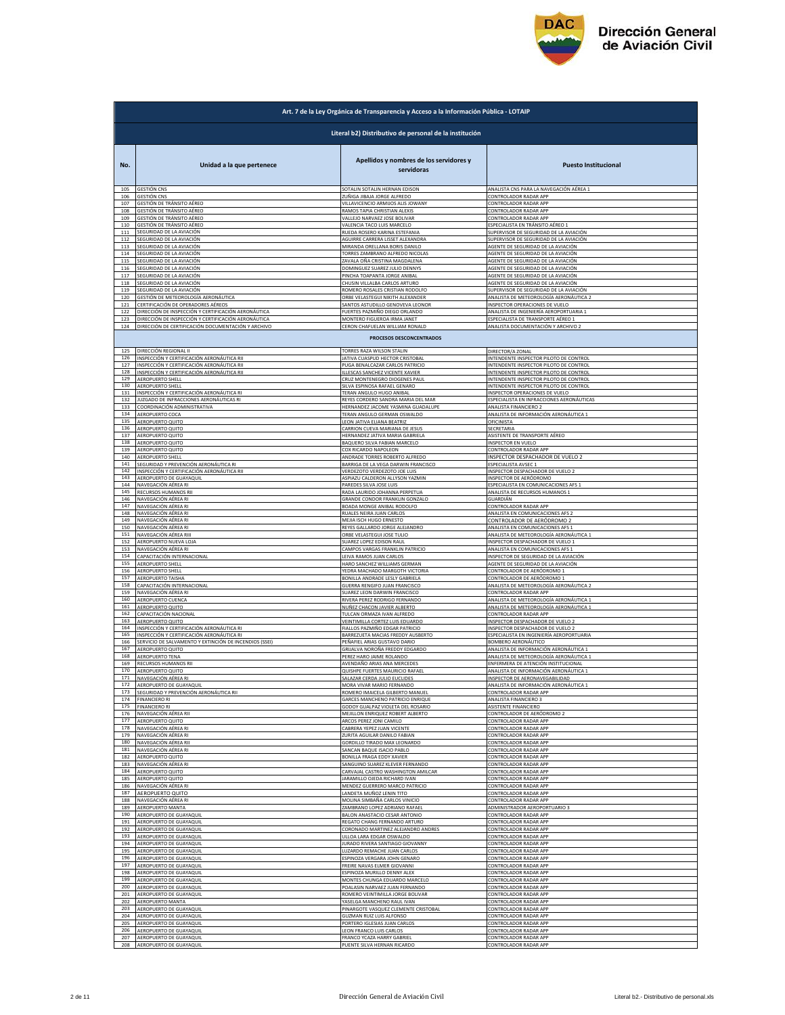

|            | Art. 7 de la Ley Orgánica de Transparencia y Acceso a la Información Pública - LOTAIP                     |                                                                   |                                                                      |  |
|------------|-----------------------------------------------------------------------------------------------------------|-------------------------------------------------------------------|----------------------------------------------------------------------|--|
|            | Literal b2) Distributivo de personal de la institución                                                    |                                                                   |                                                                      |  |
| No.        | Unidad a la que pertenece                                                                                 | Apellidos y nombres de los servidores y<br>servidoras             | <b>Puesto Institucional</b>                                          |  |
| 105        | <b>GESTIÓN CNS</b>                                                                                        | SOTALIN SOTALIN HERNAN EDISON                                     | ANALISTA CNS PARA LA NAVEGACIÓN AÉREA 1                              |  |
| 106        | <b>GESTIÓN CNS</b>                                                                                        | ZUÑIGA JIBAJA JORGE ALFREDO                                       | CONTROLADOR RADAR APP                                                |  |
| 107        | GESTIÓN DE TRÁNSITO AÉREO                                                                                 | VILLAVICENCIO ARMIJOS ALIS JOWANY                                 | CONTROLADOR RADAR APP                                                |  |
| 108        | GESTIÓN DE TRÁNSITO AÉREO                                                                                 | RAMOS TAPIA CHRISTIAN ALEXIS                                      | CONTROLADOR RADAR APP                                                |  |
| 109        | GESTIÓN DE TRÁNSITO AÉREO                                                                                 | VALLEJO NARVAEZ JOSE BOLIVAR                                      | CONTROLADOR RADAR APP                                                |  |
| 110        | GESTIÓN DE TRÁNSITO AÉREO                                                                                 | VALENCIA TACO LUIS MARCELO                                        | ESPECIALISTA EN TRÁNSITO AÉREO 1                                     |  |
| 111        | SEGURIDAD DE LA AVIACIÓN                                                                                  | RUEDA ROSERO KARINA ESTEFANIA                                     | SUPERVISOR DE SEGURIDAD DE LA AVIACIÓN                               |  |
| 112        | SEGURIDAD DE LA AVIACIÓN                                                                                  | AGUIRRE CARRERA LISSET ALEXANDRA                                  | SUPERVISOR DE SEGURIDAD DE LA AVIACIÓN                               |  |
| 113        | SEGURIDAD DE LA AVIACIÓN                                                                                  | MIRANDA ORELLANA BORIS DANILO                                     | AGENTE DE SEGURIDAD DE LA AVIACIÓN                                   |  |
| 114        | SEGURIDAD DE LA AVIACIÓN                                                                                  | TORRES ZAMBRANO ALFREDO NICOLAS                                   | AGENTE DE SEGURIDAD DE LA AVIACIÓN                                   |  |
| 115        | SEGURIDAD DE LA AVIACIÓN                                                                                  | ZAVALA OÑA CRISTINA MAGDALENA                                     | AGENTE DE SEGURIDAD DE LA AVIACIÓN                                   |  |
| 116        | SEGURIDAD DE LA AVIACIÓN                                                                                  | DOMINGUEZ SUAREZ JULIO DENNYS                                     | AGENTE DE SEGURIDAD DE LA AVIACIÓN                                   |  |
| 117        | SEGURIDAD DE LA AVIACIÓN                                                                                  | PINCHA TOAPANTA JORGE ANIBAL                                      | AGENTE DE SEGURIDAD DE LA AVIACIÓN                                   |  |
| 118        | SEGURIDAD DE LA AVIACIÓN                                                                                  | CHUSIN VILLALBA CARLOS ARTURO                                     | AGENTE DE SEGURIDAD DE LA AVIACIÓN                                   |  |
| 119        | SEGURIDAD DE LA AVIACIÓN                                                                                  | ROMERO ROSALES CRISTIAN RODOLFO                                   | SUPERVISOR DE SEGURIDAD DE LA AVIACIÓN                               |  |
| 120        | GESTIÓN DE METEOROLOGÍA AERONÁUTICA                                                                       | ORBE VELASTEGUI NIKITH ALEXANDER                                  | ANALISTA DE METEOROLOGÍA AERONÁUTICA 2                               |  |
| 121        | CERTIFICACIÓN DE OPERADORES AÉREOS                                                                        | SANTOS ASTUDILLO GENOVEVA LEONOR                                  | INSPECTOR OPERACIONES DE VUELO                                       |  |
| 122        | DIRECCIÓN DE INSPECCIÓN Y CERTIFICACIÓN AERONÁUTICA                                                       | FUERTES PAZMIÑO DIEGO ORLANDO                                     | ANALISTA DE INGENIERÍA AEROPORTUARIA 1                               |  |
| 123        | DIRECCIÓN DE INSPECCIÓN Y CERTIFICACIÓN AERONÁUTICA                                                       | MONTERO FIGUEROA IRMA JANET                                       | ESPECIALISTA DE TRANSPORTE AÉREO 1                                   |  |
| 124        | DIRECCIÓN DE CERTIFICACIÓN DOCUMENTACIÓN Y ARCHIVO                                                        | CERON CHAFUELAN WILLIAM RONALD                                    | ANALISTA DOCUMENTACIÓN Y ARCHIVO 2                                   |  |
|            |                                                                                                           | PROCESOS DESCONCENTRADOS                                          |                                                                      |  |
| 125        | DIRECCIÓN REGIONAL II                                                                                     | TORRES RAZA WILSON STALIN                                         | DIRECTOR/A ZONAL                                                     |  |
| 126        | INSPECCIÓN Y CERTIFICACIÓN AERONÁUTICA RII                                                                | JATIVA CUASPUD HECTOR CRISTOBAL                                   | INTENDENTE INSPECTOR PILOTO DE CONTROI                               |  |
| 127        | INSPECCIÓN Y CERTIFICACIÓN AERONÁUTICA RII                                                                | PUGA BENALCAZAR CARLOS PATRICIO                                   | INTENDENTE INSPECTOR PILOTO DE CONTROL                               |  |
| 128        | INSPECCIÓN Y CERTIFICACIÓN AERONÁUTICA RIL                                                                | ILLESCAS SANCHEZ VICENTE XAVIER                                   | INTENDENTE INSPECTOR PILOTO DE CONTROL                               |  |
| 129        | AEROPUERTO SHELL                                                                                          | CRUZ MONTENEGRO DIOGENES PAUL                                     | INTENDENTE INSPECTOR PILOTO DE CONTROL                               |  |
| 130        | <b>AEROPUERTO SHELL</b>                                                                                   | SILVA ESPINOSA RAFAEL GENARO                                      | INTENDENTE INSPECTOR PILOTO DE CONTROL                               |  |
| 131        | INSPECCIÓN Y CERTIFICACIÓN AERONÁUTICA RI                                                                 | TERAN ANGULO HUGO ANIBAL                                          | INSPECTOR OPERACIONES DE VUELO                                       |  |
| 132        | JUZGADO DE INFRACCIONES AERONÁUTICAS RI                                                                   | REYES CORDERO SANDRA MARIA DEL MAR                                | ESPECIALISTA EN INFRACCIONES AERONÁUTICAS                            |  |
| 133        | COORDINACIÓN ADMINISTRATIVA                                                                               | HERNANDEZ JACOME YASMINA GUADALUPE                                | ANALISTA FINANCIERO 2                                                |  |
| 134        | AEROPUERTO COCA                                                                                           | TERAN ANGULO GERMAN OSWALDO                                       | ANALISTA DE INFORMACIÓN AERONÁUTICA 1                                |  |
| 135        | <b>AEROPUERTO QUITO</b>                                                                                   | LEON JATIVA ELIANA BEATRIZ                                        | OFICINISTA                                                           |  |
| 136        | AEROPUERTO QUITO                                                                                          | CARRION CUEVA MARIANA DE JESUS                                    | SECRETARIA                                                           |  |
| 137        | AEROPUERTO QUITO                                                                                          | HERNANDEZ JATIVA MARIA GABRIELA                                   | ASISTENTE DE TRANSPORTE AÉREO                                        |  |
| 138        | AFROPUFRTO OUITO                                                                                          | BAQUERO SILVA FABIAN MARCELO                                      | INSPECTOR EN VUELO                                                   |  |
| 139        | AEROPUERTO QUITO                                                                                          | COX RICARDO NAPOLEON                                              | CONTROLADOR RADAR APP                                                |  |
| 140        | AEROPUERTO SHELL                                                                                          | ANDRADE TORRES ROBERTO ALFREDO                                    | INSPECTOR DESPACHADOR DE VUELO 2                                     |  |
| 141        | SEGURIDAD Y PREVENCIÓN AERONÁUTICA RI                                                                     | BARRIGA DE LA VEGA DARWIN FRANCISCO                               | ESPECIALISTA AVSEC 1                                                 |  |
| 142        | <u>NSPECCIÓN Y CERTIFICACIÓN AERONÁUTICA RII</u>                                                          | VERDEZOTO VERDEZOTO JOE LUIS                                      | INSPECTOR DESPACHADOR DE VUELO 2                                     |  |
| 143        | AEROPUERTO DE GUAYAQUIL                                                                                   | ASPIAZU CALDERON ALLYSON YAZMIN                                   | INSPECTOR DE AERÓDROMO                                               |  |
| 144        | NAVEGACIÓN AÉREA RI                                                                                       | PAREDES SILVA JOSE LUIS                                           | ESPECIALISTA EN COMUNICACIONES AFS 1                                 |  |
| 145<br>146 | RECURSOS HUMANOS RII                                                                                      | RADA LAURIDO JOHANNA PERPETUA                                     | ANALISTA DE RECURSOS HUMANOS 1                                       |  |
| 147        | NAVEGACIÓN AÉREA RI                                                                                       | GRANDE CONDOR FRANKLIN GONZALO                                    | GUARDIÁN                                                             |  |
|            | NAVEGACIÓN AÉREA RI                                                                                       | BOADA MONGE ANIBAL RODOLFO                                        | CONTROLADOR RADAR APP                                                |  |
| 148        | NAVEGACIÓN AÉREA RI                                                                                       | RUALES NEIRA JUAN CARLOS                                          | ANALISTA EN COMUNICACIONES AFS 2                                     |  |
| 149        | NAVEGACIÓN AÉREA RI                                                                                       | MEJIA ISCH HUGO ERNESTO                                           | CONTROLADOR DE AERÓDROMO 2                                           |  |
| 150        | NAVEGACIÓN AÉREA RI                                                                                       | REYES GALLARDO JORGE ALEJANDRO                                    | ANALISTA EN COMUNICACIONES AFS 1                                     |  |
| 151        | NAVEGACIÓN AÉREA RIII                                                                                     | ORBE VELASTEGUI JOSE TULIO                                        | ANALISTA DE METEOROLOGÍA AERONÁUTICA 1                               |  |
| 152        | AEROPUERTO NUEVA LOJA                                                                                     | SUAREZ LOPEZ EDISON RAUL                                          | INSPECTOR DESPACHADOR DE VUELO 1                                     |  |
| 153        | NAVEGACIÓN AÉREA RI                                                                                       | CAMPOS VARGAS FRANKLIN PATRICIO                                   | ANALISTA EN COMUNICACIONES AFS 1                                     |  |
| 154        | CAPACITACIÓN INTERNACIONAL                                                                                | LEIVA RAMOS JUAN CARLOS                                           | INSPECTOR DE SEGURIDAD DE LA AVIACIÓN                                |  |
| 155        | AEROPUERTO SHELL                                                                                          | HARO SANCHEZ WILLIAMS GERMAN                                      | AGENTE DE SEGURIDAD DE LA AVIACIÓN                                   |  |
| 156        | AEROPUERTO SHELL                                                                                          | YEDRA MACHADO MARGOTH VICTORIA                                    | CONTROLADOR DE AERÓDROMO 1                                           |  |
| 157        | AEROPUERTO TAISHA                                                                                         | BONILLA ANDRADE LESLY GABRIELA                                    | CONTROLADOR DE AERÓDROMO 1                                           |  |
| 158        | CAPACITACIÓN INTERNACIONAL                                                                                | GUERRA RENGIFO JUAN FRANCISCO                                     | ANALISTA DE METEOROLOGÍA AERONÁUTICA 2                               |  |
| 159        | NAVEGACIÓN AÉREA RI                                                                                       | SUAREZ LEON DARWIN FRANCISCO                                      | CONTROLADOR RADAR APP                                                |  |
| 160        | AEROPUERTO CUENCA                                                                                         | RIVERA PEREZ RODRIGO FERNANDO                                     | ANALISTA DE METEOROLOGÍA AERONÁUTICA 1                               |  |
| 161        | AEROPUERTO QUITO                                                                                          | NUÑEZ CHACON JAVIER ALBERTO                                       | ANALISTA DE METEOROLOGÍA AERONÁUTICA 1                               |  |
| 162<br>163 | CAPACITACIÓN NACIONAL                                                                                     | TULCAN ORMAZA IVAN ALFREDO                                        | CONTROLADOR RADAR APP                                                |  |
| 164<br>165 | AEROPUERTO QUITO<br>INSPECCIÓN Y CERTIFICACIÓN AERONÁUTICA RI<br>INSPECCIÓN Y CERTIFICACIÓN AERONÁUTICA R | VEINTIMILLA CORTEZ LUIS EDUARDO<br>FIALLOS PAZMIÑO EDGAR PATRICIO | INSPECTOR DESPACHADOR DE VUELO 2<br>INSPECTOR DESPACHADOR DE VUELO 2 |  |
| 166        | SERVICIO DE SALVAMENTO Y EXTINCIÓN DE INCENDIOS (SSEI)                                                    | BARREZUETA MACIAS FREDDY AUSBERTO<br>PEÑAFIEL ARIAS GUSTAVO DARIO | ESPECIALISTA EN INGENIERÍA AEROPORTUARIA<br>BOMBERO AERONÁUTICO      |  |
| 167        | AEROPUERTO QUITO                                                                                          | GRIJALVA NOROÑA FREDDY EDGARDO                                    | ANALISTA DE INFORMACIÓN AERONÁUTICA 1                                |  |
| 168        | AEROPUERTO TENA                                                                                           | PEREZ HARO JAIME ROLANDO                                          | ANALISTA DE METEOROLOGÍA AERONÁUTICA 1                               |  |
| 169        | RECURSOS HUMANOS RII                                                                                      | AVENDAÑO ARIAS ANA MERCEDES                                       | ENFERMERA DE ATENCIÓN INSTITUCIONAL<br>INIEOPMACIÓN AEE              |  |
| 171        | NAVEGACIÓN AÉREA RI                                                                                       | SALAZAR CERDA JULIO EUCLIDES                                      | INSPECTOR DE AERONAVEGABILIDAD                                       |  |
| 172        | AEROPUERTO DE GUAYAQUII                                                                                   | MORA VIVAR MARIO FERNANDO                                         | ANALISTA DE INFORMACIÓN AERONÁUTICA 1                                |  |
| 173        | SEGURIDAD Y PREVENCIÓN AERONÁUTICA RII                                                                    | ROMERO IMAICELA GILBERTO MANUEL                                   | CONTROLADOR RADAR APP                                                |  |
| 174        | <b>FINANCIERO RI</b>                                                                                      | GARCES MANCHENO PATRICIO ENRIQUE                                  | ANALISTA FINANCIERO 3                                                |  |
| 175        | <b>FINANCIERO RI</b>                                                                                      | GODOY GUALPAZ VIOLETA DEL ROSARIO                                 | <b>ASISTENTE FINANCIERO</b>                                          |  |
| 176        | NAVEGACIÓN AÉREA RII                                                                                      | MEJILLON ENRIQUEZ ROBERT ALBERTO                                  | CONTROLADOR DE AERÓDROMO 2                                           |  |
| 177        | AEROPUERTO QUITO                                                                                          | ARCOS PEREZ JONI CAMILO                                           | CONTROLADOR RADAR APP                                                |  |
| 178        | NAVEGACIÓN AÉREA RI                                                                                       | CABRERA YEPEZ JUAN VICENTE                                        | CONTROLADOR RADAR APP                                                |  |
| 179        | NAVEGACIÓN AÉREA RI                                                                                       | ZURITA AGUILAR DANILO FABIAN                                      | CONTROLADOR RADAR APP                                                |  |
| 180        | NAVEGACIÓN AÉREA RII                                                                                      | GORDILLO TIRADO MAX LEONARDO                                      | CONTROLADOR RADAR APP                                                |  |
| 181        | NAVEGACIÓN AÉREA RI                                                                                       | SANCAN BAQUE ISACIO PABLO                                         | CONTROLADOR RADAR APP                                                |  |
| 182        | AEROPUERTO QUITO                                                                                          | BONILLA FRAGA EDDY XAVIER                                         | CONTROLADOR RADAR APP                                                |  |
| 183        | NAVEGACIÓN AÉREA RI                                                                                       | SANGUINO SUAREZ KLEVER FERNANDO                                   | CONTROLADOR RADAR APP                                                |  |
| 184        | AEROPUERTO QUITO                                                                                          | CARVAJAL CASTRO WASHINGTON AMILCAR                                | CONTROLADOR RADAR APP                                                |  |
| 185        | <b>AEROPUERTO QUITO</b>                                                                                   | JARAMILLO OJEDA RICHARD IVAN                                      | CONTROLADOR RADAR APP                                                |  |
| 186        | NAVEGACIÓN AÉREA RI                                                                                       | MENDEZ GUERRERO MARCO PATRICIO                                    | CONTROLADOR RADAR APP                                                |  |
| 187        | AEROPUERTO QUITO                                                                                          | LANDETA MUÑOZ LENIN TITO                                          | CONTROLADOR RADAR APP                                                |  |
| 188        | NAVEGACIÓN AÉREA RI                                                                                       | MOLINA SIMBAÑA CARLOS VINICIO                                     | CONTROLADOR RADAR APP                                                |  |
| 189        | AEROPUERTO MANTA                                                                                          | ZAMBRANO LOPEZ ADRIANO RAFAEL                                     | ADMINISTRADOR AEROPORTUARIO 3                                        |  |
| 190        | AEROPUERTO DE GUAYAQUIL                                                                                   | BALON ANASTACIO CESAR ANTONIO                                     | CONTROLADOR RADAR APP                                                |  |
| 191        | AEROPUERTO DE GUAYAQUIL                                                                                   | REGATO CHANG FERNANDO ARTURO                                      | CONTROLADOR RADAR APP                                                |  |
| 192        | AEROPUERTO DE GUAYAQUIL                                                                                   | CORONADO MARTINEZ ALEJANDRO ANDRES                                | CONTROLADOR RADAR APP                                                |  |
| 193        | AEROPUERTO DE GUAYAQUIL                                                                                   | ULLOA LARA EDGAR OSWALDO                                          | CONTROLADOR RADAR APP                                                |  |
| 194        | AEROPUERTO DE GUAYAQUIL                                                                                   | JURADO RIVERA SANTIAGO GIOVANNY                                   | CONTROLADOR RADAR APP                                                |  |
| 195        | AEROPUERTO DE GUAYAQUIL                                                                                   | LUZARDO REMACHE JUAN CARLOS                                       | CONTROLADOR RADAR APP                                                |  |
| 196        | AEROPUERTO DE GUAYAQUIL                                                                                   | ESPINOZA VERGARA JOHN GENARO                                      | CONTROLADOR RADAR APP                                                |  |
| 197        | AEROPUERTO DE GUAYAQUIL                                                                                   | FREIRE NAVAS ELMER GIOVANNI                                       | CONTROLADOR RADAR APP                                                |  |
| 198        | AEROPUERTO DE GUAYAQUIL                                                                                   | ESPINOZA MURILLO DENNY ALEX                                       | CONTROLADOR RADAR APP                                                |  |
| 199        | AEROPUERTO DE GUAYAQUIL                                                                                   | MONTES CHUNGA EDUARDO MARCELO                                     | CONTROLADOR RADAR APP                                                |  |
| 200        | AEROPUERTO DE GUAYAQUIL                                                                                   | POALASIN NARVAEZ JUAN FERNANDO                                    | CONTROLADOR RADAR APP                                                |  |
| 201        | AEROPUERTO DE GUAYAQUIL                                                                                   | ROMERO VEINTIMILLA JORGE BOLIVAR                                  | CONTROLADOR RADAR APP                                                |  |
| 202        | AEROPUERTO MANTA                                                                                          | YASELGA MANCHENO RAUL IVAN                                        | CONTROLADOR RADAR APP                                                |  |
| 203        | AEROPUERTO DE GUAYAQUIL                                                                                   | PINARGOTE VASQUEZ CLEMENTE CRISTOBAL                              | CONTROLADOR RADAR APP                                                |  |
| 204        | AEROPUERTO DE GUAYAQUIL                                                                                   | <b>GUZMAN RUIZ LUIS ALFONSO</b>                                   | CONTROLADOR RADAR APP                                                |  |
| 205        | AEROPUERTO DE GUAYAQUIL                                                                                   | PORTERO IGLESIAS JUAN CARLOS                                      | CONTROLADOR RADAR APP                                                |  |
| 206        | AEROPUERTO DE GUAYAQUIL                                                                                   | LEON FRANCO LUIS CARLOS                                           | CONTROLADOR RADAR APP                                                |  |
| 207        | AEROPUERTO DE GUAYAQUIL                                                                                   | FRANCO YCAZA HARRY GABRIEL                                        | CONTROLADOR RADAR APP                                                |  |
| 208        | AEROPUERTO DE GUAYAQUIL                                                                                   | PUENTE SILVA HERNAN RICARDO                                       | CONTROLADOR RADAR APP                                                |  |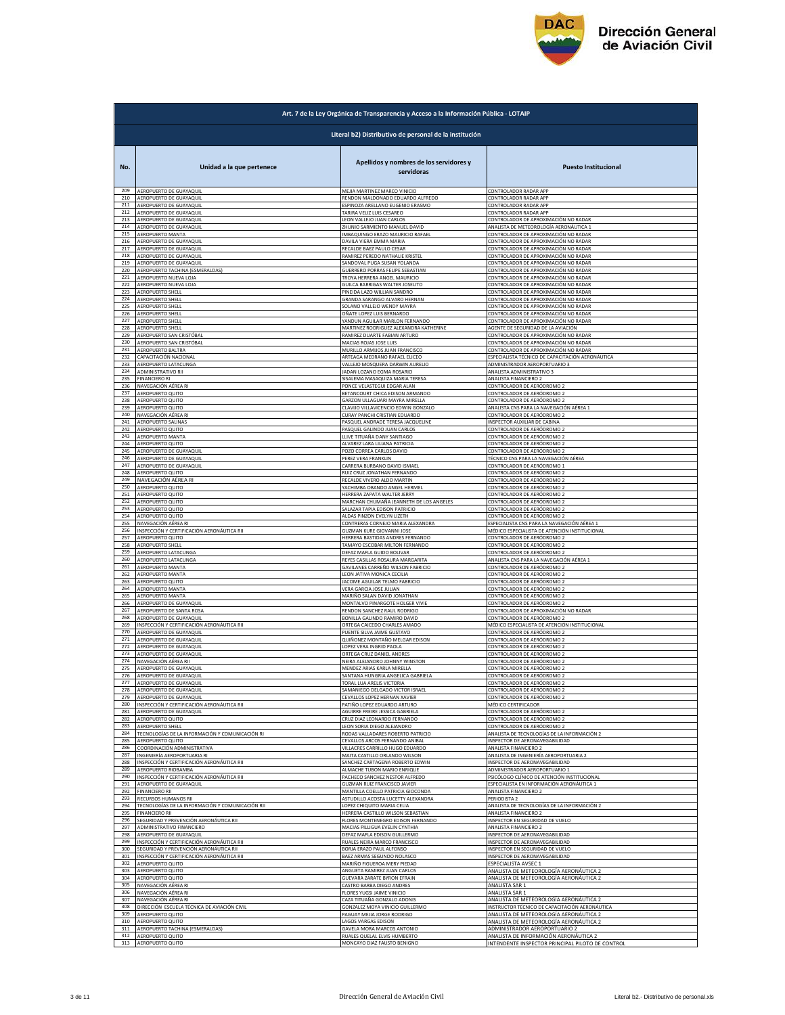

|            | Art. 7 de la Ley Orgánica de Transparencia y Acceso a la Información Pública - LOTAIP |                                                                        |                                                            |  |
|------------|---------------------------------------------------------------------------------------|------------------------------------------------------------------------|------------------------------------------------------------|--|
|            | Literal b2) Distributivo de personal de la institución                                |                                                                        |                                                            |  |
| No.        | Unidad a la que pertenece                                                             | Apellidos y nombres de los servidores y<br>servidoras                  | <b>Puesto Institucional</b>                                |  |
| 209        | AEROPUERTO DE GUAYAQUIL                                                               | MEJIA MARTINEZ MARCO VINICIO                                           | CONTROLADOR RADAR APP                                      |  |
| 210        | AEROPUERTO DE GUAYAQUIL                                                               | RENDON MALDONADO EDUARDO ALFREDO                                       | CONTROLADOR RADAR APP                                      |  |
| 211        | AEROPUERTO DE GUAYAQUIL                                                               | ESPINOZA ARELLANO EUGENIO ERASMO                                       | CONTROLADOR RADAR APP                                      |  |
| 212        | AEROPUERTO DE GUAYAQUIL                                                               | TARIRA VELIZ LUIS CESAREO                                              | CONTROLADOR RADAR APP                                      |  |
| 213        | AEROPUERTO DE GUAYAQUIL                                                               | LEON VALLEJO JUAN CARLOS                                               | CONTROLADOR DE APROXIMACIÓN NO RADAR                       |  |
| 214        | AEROPUERTO DE GUAYAQUIL                                                               | ZHUNIO SARMIENTO MANUEL DAVID                                          | ANALISTA DE METEOROLOGÍA AERONÁUTICA 1                     |  |
| 215        | AEROPUERTO MANTA                                                                      | IMBAQUINGO ERAZO MAURICIO RAFAEL                                       | CONTROLADOR DE APROXIMACIÓN NO RADAF                       |  |
| 216        | AEROPUERTO DE GUAYAQUII                                                               | DAVILA VIERA EMMA MARIA                                                | <u>CONTROLADOR DE APROXIMACIÓN NO RADAR</u>                |  |
| 217        | AFROPUERTO DE GUAYAQUII                                                               | RECALDE BAEZ PAULO CESAR                                               | CONTROLADOR DE APROXIMACIÓN NO RADAR                       |  |
| 218        | AEROPUERTO DE GUAYAQUIL                                                               | RAMIREZ PEREDO NATHALIE KRISTEL                                        | CONTROLADOR DE APROXIMACIÓN NO RADAR                       |  |
| 219        | AEROPUERTO DE GUAYAQUIL                                                               | SANDOVAL PUGA SUSAN YOLANDA                                            | CONTROLADOR DE APROXIMACIÓN NO RADAR                       |  |
| 220        | AEROPUERTO TACHINA (ESMERALDAS)                                                       | GUERRERO PORRAS FELIPE SEBASTIAN                                       | CONTROLADOR DE APROXIMACIÓN NO RADAR                       |  |
| 221        | AEROPUERTO NUEVA LOJA                                                                 | TROYA HERRERA ANGEL MAURICIO                                           | CONTROLADOR DE APROXIMACIÓN NO RADAR                       |  |
| 222        | AEROPUERTO NUEVA LOJA                                                                 | GUILCA BARRIGAS WALTER JOSELITO                                        | CONTROLADOR DE APROXIMACIÓN NO RADAR                       |  |
| 223        | AEROPUERTO SHELL                                                                      | PINEIDA LAZO WILLIAN SANDRO                                            | CONTROLADOR DE APROXIMACIÓN NO RADAR                       |  |
| 224        | AEROPUERTO SHELL                                                                      | GRANDA SARANGO ALVARO HERNAN                                           | CONTROLADOR DE APROXIMACIÓN NO RADAR                       |  |
| 225        | AEROPUERTO SHELL                                                                      | SOLANO VALLEJO WENDY MAYRA                                             | CONTROLADOR DE APROXIMACIÓN NO RADAR                       |  |
| 226        | AEROPUERTO SHELL                                                                      | OÑATE LOPEZ LUIS BERNARDO                                              | CONTROLADOR DE APROXIMACIÓN NO RADAR                       |  |
| 227        | AEROPUERTO SHELL                                                                      | YANDUN AGUILAR MARLON FERNANDO                                         | CONTROLADOR DE APROXIMACIÓN NO RADAR                       |  |
| 228        | <b>AEROPUERTO SHELL</b>                                                               | MARTINEZ RODRIGUEZ ALEXANDRA KATHERINE<br>RAMIREZ DUARTE FABIAN ARTURO | AGENTE DE SEGURIDAD DE LA AVIACIÓN                         |  |
| 229        | AEROPUERTO SAN CRISTÓBAL                                                              | MACIAS ROJAS JOSE LUIS                                                 | CONTROLADOR DE APROXIMACIÓN NO RADAR                       |  |
| 230        | AEROPUERTO SAN CRISTÓBAL                                                              |                                                                        | CONTROLADOR DE APROXIMACIÓN NO RADAR                       |  |
| 231        | AEROPUERTO BALTRA                                                                     | MURILLO ARMIJOS JUAN FRANCISCO                                         | CONTROLADOR DE APROXIMACIÓN NO RADAR                       |  |
| 232        | CAPACITACIÓN NACIONAL                                                                 | ARTEAGA MEDRANO RAFAEL ELICEO                                          | ESPECIALISTA TÉCNICO DE CAPACITACIÓN AERONÁUTICA           |  |
| 233        | AEROPUERTO LATACUNGA                                                                  | VALLEJO MOSQUERA DARWIN AURELIO                                        | ADMINISTRADOR AEROPORTUARIO 3                              |  |
| 234        | ADMINISTRATIVO RII                                                                    | JADAN LOZANO EGMA ROSARIO                                              | ANALISTA ADMINISTRATIVO 3                                  |  |
| 235        | <b>FINANCIERO RI</b>                                                                  | SISALEMA MASAQUIZA MARIA TERESA                                        | ANALISTA FINANCIERO 2                                      |  |
| 236        | NAVEGACIÓN AÉREA RI                                                                   | PONCE VELASTEGUI EDGAR ALAN                                            | CONTROLADOR DE AERÓDROMO 2                                 |  |
| 237        | AEROPUERTO QUITO                                                                      | BETANCOURT CHICA EDISON ARMANDO                                        | <u>CONTROLADOR DE AERÓDROMO 2</u>                          |  |
| 238        | AEROPUERTO QUITO                                                                      | GARZON ULLAGUARI MAYRA MIRELLA                                         | CONTROLADOR DE AERÓDROMO 2                                 |  |
| 239        | AEROPUERTO QUITO                                                                      | CLAVIJO VILLAVICENCIO EDWIN GONZALO                                    | ANALISTA CNS PARA LA NAVEGACIÓN AÉREA 1                    |  |
| 240<br>241 | NAVEGACIÓN AÉREA RI<br><b>AEROPUERTO SALINA:</b>                                      | CURAY PANCHI CRISTIAN EDUARDO                                          | CONTROLADOR DE AERÓDROMO 2                                 |  |
| 242        | AFROPUERTO OUITO                                                                      | PASQUEL ANDRADE TERESA JACQUELINE<br>PASQUEL GALINDO JUAN CARLOS       | INSPECTOR AUXILIAR DE CABINA<br>CONTROLADOR DE AERÓDROMO 2 |  |
| 243        | AEROPUERTO MANTA                                                                      | LLIVE TITUAÑA DANY SANTIAGO                                            | CONTROLADOR DE AERÓDROMO 2                                 |  |
| 244        | AEROPUERTO QUITO                                                                      | ALVAREZ LARA LILIANA PATRICIA                                          | CONTROLADOR DE AERÓDROMO 2                                 |  |
| 245        | AEROPUERTO DE GUAYAQUIL                                                               | POZO CORREA CARLOS DAVID                                               | <u>CONTROLADOR DE AERÓDROMO 2</u>                          |  |
| 246        | AEROPUERTO DE GUAYAQUIL                                                               | PEREZ VERA FRANKLIN                                                    | TÉCNICO CNS PARA LA NAVEGACIÓN AÉREA                       |  |
| 247        | AEROPUERTO DE GUAYAQUIL                                                               | CARRERA BURBANO DAVID ISMAEL                                           | ONTROLADOR DE AERÓDROMO 1                                  |  |
| 248        | AEROPUERTO QUITO                                                                      | RUIZ CRUZ JONATHAN FERNANDO                                            | CONTROLADOR DE AERÓDROMO 2                                 |  |
| 249        | NAVEGACIÓN AÉREA RI                                                                   | RECALDE VIVERO ALDO MARTIN                                             | <u>CONTROLADOR DE AERÓDROMO 2</u>                          |  |
| 250        | AEROPUERTO QUITO                                                                      | YACHIMBA OBANDO ANGEL HERMEL                                           | CONTROLADOR DE AERÓDROMO 2                                 |  |
| 251        | AEROPUERTO QUITO                                                                      | HERRERA ZAPATA WALTER JERRY                                            | CONTROLADOR DE AERÓDROMO 2                                 |  |
| 252        | AEROPUERTO QUITO                                                                      | MARCHAN CHUMAÑA JEANNETH DE LOS ANGELES                                | CONTROLADOR DE AERÓDROMO 2                                 |  |
| 253        | AEROPUERTO QUITO                                                                      | SALAZAR TAPIA EDISON PATRICIO                                          | CONTROLADOR DE AERÓDROMO 2                                 |  |
| 254<br>255 | AEROPUERTO QUITO                                                                      | ALDAS PINZON EVELYN LIZETH                                             | CONTROLADOR DE AERÓDROMO 2                                 |  |
| 256        | NAVEGACIÓN AÉREA RI                                                                   | CONTRERAS CORNEJO MARIA ALEXANDRA                                      | SPECIALISTA CNS PARA LA NAVEGACIÓN AÉREA                   |  |
|            | INSPECCIÓN Y CERTIFICACIÓN AERONÁUTICA RII                                            | GUZMAN KURE GIOVANNI JOSE                                              | MÉDICO ESPECIALISTA DE ATENCIÓN INSTITUCIONAL              |  |
| 257        | <b>AEROPUERTO QUITO</b>                                                               | HERRERA BASTIDAS ANDRES FERNANDO                                       | CONTROLADOR DE AERÓDROMO 2                                 |  |
| 258        | <b>AEROPUERTO SHELL</b>                                                               | TAMAYO ESCOBAR MILTON FERNANDO                                         | CONTROLADOR DE AERÓDROMO 2                                 |  |
| 259        | AEROPUERTO LATACUNGA                                                                  | DEFAZ MAFLA GUIDO BOLIVAR                                              | CONTROLADOR DE AERÓDROMO 2                                 |  |
| 260        | AEROPUERTO LATACUNGA                                                                  | REYES CASILLAS ROSAURA MARGARITA                                       | ANALISTA CNS PARA LA NAVEGACIÓN AÉREA 1                    |  |
| 261        | AEROPUERTO MANTA                                                                      | GAVILANES CARREÑO WILSON FABRICIO                                      | CONTROLADOR DE AERÓDROMO 2                                 |  |
| 262        | AEROPUERTO MANTA                                                                      | LEON JATIVA MONICA CECILIA                                             | CONTROLADOR DE AERÓDROMO 2                                 |  |
| 263        | AEROPUERTO QUITO                                                                      | JACOME AGUILAR TELMO FABRICIO                                          | CONTROLADOR DE AERÓDROMO 2                                 |  |
| 264        | AEROPUERTO MANTA                                                                      | VERA GARCIA JOSE JULIAN                                                | CONTROLADOR DE AERÓDROMO 2                                 |  |
| 265        | AEROPUERTO MANTA                                                                      | MARIÑO SALAN DAVID JONATHAN                                            | ONTROLADOR DE AERÓDROMO 2                                  |  |
| 266        | AEROPUERTO DE GUAYAQUIL                                                               | MONTALVO PINARGOTE HOLGER VIVII                                        | CONTROLADOR DE AERÓDROMO 2                                 |  |
| 267        | AEROPUERTO DE SANTA ROSA                                                              | RENDON SANCHEZ RAUL RODRIGO                                            | CONTROLADOR DE APROXIMACIÓN NO RADAR                       |  |
| 268        | AEROPUERTO DE GUAYAQUIL                                                               | BONILLA GALINDO RAMIRO DAVID                                           | CONTROLADOR DE AERÓDROMO 2                                 |  |
| 269        | INSPECCIÓN Y CERTIFICACIÓN AERONÁUTICA RII                                            | ORTEGA CAICEDO CHARLES AMADO                                           | MÉDICO ESPECIALISTA DE ATENCIÓN INSTITUCIONAL              |  |
| 270        | AEROPUERTO DE GUAYAQUIL                                                               | PUENTE SILVA JAIME GUSTAVO                                             | CONTROLADOR DE AERÓDROMO 2                                 |  |
| 271        | AEROPUERTO DE GUAYAQUIL                                                               | QUIÑONEZ MONTAÑO MELGAR EDISON                                         | CONTROLADOR DE AERÓDROMO 2                                 |  |
| 272        | AEROPUERTO DE GUAYAQUIL                                                               | LOPEZ VERA INGRID PAOLA                                                | CONTROLADOR DE AERÓDROMO 2                                 |  |
| 273        | AEROPUERTO DE GUAYAQUIL                                                               | ORTEGA CRUZ DANIEL ANDRES                                              | ONTROLADOR DE AERÓDROMO 2                                  |  |
| 274        | NAVEGACIÓN AÉREA RII                                                                  | NEIRA ALEJANDRO JOHNNY WINSTON                                         | CONTROLADOR DE AERÓDROMO 2                                 |  |
| 275        | AEROPUERTO DE GUAYAQUIL                                                               | MENDEZ ARIAS KARLA MIRELLA                                             | CONTROLADOR DE AERÓDROMO 2                                 |  |
|            | AEROPLIERTO DE GUAYAQUIL                                                              | SANTANA HUNGRIA ANGELICA GARRIFI A                                     | ONTROLADOR DE AERÓDROMO 2                                  |  |
| 277        | AEROPUERTO DE GUAYAQUIL<br>AEROPUERTO DE GUAYAQUIL                                    | TORAL LUA ARELIS VICTORIA                                              | CONTROLADOR DE AERÓDROMO 2                                 |  |
| 278        | AEROPUERTO DE GUAYAQUIL                                                               | SAMANIEGO DELGADO VICTOR ISRAEL                                        | CONTROLADOR DE AERÓDROMO 2                                 |  |
| 279        |                                                                                       | CEVALLOS LOPEZ HERNAN XAVIER                                           | CONTROLADOR DE AERÓDROMO 2                                 |  |
| 280        | INSPECCIÓN Y CERTIFICACIÓN AERONÁUTICA RII                                            | PATIÑO LOPEZ EDUARDO ARTURO                                            | MÉDICO CERTIFICADOR                                        |  |
| 281        | AEROPUERTO DE GUAYAQUIL                                                               | AGUIRRE FREIRE JESSICA GABRIELA                                        | CONTROLADOR DE AERÓDROMO 2                                 |  |
| 282        | AEROPUERTO QUITO                                                                      | CRUZ DIAZ LEONARDO FERNANDO                                            | CONTROLADOR DE AERÓDROMO 2                                 |  |
| 283        | <b>AEROPUERTO SHELL</b>                                                               | LEON SORIA DIEGO ALEJANDRO                                             | CONTROLADOR DE AERÓDROMO 2                                 |  |
| 284        | TECNOLOGÍAS DE LA INFORMACIÓN Y COMUNICACIÓN RI                                       | RODAS VALLADARES ROBERTO PATRICIO                                      | ANALISTA DE TECNOLOGÍAS DE LA INFORMACIÓN 2                |  |
| 285        | AEROPUERTO QUITO                                                                      | CEVALLOS ARCOS FERNANDO ANIBAL                                         | INSPECTOR DE AERONAVEGABILIDAD                             |  |
| 286        | COORDINACIÓN ADMINISTRATIVA                                                           | VILLACRES CARRILLO HUGO EDUARDO                                        | ANALISTA FINANCIERO 2                                      |  |
| 287        | INGENIERÍA AEROPORTUARIA RI                                                           | MAITA CASTILLO ORLANDO WILSON                                          | ANALISTA DE INGENIERÍA AEROPORTUARIA 2                     |  |
| 288        | INSPECCIÓN Y CERTIFICACIÓN AERONÁUTICA RII                                            | SANCHEZ CARTAGENA ROBERTO EDWIN                                        | INSPECTOR DE AERONAVEGABILIDAD                             |  |
| 289        | AEROPUERTO RIOBAMBA                                                                   | ALMACHE TUBON MARIO ENRIQUE                                            | ADMINISTRADOR AEROPORTUARIO 1                              |  |
| 290        | INSPECCIÓN Y CERTIFICACIÓN AERONÁUTICA RII                                            | PACHECO SANCHEZ NESTOR ALFREDO                                         | PSICÓLOGO CLÍNICO DE ATENCIÓN INSTITUCIONAL                |  |
| 291        | AEROPUERTO DE GUAYAQUIL                                                               | GUZMAN RUIZ FRANCISCO JAVIER                                           | ESPECIALISTA EN INFORMACIÓN AERONÁUTICA 1                  |  |
| 292        | <b>FINANCIERO RII</b>                                                                 | MANTILLA COELLO PATRICIA GIOCONDA                                      | ANALISTA FINANCIERO 2                                      |  |
| 293<br>294 | RECURSOS HUMANOS RII                                                                  | ASTUDILLO ACOSTA LUCETTY ALEXANDRA                                     | PERIODISTA 2                                               |  |
| 295        | TECNOLOGÍAS DE LA INFORMACIÓN Y COMUNICACIÓN RII                                      | LOPEZ CHIQUITO MARIA CELIA                                             | ANALISTA DE TECNOLOGÍAS DE LA INFORMACIÓN 2                |  |
|            | <b>FINANCIERO RII</b>                                                                 | HERRERA CASTILLO WILSON SEBASTIAN                                      | ANALISTA FINANCIERO 2                                      |  |
| 296        | SEGURIDAD Y PREVENCIÓN AERONÁUTICA RII                                                | FLORES MONTENEGRO EDISON FERNANDO                                      | INSPECTOR EN SEGURIDAD DE VUELO                            |  |
| 297        | ADMINISTRATIVO FINANCIERO                                                             | MACIAS PILLIGUA EVELIN CYNTHIA                                         | <b>ANALISTA FINANCIERO 2</b>                               |  |
| 298        | AEROPUERTO DE GUAYAQUIL                                                               | DEFAZ MAFLA EDISON GUILLERMO                                           | NSPECTOR DE AERONAVEGABILIDAD                              |  |
| 299        | INSPECCIÓN Y CERTIFICACIÓN AERONÁUTICA RII                                            | RUALES NEIRA MARCO FRANCISCO                                           | INSPECTOR DE AERONAVEGABILIDAD                             |  |
| 300        | SEGURIDAD Y PREVENCIÓN AERONÁUTICA RII                                                | BORJA ERAZO PAUL ALFONSO                                               | INSPECTOR EN SEGURIDAD DE VUELO                            |  |
| 301        | INSPECCIÓN Y CERTIFICACIÓN AERONÁUTICA RII                                            | BAEZ ARMAS SEGUNDO NOLASCO                                             | INSPECTOR DE AERONAVEGABILIDAD                             |  |
| 302        | AEROPUERTO QUITO                                                                      | MARIÑO FIGUEROA MERY PIEDAD                                            | ESPECIALISTA AVSEC 1                                       |  |
| 303        | AEROPUERTO QUITO                                                                      | ANGUETA RAMIREZ JUAN CARLOS                                            | ANALISTA DE METEOROLOGÍA AERONÁUTICA 2                     |  |
| 304        | AEROPUERTO QUITO                                                                      | GUEVARA ZARATE BYRON EFRAIN                                            | ANALISTA DE METEOROLOGÍA AERONÁUTICA 2                     |  |
| 305        | NAVEGACIÓN AÉREA RI                                                                   | CASTRO BARBA DIEGO ANDRES                                              | ANALISTA SAR 1                                             |  |
| 306        | NAVEGACIÓN AÉREA RI                                                                   | FLORES YUGSI JAIME VINICIO                                             | ANALISTA SAR 1                                             |  |
| 307        | NAVEGACIÓN AÉREA RI                                                                   | CAZA TITUAÑA GONZALO ADONIS                                            | ANALISTA DE METEOROLOGÍA AERONÁUTICA 2                     |  |
| 308        | DIRECCIÓN ESCUELA TÉCNICA DE AVIACIÓN CIVIL                                           | GONZALEZ MOYA VINICIO GUILLERMO                                        | INSTRUCTOR TÉCNICO DE CAPACITACIÓN AERONÁUTICA             |  |
| 309        | <b>AEROPUERTO QUITC</b>                                                               | PAGUAY MEJIA JORGE RODRIGO                                             | ANALISTA DE METEOROLOGÍA AERONÁUTICA 2                     |  |
| 310        | AEROPUERTO QUITO                                                                      | <b>LAGOS VARGAS EDISON</b>                                             | ANALISTA DE METEOROLOGÍA AERONÁUTICA 2                     |  |
| 311        | AEROPUERTO TACHINA (ESMERALDAS)                                                       | GAVELA MORA MARCOS ANTONIO                                             | ADMINISTRADOR AEROPORTUARIO 2                              |  |
| 312        | AEROPUERTO QUITO                                                                      | RUALES QUELAL ELVIS HUMBERTO                                           | ANALISTA DE INFORMACIÓN AERONÁUTICA 2                      |  |
|            | 313 AEROPUERTO QUITO                                                                  | MONCAYO DIAZ FAUSTO BENIGNO                                            | INTENDENTE INSPECTOR PRINCIPAL PILOTO DE CONTROL           |  |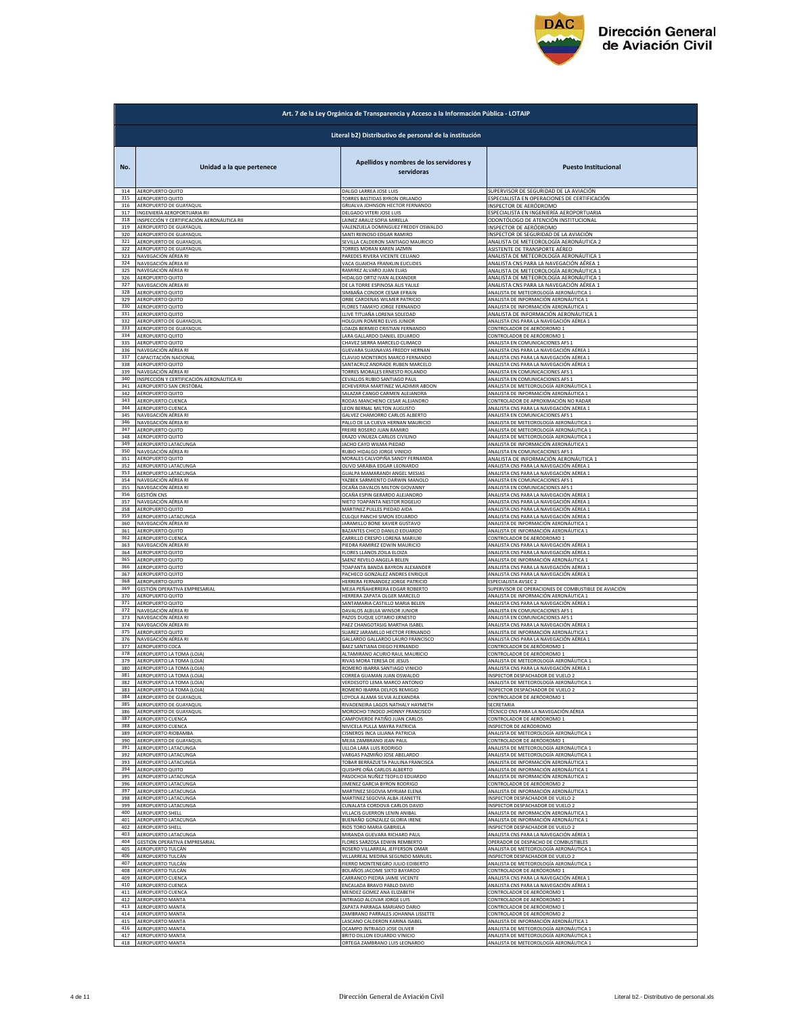

|            | Art. 7 de la Ley Orgánica de Transparencia y Acceso a la Información Pública - LOTAIP |                                                               |                                                                                  |  |
|------------|---------------------------------------------------------------------------------------|---------------------------------------------------------------|----------------------------------------------------------------------------------|--|
|            | Literal b2) Distributivo de personal de la institución                                |                                                               |                                                                                  |  |
| No.        | Unidad a la que pertenece                                                             | Apellidos y nombres de los servidores y<br>servidoras         | <b>Puesto Institucional</b>                                                      |  |
| 314        | AEROPUERTO QUITO                                                                      | DALGO LARREA JOSE LUIS                                        | SUPERVISOR DE SEGURIDAD DE LA AVIACIÓN                                           |  |
| 315        | AEROPUERTO QUITO                                                                      | TORRES BASTIDAS BYRON ORLANDO                                 | ESPECIALISTA EN OPERACIONES DE CERTIFICACIÓN                                     |  |
| 316        | AEROPUERTO DE GUAYAQUIL                                                               | <b>GRIJALVA JOHNSON HECTOR FERNANDO</b>                       | INSPECTOR DE AERÓDROMO                                                           |  |
| 317        | INGENIERÍA AEROPORTUARIA RII                                                          | DELGADO VITERI JOSE LUIS                                      | ESPECIALISTA EN INGENIERÍA AEROPORTUARIA                                         |  |
| 318        | INSPECCIÓN Y CERTIFICACIÓN AERONÁUTICA RII                                            | AINEZ ARAUZ SOFIA MIRELLA                                     | ODONTÓLOGO DE ATENCIÓN INSTITUCIONAL                                             |  |
| 319        | AEROPUERTO DE GUAYAQUIL                                                               | VALENZUELA DOMINGUEZ FREDDY OSWALDO                           | INSPECTOR DE AERÓDROMO                                                           |  |
| 320        | AEROPUERTO DE GUAYAQUIL                                                               | SANTI REINOSO EDGAR RAMIRO                                    | INSPECTOR DE SEGURIDAD DE LA AVIACIÓN                                            |  |
| 321        | AEROPUERTO DE GUAYAQUII                                                               | SEVILLA CALDERON SANTIAGO MAURICIO                            | ANALISTA DE METEOROLOGÍA AERONÁUTICA 2                                           |  |
| 322        | AEROPUERTO DE GUAYAQUIL                                                               | <b>TORRES MORAN KAREN JAZMIN</b>                              | ASISTENTE DE TRANSPORTE AÉREO                                                    |  |
| 323        | NAVEGACIÓN AÉREA RI                                                                   | PAREDES RIVERA VICENTE CELIANO                                | ANALISTA DE METEOROLOGÍA AERONÁUTICA 1                                           |  |
| 324        | NAVEGACIÓN AÉREA RI                                                                   | VACA GUAICHA FRANKLIN EUCLIDES                                | ANALISTA CNS PARA LA NAVEGACIÓN AÉREA 1                                          |  |
| 325        | NAVEGACIÓN AÉREA RI                                                                   | RAMIREZ ALVARO JUAN ELIAS                                     | ANALISTA DE METEOROLOGÍA AERONÁUTICA 1                                           |  |
| 326        | AEROPUERTO QUITO                                                                      | <b>IIDALGO ORTIZ IVAN ALEXANDER</b>                           | ANALISTA DE METEOROLOGÍA AERONÁUTICA 1                                           |  |
| 327        | NAVEGACIÓN AÉREA RI                                                                   | DE LA TORRE ESPINOSA ALIS YALILE                              | ANALISTA CNS PARA LA NAVEGACIÓN AÉREA 1                                          |  |
| 328        | AEROPUERTO QUITO                                                                      | SIMBAÑA CONDOR CESAR EFRAIN                                   | ANALISTA DE METEOROLOGÍA AERONÁUTICA 1                                           |  |
| 329        | AEROPUERTO QUITO                                                                      | ORBE CARDENAS WILMER PATRICIO                                 | ANALISTA DE INFORMACIÓN AERONÁUTICA 1                                            |  |
| 330        | AEROPUERTO QUITO                                                                      | <b>ELORES TAMAYO JORGE FERNANDO</b>                           | ANALISTA DE INFORMACIÓN AERONÁUTICA 1                                            |  |
| 331        | AEROPUERTO QUITO                                                                      | LLIVE TITUAÑA LORENA SOLEDAD                                  | ANALISTA DE INFORMACIÓN AERONÁUTICA 1                                            |  |
| 332        | AEROPUERTO DE GUAYAQUIL                                                               | HOLGUIN ROMERO ELVIS JUNIOR                                   | ANALISTA CNS PARA LA NAVEGACIÓN AÉREA 1                                          |  |
| 333        | AEROPUERTO DE GUAYAQUIL                                                               | LOAIZA BERMEO CRISTIAN FERNANDO                               | CONTROLADOR DE AERÓDROMO 1                                                       |  |
| 334        | AEROPUERTO QUITO                                                                      | ARA GALLARDO DANIEL EDUARDO                                   | CONTROLADOR DE AERÓDROMO 1                                                       |  |
| 335        | AEROPUERTO QUITO                                                                      | HAVEZ SIERRA MARCELO CLIMACO                                  | ANALISTA EN COMUNICACIONES AFS 1                                                 |  |
| 336        | NAVEGACIÓN AÉREA R                                                                    | <b>GUEVARA SUASNAVAS FREDDY HERNAM</b>                        | ANALISTA CNS PARA LA NAVEGACIÓN AÉREA 1                                          |  |
| 337        | CAPACITACIÓN NACIONAL                                                                 | CLAVIJO MONTEROS MARCO FERNANDO                               | ANALISTA CNS PARA LA NAVEGACIÓN AÉREA :                                          |  |
| 338        | AEROPUERTO QUITO                                                                      | ANTACRUZ ANDRADE RUBEN MARCELO                                | ANALISTA CNS PARA LA NAVEGACIÓN AÉREA 1                                          |  |
| 339        | NAVEGACIÓN AÉREA RI                                                                   | <b>TORRES MORALES ERNESTO ROLANDO</b>                         | ANALISTA EN COMUNICACIONES AFS 1                                                 |  |
| 340        | INSPECCIÓN Y CERTIFICACIÓN AERONÁUTICA RI                                             | CEVALLOS RUBIO SANTIAGO PAUL                                  | ANALISTA EN COMUNICACIONES AFS 1                                                 |  |
| 341        | AEROPUERTO SAN CRISTÓBAL                                                              | ECHEVERRIA MARTINEZ WLADIMIR ABDON                            | ANALISTA DE METEOROLOGÍA AERONÁUTICA 1                                           |  |
| 342        | AEROPUERTO QUITO                                                                      | ALAZAR CANGO CARMEN ALEJANDRA                                 | ANALISTA DE INFORMACIÓN AERONÁUTICA 1                                            |  |
| 343        | AEROPUERTO CUENCA                                                                     | RODAS MANCHENO CESAR ALEJANDRO                                | CONTROLADOR DE APROXIMACIÓN NO RADAR                                             |  |
| 344        | AEROPUERTO CUENCA                                                                     | LEON BERNAL MILTON AUGUSTO                                    | ANALISTA CNS PARA LA NAVEGACIÓN AÉREA 1                                          |  |
| 345        | NAVEGACIÓN AÉREA RI                                                                   | GALVEZ CHAMORRO CARLOS ALBERTO                                | ANALISTA EN COMUNICACIONES AFS :                                                 |  |
| 346        | NAVEGACIÓN AÉREA RI                                                                   | PALLO DE LA CUEVA HERNAN MAURICIO                             | ANALISTA DE METEOROLOGÍA AERONÁUTICA 1                                           |  |
| 347        | AEROPUERTO QUITO                                                                      | FREIRE ROSERO JUAN RAMIRO                                     | ANALISTA DE METEOROLOGÍA AERONÁUTICA 1                                           |  |
| 348        | AEROPUERTO QUITO                                                                      | ERAZO VINUEZA CARLOS CIVILINO                                 | ANALISTA DE METEOROLOGÍA AERONÁUTICA 1                                           |  |
| 349        | AEROPUERTO LATACUNGA                                                                  | JACHO CAYO WILMA PIEDAD                                       | ANALISTA DE INFORMACIÓN AERONÁUTICA 1                                            |  |
| 350        | NAVEGACIÓN AÉREA RI                                                                   | RUBIO HIDAI GO IORGE VINICIO                                  | ANALISTA EN COMUNICACIONES AFS 1                                                 |  |
| 351        | AEROPUERTO QUITO                                                                      | MORALES CALVOPIÑA SANDY FERNANDA                              | ANALISTA DE INFORMACIÓN AERONÁUTICA 1                                            |  |
| 352        | AEROPUERTO LATACUNGA                                                                  | <b>JLIVO SARABIA EDGAR LEONARDO</b>                           | ANALISTA CNS PARA LA NAVEGACIÓN AÉREA 1                                          |  |
| 353        | AEROPUERTO LATACUNGA                                                                  | SUALPA MAMARANDI ANGEL MESIAS                                 | ANALISTA CNS PARA LA NAVEGACIÓN AÉREA 1                                          |  |
| 354        | NAVEGACIÓN AÉREA RI                                                                   | YAZBEK SARMIENTO DARWIN MANOLO                                | ANALISTA EN COMUNICACIONES AFS :                                                 |  |
| 355        | NAVEGACIÓN AÉREA RI                                                                   | OCAÑA DAVALOS MILTON GIOVANNY                                 | ANALISTA EN COMUNICACIONES AFS 1                                                 |  |
| 356        | <b>GESTIÓN CNS</b>                                                                    | OCAÑA ESPIN GERARDO ALEJANDRO                                 | ANALISTA CNS PARA LA NAVEGACIÓN AÉREA 1                                          |  |
| 357        | NAVEGACIÓN AÉREA RI                                                                   | NIETO TOAPANTA NESTOR ROGELIO                                 | ANALISTA CNS PARA LA NAVEGACIÓN AÉREA 1                                          |  |
| 358        | AEROPUERTO QUITO                                                                      | MARTINEZ PULLES PIEDAD AIDA                                   | ANALISTA CNS PARA LA NAVEGACIÓN AÉREA 1                                          |  |
| 359        | AEROPUERTO LATACUNGA                                                                  | CULQUI PANCHI SIMON EDUARDO                                   | ANALISTA CNS PARA LA NAVEGACIÓN AÉREA 1                                          |  |
| 360        | NAVEGACIÓN AÉREA RI                                                                   | ARAMILLO BONE XAVIER GUSTAVO                                  | ANALISTA DE INFORMACIÓN AERONÁUTICA 1                                            |  |
| 361        | AEROPUERTO QUITO                                                                      | BAZANTES CHICO DANILO EDUARDO                                 | ANALISTA DE INFORMACIÓN AERONÁUTICA 1                                            |  |
| 362        | AEROPUERTO CUENCA                                                                     | CARRILLO CRESPO LORENA MARIUXI                                | CONTROLADOR DE AERÓDROMO 1                                                       |  |
| 363        | NAVEGACIÓN AÉREA RI                                                                   | PIEDRA RAMIREZ EDWIN MAURICIO                                 | ANALISTA CNS PARA LA NAVEGACIÓN AÉREA 1                                          |  |
| 364        | AEROPUERTO QUITO                                                                      | FLORES LLANOS ZOILA ELOIZA                                    | ANALISTA CNS PARA LA NAVEGACIÓN AÉREA 1                                          |  |
| 365        | AEROPUERTO QUITO                                                                      | SAENZ REVELO ANGELA BELEN                                     | ANALISTA DE INFORMACIÓN AERONÁUTICA 1                                            |  |
| 366        | AEROPUERTO QUITO                                                                      | TOAPANTA BANDA BAYRON ALEXANDER                               | ANALISTA CNS PARA LA NAVEGACIÓN AÉREA 1                                          |  |
| 367        | AEROPUERTO QUITO                                                                      | PACHECO GONZALEZ ANDRES ENRIQUE                               | ANALISTA CNS PARA LA NAVEGACIÓN AÉREA 1                                          |  |
| 368        | AEROPUERTO QUITO                                                                      | HERRERA FERNANDEZ JORGE PATRICIO                              | ESPECIALISTA AVSEC 2                                                             |  |
| 369        | GESTIÓN OPERATIVA EMPRESARIAL                                                         | MEJIA PEÑAHERRERA EDGAR ROBERTO                               | SUPERVISOR DE OPERACIONES DE COMBUSTIBLE DE AVIACIÓN                             |  |
| 370        | AEROPUERTO QUITO                                                                      | HERRERA ZAPATA OLGER MARCELO                                  | ANALISTA DE INFORMACIÓN AERONÁUTICA 1                                            |  |
| 371        | AEROPUERTO QUITO                                                                      | SANTAMARIA CASTILLO MARIA BELEN                               | ANALISTA CNS PARA LA NAVEGACIÓN AÉREA 1                                          |  |
| 372        | NAVEGACIÓN AÉREA RI                                                                   | DAVALOS ALBUJA WINSOR JUNIOR                                  | ANALISTA EN COMUNICACIONES AFS 1                                                 |  |
| 373        | NAVEGACIÓN AÉREA RI                                                                   | PAZOS DUQUE LOTARIO ERNESTO                                   | ANALISTA EN COMUNICACIONES AFS 1                                                 |  |
| 374        | NAVEGACIÓN AÉREA RI                                                                   | PAEZ CHANGOTASIG MARTHA ISABEL                                | ANALISTA CNS PARA LA NAVEGACIÓN AÉREA 1                                          |  |
| 375        | AEROPUERTO QUITO                                                                      | SUAREZ JARAMILLO HECTOR FERNANDO                              | ANALISTA DE INFORMACIÓN AERONÁUTICA 1                                            |  |
| 376        | NAVEGACIÓN AÉREA RI                                                                   | GALLARDO GALLARDO LAURO FRANCISCO                             | ANALISTA CNS PARA LA NAVEGACIÓN AÉREA 1                                          |  |
| 377        | AEROPUERTO COCA                                                                       | BAEZ SANTIANA DIEGO FERNANDO                                  | CONTROLADOR DE AERÓDROMO 1                                                       |  |
| 378        | AEROPUERTO LA TOMA (LOJA)                                                             | ALTAMIRANO ACURIO RAUL MAURICIO                               | CONTROLADOR DE AERÓDROMO 1                                                       |  |
| 379        | AEROPUERTO LA TOMA (LOJA)                                                             | RIVAS MORA TERESA DE JESUS                                    | ANALISTA DE METEOROLOGÍA AERONÁUTICA 1                                           |  |
| 380        | AEROPUERTO LA TOMA (LOJA)                                                             | ROMERO IBARRA SANTIAGO VINICIO                                | ANALISTA CNS PARA LA NAVEGACIÓN AÉREA 1                                          |  |
| 381        | AEROPUERTO LA TOMA (LOJA)                                                             | CORREA GUAMAN JUAN OSWALDO                                    | INSPECTOR DESPACHADOR DE VUELO 2                                                 |  |
| 382        | AEROPUERTO LA TOMA (LOJA)                                                             | VERDESOTO LEMA MARCO ANTONIO                                  | ANALISTA DE METEOROLOGÍA AERONÁUTICA 1                                           |  |
| 383        | AEROPUERTO LA TOMA (LOJA)                                                             | ROMERO IBARRA DELFOS REMIGIO                                  | INSPECTOR DESPACHADOR DE VUELO 2                                                 |  |
| 384        | AEROPUERTO DE GUAYAQUIL                                                               | OYOLA ALAMA SILVIA ALEXANDRA                                  | CONTROLADOR DE AERÓDROMO 1                                                       |  |
| 385        | AEROPUERTO DE GUAYAQUIL                                                               | <b>IVADENEIRA LAGOS NATHALY HAYMETH</b>                       | SECRETARIA                                                                       |  |
| 386        | AEROPUERTO DE GUAYAQUIL                                                               | MOROCHO TINOCO JHONNY FRANCISCO                               | TÉCNICO CNS PARA LA NAVEGACIÓN AÉREA                                             |  |
| 387        | AEROPUERTO CUENCA                                                                     | AMPOVERDE PATIÑO JUAN CARLOS                                  | CONTROLADOR DE AERÓDROMO 1                                                       |  |
| 388        | AEROPUERTO CUENCA                                                                     | <b>IIVICELA PULLA MAYRA PATRICIA</b>                          | INSPECTOR DE AERÓDROMO                                                           |  |
| 389        | AEROPUERTO RIOBAMBA                                                                   | ISNEROS INCA LILIANA PATRICIA                                 | ANALISTA DE METEOROLOGÍA AERONÁUTICA 1                                           |  |
| 390        | AEROPUERTO DE GUAYAQUIL                                                               | MEJIA ZAMBRANO JEAN PAUL                                      | CONTROLADOR DE AERÓDROMO 1                                                       |  |
| 391        | AEROPUERTO LATACUNGA                                                                  | JLLOA LARA LUIS RODRIGO<br>VARGAS PAZMIÑO JOSE ABELARDO       | ANALISTA DE METEOROLOGÍA AERONÁUTICA 1<br>ANALISTA DE METEOROLOGÍA AERONÁUTICA 1 |  |
| 392<br>393 | AEROPUERTO LATACUNGA<br>AEROPUERTO LATACUNGA                                          | <b>FOBAR BERRAZUETA PAULINA FRANCISCA</b>                     | ANALISTA DE INFORMACIÓN AERONÁUTICA 1                                            |  |
| 394        | AEROPUERTO QUITO                                                                      | QUISHPE OÑA CARLOS ALBERTO                                    | ANALISTA DE INFORMACIÓN AERONÁUTICA 1                                            |  |
| 395        | AEROPUERTO LATACUNGA                                                                  | PASOCHOA NUÑEZ TEOFILO EDUARDO                                | ANALISTA DE INFORMACIÓN AERONÁUTICA 1                                            |  |
| 396<br>397 | AEROPUERTO LATACUNGA                                                                  | JIMENEZ GARCIA BYRON RODRIGO<br>MARTINEZ SEGOVIA MYRIAM ELENA | CONTROLADOR DE AERÓDROMO 2                                                       |  |
| 398        | AEROPUERTO LATACUNGA<br>AEROPUERTO LATACUNGA                                          | MARTINEZ SEGOVIA ALBA JEANETTE                                | ANALISTA DE INFORMACIÓN AERONÁUTICA 1<br>INSPECTOR DESPACHADOR DE VUELO 2        |  |
| 399        | AEROPUERTO LATACUNGA                                                                  | CUNALATA CORDOVA CARLOS DAVID                                 | INSPECTOR DESPACHADOR DE VUELO 2                                                 |  |
| 400        | <b>AEROPUERTO SHELL</b>                                                               | VILLACIS GUERRON LENIN ANIBAL                                 | ANALISTA DE INFORMACIÓN AERONÁUTICA 1                                            |  |
| 401        | AEROPUERTO LATACUNGA                                                                  | BUENAÑO GONZALEZ GLORIA IRENE                                 | ANALISTA DE INFORMACIÓN AERONÁUTICA 1                                            |  |
| 402        | AEROPUERTO SHELL                                                                      | RIOS TORO MARIA GABRIELA                                      | INSPECTOR DESPACHADOR DE VUELO 2                                                 |  |
| 403<br>404 | AEROPUERTO LATACUNGA                                                                  | MIRANDA GUEVARA RICHARD PAUL                                  | ANALISTA CNS PARA LA NAVEGACIÓN AÉREA 1                                          |  |
| 405        | <b>GESTIÓN OPERATIVA EMPRESARIAL</b>                                                  | FLORES SARZOSA EDWIN REMBERTO                                 | OPERADOR DE DESPACHO DE COMBUSTIBLES                                             |  |
|            | AEROPUERTO TULCÁN                                                                     | ROSERO VILLARREAL JEFFERSON OMAR                              | ANALISTA DE METEOROLOGÍA AERONÁUTICA 1                                           |  |
| 406        | AEROPUERTO TULCÁN                                                                     | VILLARREAL MEDINA SEGUNDO MANUEL                              | INSPECTOR DESPACHADOR DE VUELO 2                                                 |  |
| 407        | AEROPUERTO TULCÁN                                                                     | FIERRO MONTENEGRO JULIO EDIBERTO                              | ANALISTA DE METEOROLOGÍA AERONÁUTICA 1                                           |  |
| 408        | AEROPUERTO TULCÁN                                                                     | BOLAÑOS JACOME SIXTO BAYARDO                                  | CONTROLADOR DE AERÓDROMO 1                                                       |  |
| 409        | AEROPUERTO CUENCA                                                                     | ARRANCO PIEDRA JAIME VICENTE                                  | ANALISTA CNS PARA LA NAVEGACIÓN AÉREA 1                                          |  |
| 410        | AEROPUERTO CUENCA                                                                     | NCALADA BRAVO PABLO DAVID                                     | ANALISTA CNS PARA LA NAVEGACIÓN AÉREA 1                                          |  |
| 411        | AEROPUERTO CUENCA                                                                     | MENDEZ GOMEZ ANA ELIZABETH                                    | CONTROLADOR DE AERÓDROMO 1                                                       |  |
| 412        | AEROPUERTO MANTA                                                                      | INTRIAGO ALCIVAR JORGE LUIS                                   | CONTROLADOR DE AERÓDROMO 1                                                       |  |
| 413        | <b>AEROPUERTO MANTA</b>                                                               | ZAPATA PARRAGA MARIANO DARIO                                  | CONTROLADOR DE AERÓDROMO 1                                                       |  |
| 414        | AEROPUERTO MANTA                                                                      | AMBRANO PARRALES JOHANNA LISSETTE                             | CONTROLADOR DE AERÓDROMO 2                                                       |  |
| 415        | AEROPUERTO MANTA                                                                      | LASCANO CALDERON KARINA ISABEL                                | ANALISTA DE INFORMACIÓN AERONÁUTICA 1                                            |  |
| 416        | AEROPUERTO MANTA                                                                      | OCAMPO INTRIAGO JOSE OLIVER                                   | ANALISTA DE METEOROLOGÍA AERONÁUTICA 1                                           |  |
| 417        | <b>AEROPUERTO MANTA</b>                                                               | BRITO DILLON EDUARDO VINICIO                                  | ANALISTA DE METEOROLOGÍA AERONÁUTICA 1                                           |  |
| 418        | AEROPUERTO MANTA                                                                      | ORTEGA ZAMBRANO LUIS LEONARDO                                 | ANALISTA DE METEOROLOGÍA AERONÁUTICA 1                                           |  |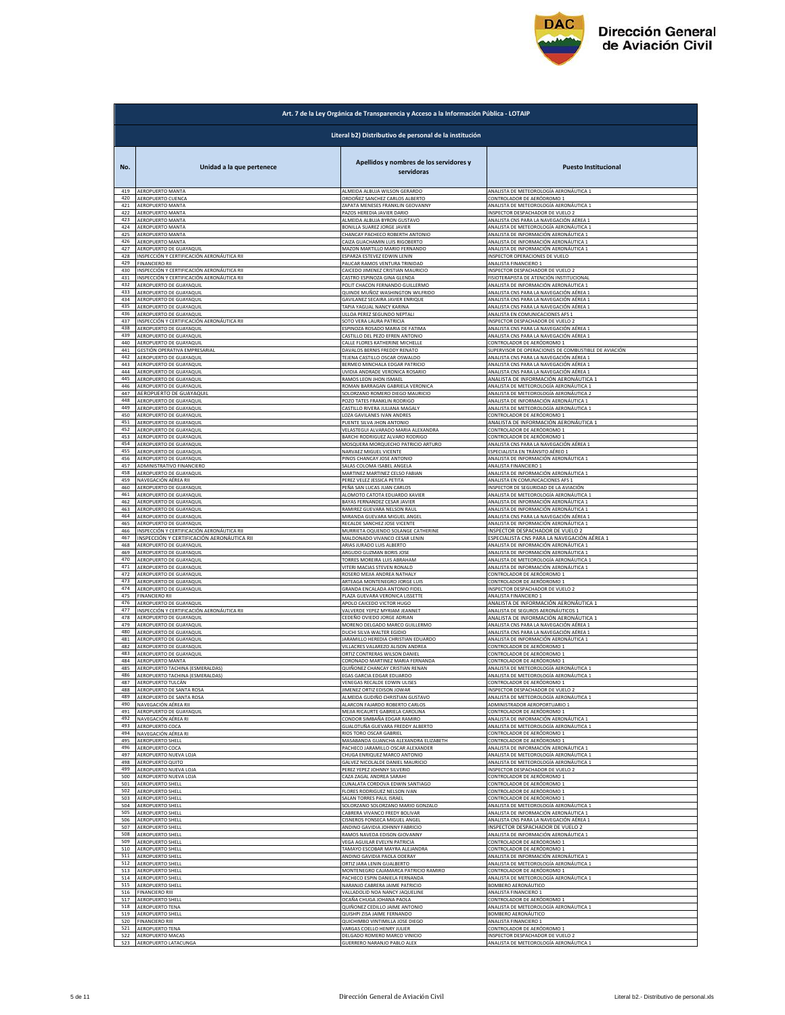

|            | Art. 7 de la Ley Orgánica de Transparencia y Acceso a la Información Pública - LOTAIP |                                                                |                                                                             |  |
|------------|---------------------------------------------------------------------------------------|----------------------------------------------------------------|-----------------------------------------------------------------------------|--|
|            | Literal b2) Distributivo de personal de la institución                                |                                                                |                                                                             |  |
| No.        | Unidad a la que pertenece                                                             | Apellidos y nombres de los servidores y<br>servidoras          | <b>Puesto Institucional</b>                                                 |  |
| 419        | AEROPUERTO MANTA                                                                      | ALMEIDA ALBUJA WILSON GERARDO                                  | ANALISTA DE METEOROLOGÍA AERONÁUTICA 1                                      |  |
| 420        | AEROPUERTO CUENCA                                                                     | ORDOÑEZ SANCHEZ CARLOS ALBERTO                                 | CONTROLADOR DE AERÓDROMO 1                                                  |  |
| 421        | AEROPUERTO MANTA                                                                      | ZAPATA MENESES FRANKLIN GEOVANNY                               | ANALISTA DE METEOROLOGÍA AERONÁUTICA 1                                      |  |
| 422        | AEROPUERTO MANTA                                                                      | PAZOS HEREDIA JAVIER DARIO                                     | INSPECTOR DESPACHADOR DE VUELO 2                                            |  |
| 423        | AEROPUERTO MANTA                                                                      | ALMEIDA ALBUJA BYRON GUSTAVO                                   | <u>ANALISTA CNS PARA LA NAVEGACIÓN AÉREA :</u>                              |  |
| 424        | AEROPUERTO MANTA                                                                      | BONILLA SUAREZ JORGE JAVIER                                    | ANALISTA DE METEOROLOGÍA AERONÁUTICA :                                      |  |
| 425        | AEROPUERTO MANTA                                                                      | CHANCAY PACHECO ROBERTH ANTONIO                                | ANALISTA DE INFORMACIÓN AERONÁUTICA 1                                       |  |
| 426        | AEROPUERTO MANTA                                                                      | CAIZA GUACHAMIN LUIS RIGOBERTO                                 | ANALISTA DE INFORMACIÓN AERONÁUTICA 1                                       |  |
| 427        | AEROPUERTO DE GUAYAQUIL                                                               | MAZON MARTILLO MARIO FERNANDO                                  | ANALISTA DE INFORMACIÓN AERONÁUTICA 1                                       |  |
| 428        | INSPECCIÓN Y CERTIFICACIÓN AERONÁUTICA RII                                            | ESPARZA ESTEVEZ EDWIN LENIN                                    | INSPECTOR OPERACIONES DE VUELO                                              |  |
| 429        | <b>FINANCIERO RII</b>                                                                 | PAUCAR RAMOS VENTURA TRINIDAD                                  | ANALISTA FINANCIERO 1                                                       |  |
| 430        | INSPECCIÓN Y CERTIFICACIÓN AERONÁUTICA RII                                            | CAICEDO JIMENEZ CRISTIAN MAURICIO                              | INSPECTOR DESPACHADOR DE VUELO 2                                            |  |
| 431        | INSPECCIÓN Y CERTIFICACIÓN AERONÁUTICA RII                                            | CASTRO ESPINOZA GINA GLENDA                                    | FISIOTERAPISTA DE ATENCIÓN INSTITUCIONAL                                    |  |
| 432        | AEROPUERTO DE GUAYAQUIL                                                               | POLIT CHACON FERNANDO GUILLERMO                                | ANALISTA DE INFORMACIÓN AFRONÁLITICA 1                                      |  |
| 433        | AEROPUERTO DE GUAYAQUIL                                                               | QUINDE MUÑOZ WASHINGTON WILFRIDO                               | ANALISTA CNS PARA LA NAVEGACIÓN AÉREA 1                                     |  |
| 434        | AEROPUERTO DE GUAYAQUIL                                                               | GAVILANEZ SECAIRA JAVIER ENRIQUE                               | ANALISTA CNS PARA LA NAVEGACIÓN AÉREA 1                                     |  |
| 435        | AEROPUERTO DE GUAYAQUIL                                                               | TAPIA YAGUAL NANCY KARINA                                      | ANALISTA CNS PARA LA NAVEGACIÓN AÉREA 1                                     |  |
| 436        | AEROPUERTO DE GUAYAQUIL                                                               | ULLOA PEREZ SEGUNDO NEPTALI                                    | ANALISTA EN COMUNICACIONES AFS 1                                            |  |
| 437        | INSPECCIÓN Y CERTIFICACIÓN AERONÁUTICA RII                                            | SOTO VERA LAURA PATRICIA                                       | INSPECTOR DESPACHADOR DE VUELO 2                                            |  |
| 438        | AEROPUERTO DE GUAYAQUIL                                                               | ESPINOZA ROSADO MARIA DE FATIMA                                | ANALISTA CNS PARA LA NAVEGACIÓN AÉREA 1                                     |  |
| 439        | AEROPUERTO DE GUAYAQUII                                                               | CASTILLO DEL PEZO EFREN ANTONIO                                | ANALISTA CNS PARA LA NAVEGACIÓN AÉREA 1                                     |  |
| 440        | AEROPUERTO DE GUAYAQUII                                                               | CALLE FLORES KATHERINE MICHELLE                                | CONTROLADOR DE AERÓDROMO 1                                                  |  |
| 441        | GESTIÓN OPERATIVA EMPRESARIAL                                                         | DAVALOS BERNIS FREDDY RENATO                                   | SUPERVISOR DE OPERACIONES DE COMBUSTIBLE DE AVIACIÓN                        |  |
| 442<br>443 | AEROPUERTO DE GUAYAQUIL                                                               | TEJENA CASTILLO OSCAR OSWALDO                                  | ANALISTA CNS PARA LA NAVEGACIÓN AÉREA 1                                     |  |
| 444        | AEROPUERTO DE GUAYAQUIL                                                               | BERMEO MINCHALA EDGAR PATRICIO                                 | ANALISTA CNS PARA LA NAVEGACIÓN AÉREA 1                                     |  |
|            | AEROPUERTO DE GUAYAQUIL                                                               | UVIDIA ANDRADE VERONICA ROSARIO                                | <u>ANALISTA CNS PARA LA NAVEGACIÓN AÉREA 1</u>                              |  |
| 445        | AEROPUERTO DE GUAYAQUIL                                                               | RAMOS LEON JHON ISMAEL                                         | ANALISTA DE INFORMACIÓN AERONÁUTICA 1                                       |  |
| 446        | <b>AEROPUERTO DE GUAYAQUIL</b>                                                        | ROMAN BARRAGAN GABRIELA VERONICA                               | ANALISTA DE METEOROLOGÍA AERONÁUTICA 1                                      |  |
| 447        | AEROPUERTO DE GUAYAQUIL                                                               | SOLORZANO ROMERO DIEGO MAURICIO                                | ANALISTA DE METEOROLOGÍA AERONÁUTICA 2                                      |  |
| 448        | AEROPUERTO DE GUAYAQUIL                                                               | POZO TATES FRANKLIN RODRIGO                                    | ANALISTA DE INFORMACIÓN AERONÁUTICA :                                       |  |
| 449        | AEROPUERTO DE GUAYAQUIL                                                               | CASTILLO RIVERA JULIANA MAGALY                                 | ANALISTA DE METEOROLOGÍA AERONÁUTICA 1                                      |  |
| 450        | AEROPUERTO DE GUAYAQUIL                                                               | LOZA GAVILANES IVAN ANDRES                                     | CONTROLADOR DE AERÓDROMO 1                                                  |  |
| 451        | AEROPUERTO DE GUAYAQUIL                                                               | PUENTE SILVA JHON ANTONIO                                      | ANALISTA DE INFORMACIÓN AERONÁUTICA 1                                       |  |
| 452        | AEROPUERTO DE GUAYAQUIL                                                               | VELASTEGUI ALVARADO MARIA ALEXANDRA                            | CONTROLADOR DE AERÓDROMO 1                                                  |  |
| 453        | AFROPUERTO DE GUAYAQUIL                                                               | BARCHI RODRIGUEZ ALVARO RODRIGO                                | CONTROLADOR DE AERÓDROMO 1                                                  |  |
| 454        | AEROPUERTO DE GUAYAQUIL                                                               | MOSQUERA MORQUECHO PATRICIO ARTURO                             | ANALISTA CNS PARA LA NAVEGACIÓN AÉREA 1                                     |  |
| 455        | AEROPUERTO DE GUAYAQUIL                                                               | NARVAEZ MIGUEL VICENTE                                         | ESPECIALISTA EN TRÁNSITO AÉREO 1                                            |  |
| 456        | AEROPUERTO DE GUAYAQUII                                                               | PINOS CHANCAY JOSE ANTONIC                                     | ANALISTA DE INFORMACIÓN AERONÁUTICA 1                                       |  |
| 457        | ADMINISTRATIVO FINANCIERO                                                             | SALAS COLOMA ISABEL ANGEL/                                     | ANALISTA FINANCIERO 1                                                       |  |
| 458        | AEROPUERTO DE GUAYAQUII                                                               | MARTINEZ MARTINEZ CELSO FABIAN                                 | ANALISTA DE INFORMACIÓN AERONÁUTICA 1                                       |  |
| 459        | NAVEGACIÓN AÉREA RII                                                                  | PEREZ VELEZ JESSICA PETITA                                     | ANALISTA EN COMUNICACIONES AFS 1                                            |  |
| 460        | AEROPUERTO DE GUAYAQUIL                                                               | PEÑA SAN LUCAS JUAN CARLOS                                     | INSPECTOR DE SEGURIDAD DE LA AVIACIÓN                                       |  |
| 461        | AEROPUERTO DE GUAYAQUIL                                                               | ALOMOTO CATOTA EDUARDO XAVIER                                  | ANALISTA DE METEOROLOGÍA AERONÁUTICA 1                                      |  |
| 462        | AEROPUERTO DE GUAYAQUIL                                                               | BAYAS FERNANDEZ CESAR JAVIER                                   | ANALISTA DE INFORMACIÓN AERONÁUTICA 1                                       |  |
| 463        | AEROPUERTO DE GUAYAQUIL                                                               | RAMIREZ GUEVARA NELSON RAUL                                    | ANALISTA DE INFORMACIÓN AERONÁUTICA 1                                       |  |
| 464        | AEROPUERTO DE GUAYAQUIL                                                               | MIRANDA GUEVARA MIGUEL ANGEL                                   | ANALISTA CNS PARA LA NAVEGACIÓN AÉREA 1                                     |  |
| 465        | AEROPUERTO DE GUAYAQUII                                                               | RECALDE SANCHEZ JOSE VICENTE                                   | ANALISTA DE INFORMACIÓN AERONÁUTICA 1                                       |  |
| 466        | INSPECCIÓN Y CERTIFICACIÓN AERONÁUTICA RII                                            | MURRIETA OQUENDO SOLANGE CATHERINE                             | INSPECTOR DESPACHADOR DE VUELO 2                                            |  |
| 467        | INSPECCIÓN Y CERTIFICACIÓN AERONÁUTICA RII                                            | MALDONADO VIVANCO CESAR LENIN                                  | ESPECIALISTA CNS PARA LA NAVEGACIÓN AÉREA 1                                 |  |
| 468<br>469 | AEROPUERTO DE GUAYAQUIL                                                               | ARIAS JURADO LUIS ALBERTO                                      | ANALISTA DE INFORMACIÓN AERONÁUTICA 1                                       |  |
| 470        | AEROPUERTO DE GUAYAQUIL                                                               | ARGUDO GUZMAN BORIS JOSE                                       | ANALISTA DE INFORMACIÓN AERONÁUTICA 1                                       |  |
|            | AEROPUERTO DE GUAYAQUIL                                                               | TORRES MOREIRA LUIS ABRAHAM                                    | ANALISTA DE METEOROLOGÍA AERONÁUTICA 1                                      |  |
| 471        | AEROPUERTO DE GUAYAQUIL                                                               | VITERI MACIAS STEVEN RONALD                                    | ANALISTA DE INFORMACIÓN AERONÁUTICA 1                                       |  |
| 472        | AEROPUERTO DE GUAYAQUIL                                                               | ROSERO MEJIA ANDREA NATHALY                                    | CONTROLADOR DE AERÓDROMO 1                                                  |  |
| 473        | AEROPUERTO DE GUAYAQUIL                                                               | ARTEAGA MONTENEGRO JORGE LUIS                                  | CONTROLADOR DE AERÓDROMO :                                                  |  |
| 474        | AEROPUERTO DE GUAYAQUIL                                                               | <b>GRANDA ENCALADA ANTONIO FIDEI</b>                           | INSPECTOR DESPACHADOR DE VUELO 2                                            |  |
| 475        | <b>FINANCIERO RII</b>                                                                 | PLAZA GUEVARA VERONICA LISSETTE                                | ANALISTA FINANCIERO 1                                                       |  |
| 476        | AEROPUERTO DE GUAYAQUIL                                                               | APOLO CAICEDO VICTOR HUGO                                      | ANALISTA DE INFORMACIÓN AERONÁUTICA 1                                       |  |
| 477        | INSPECCIÓN Y CERTIFICACIÓN AERONÁUTICA RII                                            | VALVERDE YEPEZ MYRIAM JEANNET                                  | ANALISTA DE SEGUROS AERONÁUTICOS 1                                          |  |
| 478        | AFROPUERTO DE GUAYAQUIL                                                               | CEDEÑO OVIEDO JORGE ADRIAN                                     | ANALISTA DE INFORMACIÓN AERONÁUTICA 1                                       |  |
| 479        | AEROPUERTO DE GUAYAQUIL                                                               | MORENO DELGADO MARCO GUILLERMO                                 | ANALISTA CNS PARA LA NAVEGACIÓN AÉREA 1                                     |  |
| 480        | AEROPUERTO DE GUAYAQUIL                                                               | DUCHI SILVA WALTER EGIDIO                                      | ANALISTA CNS PARA LA NAVEGACIÓN AÉREA 1                                     |  |
| 481        | AEROPUERTO DE GUAYAQUIL                                                               | JARAMILLO HEREDIA CHRISTIAN EDUARDO                            | ANALISTA DE INFORMACIÓN AERONÁUTICA 1                                       |  |
| 482        | AEROPUERTO DE GUAYAQUII                                                               | VILLACRES VALAREZO ALISON ANDREA                               | CONTROLADOR DE AERÓDROMO :                                                  |  |
| 483        | AEROPUERTO DE GUAYAQUII                                                               | ORTIZ CONTRERAS WILSON DANIE                                   | CONTROLADOR DE AERÓDROMO 1                                                  |  |
| 484        | AEROPUERTO MANTA                                                                      | CORONADO MARTINEZ MARIA FERNANDA                               | CONTROLADOR DE AERÓDROMO 1                                                  |  |
| 485        | AEROPUERTO TACHINA (ESMERALDAS)                                                       | QUIÑONEZ CHANCAY CRISTIAN RENAN                                | ANALISTA DE METEOROLOGÍA AERONÁUTICA 1                                      |  |
| 486        | AEROPUERTO TACHINA (ESMERALDAS)                                                       | EGAS GARCIA EDGAR EDUARDO                                      | ANALISTA DE METEOROLOGÍA AERONÁUTICA 1                                      |  |
| 487        | AEROPUERTO TULCÁN                                                                     | VENEGAS RECALDE EDWIN ULISES                                   | CONTROLADOR DE AERÓDROMO 1                                                  |  |
| 488        | AEROPUERTO DE SANTA ROSA                                                              | JIMENEZ ORTIZ EDISON JOWAR                                     | NSPECTOR DESPACHADOR DE VUELO 2                                             |  |
| 489        | AEROPUERTO DE SANTA ROSA                                                              | ALMEIDA GUDIÑO CHRISTIAN GUSTAVO                               | ANALISTA DE METEOROLOGÍA AERONÁUTICA 1                                      |  |
| 490        | NAVEGACIÓN AÉREA RII                                                                  | ALARCON FAJARDO ROBERTO CARLOS                                 | ADMINISTRADOR AEROPORTUARIO 1                                               |  |
| 491        | AEROPUERTO DE GUAYAQUIL                                                               | MEJIA RICAURTE GABRIELA CAROLINA                               | CONTROLADOR DE AERÓDROMO 1                                                  |  |
| 492        | NAVEGACIÓN AÉREA RI                                                                   | CONDOR SIMBAÑA EDGAR RAMIRO                                    | ANALISTA DE INFORMACIÓN AERONÁUTICA 1                                       |  |
| 493        | AEROPUERTO COCA                                                                       | GUALOTUÑA GUEVARA FREDDY ALBERTO                               | ANALISTA DE METEOROLOGÍA AERONÁUTICA 1                                      |  |
| 494        | NAVEGACIÓN AÉREA RI                                                                   | RIOS TORO OSCAR GABRIEL                                        | CONTROLADOR DE AERÓDROMO 1                                                  |  |
| 495        | <b>AEROPUERTO SHELL</b>                                                               | MASABANDA GUANCHA ALEXANDRA ELIZABETH                          | CONTROLADOR DE AERÓDROMO 1                                                  |  |
| 496        | AEROPUERTO COCA                                                                       | PACHECO JARAMILLO OSCAR ALEXANDER                              | ANALISTA DE INFORMACIÓN AERONÁUTICA 1                                       |  |
| 497        | AEROPUERTO NUEVA LOJA                                                                 | CHUGA ENRIQUEZ MARCO ANTONIO                                   | ANALISTA DE METEOROLOGÍA AERONÁUTICA 1                                      |  |
| 498        | AEROPUERTO QUITO                                                                      | GALVEZ NICOLALDE DANIEL MAURICIO                               | ANALISTA DE METEOROLOGÍA AERONÁUTICA :                                      |  |
| 499        | AEROPUERTO NUEVA LOJA                                                                 | PEREZ YEPEZ JOHNNY SILVERIO                                    | INSPECTOR DESPACHADOR DE VUELO 2                                            |  |
| 500        | AEROPUERTO NUEVA LOJA                                                                 | CAZA ZAGAL ANDREA SARAHI                                       | CONTROLADOR DE AERÓDROMO 1                                                  |  |
| 501        | AEROPUERTO SHELL                                                                      | CUNALATA CORDOVA EDWIN SANTIAGO                                | CONTROLADOR DE AERÓDROMO 1                                                  |  |
| 502        | AEROPUERTO SHELL                                                                      | FLORES RODRIGUEZ NELSON IVAN                                   | CONTROLADOR DE AERÓDROMO 1                                                  |  |
| 503        | AEROPUERTO SHELL                                                                      | SALAN TORRES PAUL ISRAEL                                       | CONTROLADOR DE AERÓDROMO 1                                                  |  |
| 504        | AEROPUERTO SHELL                                                                      | SOLORZANO SOLORZANO MARIO GONZALO                              | ANALISTA DE METEOROLOGÍA AERONÁUTICA 1                                      |  |
| 505        | AEROPUERTO SHELL                                                                      | CABRERA VIVANCO FREDY BOLIVAR                                  | ANALISTA DE INFORMACIÓN AERONÁUTICA 1                                       |  |
| 506<br>507 | AEROPUERTO SHELL                                                                      | CISNEROS FONSECA MIGUEL ANGEL                                  | ANALISTA CNS PARA LA NAVEGACIÓN AÉREA 1<br>INSPECTOR DESPACHADOR DE VUELO 2 |  |
| 508        | AEROPUERTO SHELL<br>AEROPUERTO SHELL                                                  | ANDINO GAVIDIA JOHNNY FABRICIO<br>RAMOS NAVEDA EDISON GIOVANNY | ANALISTA DE INFORMACIÓN AERONÁUTICA 1                                       |  |
| 509        | AEROPUERTO SHELL                                                                      | VEGA AGUILAR EVELYN PATRICIA                                   | CONTROLADOR DE AERÓDROMO 1                                                  |  |
| 510        | AEROPUERTO SHELL                                                                      | TAMAYO ESCOBAR MAYRA ALEJANDRA                                 | CONTROLADOR DE AERÓDROMO 1                                                  |  |
| 511        | <b>AEROPUERTO SHELL</b>                                                               | ANDINO GAVIDIA PAOLA ODERAY                                    | ANALISTA DE INFORMACIÓN AERONÁUTICA 1                                       |  |
| 512        | AEROPUERTO SHELL                                                                      | ORTIZ JARA LENIN GUALBERTO                                     | ANALISTA DE METEOROLOGÍA AERONÁUTICA 1                                      |  |
| 513<br>514 | AEROPUERTO SHELL                                                                      | MONTENEGRO CAJAMARCA PATRICIO RAMIRO                           | CONTROLADOR DE AERÓDROMO 1                                                  |  |
| 515        | AEROPUERTO SHELL                                                                      | PACHECO ESPIN DANIELA FERNANDA                                 | ANALISTA DE METEOROLOGÍA AERONÁUTICA 1                                      |  |
|            | <b>AEROPUERTO SHELL</b>                                                               | NARANJO CABRERA JAIME PATRICIO                                 | BOMBERO AERONÁUTICO                                                         |  |
| 516        | <b>FINANCIERO RIII</b>                                                                | VALLADOLID NOA NANCY JAQUELINE                                 | ANALISTA FINANCIERO 1                                                       |  |
| 517        | AEROPUERTO SHELL                                                                      | OCAÑA CHUGA JOHANA PAOLA                                       | CONTROLADOR DE AERÓDROMO 1                                                  |  |
| 518        | AEROPUERTO TENA                                                                       | QUIÑONEZ CEDILLO JAIME ANTONIO                                 | ANALISTA DE METEOROLOGÍA AERONÁUTICA 1                                      |  |
| 519        | <b>AEROPUERTO SHELL</b>                                                               | QUISHPI ZISA JAIME FERNANDO                                    | BOMBERO AERONÁUTICO                                                         |  |
| 520        | <b>FINANCIERO RIII</b>                                                                | QUICHIMBO VINTIMILLA JOSE DIEGO                                | ANALISTA FINANCIERO 1                                                       |  |
| 521        | AEROPUERTO TENA                                                                       | VARGAS COELLO HENRY JULIER                                     | CONTROLADOR DE AERÓDROMO 1                                                  |  |
| 522        | AEROPUERTO MACAS                                                                      | DELGADO ROMERO MARCO VINICIO                                   | INSPECTOR DESPACHADOR DE VUELO 2                                            |  |
| 523        | AEROPUERTO LATACUNGA                                                                  | GUERRERO NARANJO PABLO ALEX                                    | ANALISTA DE METEOROLOGÍA AERONÁUTICA 1                                      |  |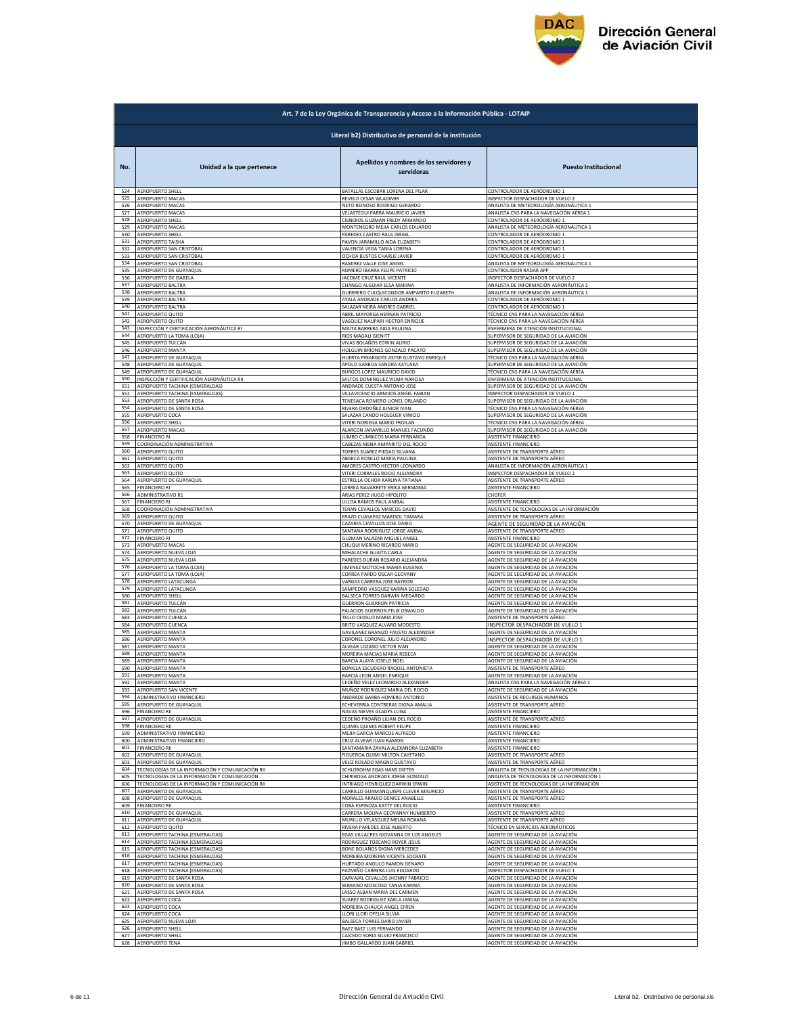

| Literal b2) Distributivo de personal de la institución<br>Apellidos y nombres de los servidores y<br>No.<br>Unidad a la que pertenece<br>servidoras<br>524<br>AEROPUERTO SHELL<br>BATALLAS ESCOBAR LORENA DEL PILAR<br>CONTROLADOR DE AERÓDROMO :<br>525<br>AEROPUERTO MACAS<br>REVELO CESAR WLADIMIR<br>INSPECTOR DESPACHADOR DE VUELO 2<br>526<br>AEROPUERTO MACAS<br>NETO REINOSO RODRIGO GERARDO<br>ANALISTA DE METEOROLOGÍA AERONÁUTICA 1 | <b>Puesto Institucional</b> |
|------------------------------------------------------------------------------------------------------------------------------------------------------------------------------------------------------------------------------------------------------------------------------------------------------------------------------------------------------------------------------------------------------------------------------------------------|-----------------------------|
|                                                                                                                                                                                                                                                                                                                                                                                                                                                |                             |
|                                                                                                                                                                                                                                                                                                                                                                                                                                                |                             |
|                                                                                                                                                                                                                                                                                                                                                                                                                                                |                             |
| 527<br>AEROPUERTO MACAS<br>VELASTEGUI PARRA MAURICIO JAVIER<br>ANALISTA CNS PARA LA NAVEGACIÓN AÉREA 1                                                                                                                                                                                                                                                                                                                                         |                             |
| 528<br>AEROPUERTO SHELL<br>CISNEROS GUZMAN FREDY ARMANDO<br>CONTROLADOR DE AERÓDROMO 1<br>AEROPUERTO MACAS<br>MONTENEGRO MEJIA CARLOS EDUARDO<br>ANALISTA DE METEOROLOGÍA AERONÁUTICA 1<br>529                                                                                                                                                                                                                                                 |                             |
| AEROPUERTO SHELL<br>PAREDES CASTRO RAUL ISRAEL<br>CONTROLADOR DE AERÓDROMO 1<br>530<br>AEROPUERTO TAISHA                                                                                                                                                                                                                                                                                                                                       |                             |
| 531<br>PAVON JARAMILLO AIDA ELIZABETH<br>CONTROLADOR DE AERÓDROMO 1<br>AEROPUERTO SAN CRISTÓBAL<br>VALENCIA VEGA TANIA LORENA<br>CONTROLADOR DE AERÓDROMO 1<br>532                                                                                                                                                                                                                                                                             |                             |
| 533<br>AEROPUERTO SAN CRISTÓBAL<br>OCHOA BUSTOS CHARLIE JAVIER<br>CONTROLADOR DE AERÓDROMO 1<br>AEROPUERTO SAN CRISTÓBAL<br>RAMIREZ VALLE JOSE ANGEL<br>ANALISTA DE METEOROLOGÍA AERONÁUTICA 1<br>534                                                                                                                                                                                                                                          |                             |
| AEROPUERTO DE GUAYAQUIL<br>ROMERO IBARRA FELIPE PATRICIO<br>CONTROLADOR RADAR APP<br>535<br>AEROPUERTO DE ISABELA<br>JACOME CRUZ RAUL VICENTE<br>INSPECTOR DESPACHADOR DE VUELO 2<br>536                                                                                                                                                                                                                                                       |                             |
| ANALISTA DE INFORMACIÓN AERONÁUTICA 1<br>AEROPUERTO BALTRA<br>CHANGO ALGUIAR ELSA MARINA<br>537<br>538<br>AEROPUERTO BALTRA<br>GUERRERO CULQUICONDOR AMPARITO ELIZABETH<br>ANALISTA DE INFORMACIÓN AERONÁUTICA 1                                                                                                                                                                                                                               |                             |
| 539<br>AEROPUERTO BALTRA<br>AYALA ANDRADE CARLOS ANDRES<br>CONTROLADOR DE AERÓDROMO 1<br>540                                                                                                                                                                                                                                                                                                                                                   |                             |
| AEROPUERTO BALTRA<br>SALAZAR NEIRA ANDRES GABRIE<br>CONTROLADOR DE AERÓDROMO 1<br>541<br>AEROPUERTO QUITO<br>ABRIL MAYORGA HERNAN PATRICIO<br>TÉCNICO CNS PARA LA NAVEGACIÓN AÉREA                                                                                                                                                                                                                                                             |                             |
| 542<br>AEROPUERTO QUITO<br>VASQUEZ NAUPARI HECTOR ENRIQUE<br>TÉCNICO CNS PARA LA NAVEGACIÓN AÉREA<br>543<br>INSPECCIÓN Y CERTIFICACIÓN AERONÁUTICA RI<br>MAITA BARRERA AIDA PAULINA<br>ENFERMERA DE ATENCIÓN INSTITUCIONAL                                                                                                                                                                                                                     |                             |
| 544<br>AEROPUERTO LA TOMA (LOJA)<br>RIOS MAGALI GIENITT<br>SUPERVISOR DE SEGURIDAD DE LA AVIACIÓN<br>545<br>AEROPUERTO TULCÁN<br>VIVAS BOLAÑOS EDWIN ALIRIO<br>SUPERVISOR DE SEGURIDAD DE LA AVIACIÓN                                                                                                                                                                                                                                          |                             |
| 546<br>AEROPUERTO MANTA<br>HOLGUIN BRIONES GONZALO PACATO<br>UPERVISOR DE SEGURIDAD DE LA AVIACIÓN<br>547<br>AEROPUERTO DE GUAYAQUIL<br>HUERTA PINARGOTE ASTER GUSTAVO ENRIQUE<br>TÉCNICO CNS PARA LA NAVEGACIÓN AÉREA                                                                                                                                                                                                                         |                             |
| 548<br>AEROPUERTO DE GUAYAQUIL<br>APOLO GARBOA SANDRA KATUSKA<br>SUPERVISOR DE SEGURIDAD DE LA AVIACIÓN                                                                                                                                                                                                                                                                                                                                        |                             |
| 549<br>AEROPUERTO DE GUAYAQUIL<br>BURGOS LOPEZ MAURICIO DAVID<br>TÉCNICO CNS PARA LA NAVEGACIÓN AÉREA<br>550<br>INSPECCIÓN Y CERTIFICACIÓN AERONÁUTICA RII<br>SALTOS DOMINGUEZ VILMA NARCISA<br>ENFERMERA DE ATENCIÓN INSTITUCIONAL                                                                                                                                                                                                            |                             |
| 551<br>AEROPUERTO TACHINA (ESMERALDAS)<br>ANDRADE CUESTA ANTONIO JOSE<br>SUPERVISOR DE SEGURIDAD DE LA AVIACIÓN<br>552<br>AEROPUERTO TACHINA (ESMERALDAS)<br>VILLAVICENCIO ARMIJOS ANGEL FABIAN<br>INSPECTOR DESPACHADOR DE VUELO 1                                                                                                                                                                                                            |                             |
| AEROPUERTO DE SANTA ROSA<br>TENESACA ROMERO LIONEL ORLANDO<br>SUPERVISOR DE SEGURIDAD DE LA AVIACIÓN<br>553<br>AEROPUERTO DE SANTA ROSA<br>RIVERA ORDOÑEZ JUNIOR IVAN<br>TÉCNICO CNS PARA LA NAVEGACIÓN AÉREA<br>554                                                                                                                                                                                                                           |                             |
| AEROPUERTO COCA<br>SALAZAR CANDO HOLGUER VINICIO<br>SUPERVISOR DE SEGURIDAD DE LA AVIACIÓN<br>555<br>556                                                                                                                                                                                                                                                                                                                                       |                             |
| VITERI NORIEGA MARIO FROILAN<br>TÉCNICO CNS PARA LA NAVEGACIÓN AÉREA<br><b>AEROPUERTO SHELL</b><br>AEROPUERTO MACAS<br>ALARCON JARAMILLO MANUEL FACUNDO<br>SUPERVISOR DE SEGURIDAD DE LA AVIACIÓN<br>557                                                                                                                                                                                                                                       |                             |
| 558<br><b>FINANCIERO RI</b><br>JUMBO CUMBICOS MARIA FERNANDA<br><b>ASISTENTE FINANCIERO</b><br>COORDINACIÓN ADMINISTRATIVA<br>CABEZAS MENA AMPARITO DEL ROCIO<br>ASISTENTE FINANCIERO<br>559                                                                                                                                                                                                                                                   |                             |
| 560<br>TORRES SUAREZ PIEDAD SILVANA<br>ASISTENTE DE TRANSPORTE AÉREO<br>AEROPUERTO QUITO<br>561<br>ABARCA ROSILLO MARIA PAULINA<br>AEROPUERTO QUITO<br>ASISTENTE DE TRANSPORTE AÉREO                                                                                                                                                                                                                                                           |                             |
| AMORES CASTRO HECTOR LEONARDO<br>ANALISTA DE INFORMACIÓN AERONÁUTICA 1<br>562<br>AEROPUERTO QUITO<br>563<br>AEROPUERTO QUITO<br>VITERI CORRALES ROCIO ALEJANDRA<br>INSPECTOR DESPACHADOR DE VUELO 2                                                                                                                                                                                                                                            |                             |
| 564<br>AEROPUERTO DE GUAYAQUIL<br>ESTRELLA OCHOA KARLINA TATIANA<br>ASISTENTE DE TRANSPORTE AÉREO                                                                                                                                                                                                                                                                                                                                              |                             |
| ASISTENTE FINANCIERO<br>565<br><b>FINANCIERO RI</b><br>LARREA NAVARRETE ERIKA GERMANIA<br>566<br>ADMINISTRATIVO R1<br>ARIAS PEREZ HUGO HIPOLITO<br>CHOFER                                                                                                                                                                                                                                                                                      |                             |
| 567<br><b>FINANCIERO RI</b><br>ULLOA RAMOS PAUL ANIBAL<br><b>ASISTENTE FINANCIERO</b><br>568<br>COORDINACIÓN ADMINISTRATIVA<br>TERAN CEVALLOS MARCOS DAVID<br>ASISTENTE DE TECNOLOGÍAS DE LA INFORMACIÓN                                                                                                                                                                                                                                       |                             |
| 569<br>AEROPUERTO QUITO<br>ERAZO CUASAPAZ MARISOL TAMARA<br>ASISTENTE DE TRANSPORTE AÉREO<br>AEROPUERTO DE GUAYAQUIL<br>CAZARES CEVALLOS JOSE DARIO<br>AGENTE DE SEGURIDAD DE LA AVIACIÓN<br>570                                                                                                                                                                                                                                               |                             |
| 571<br>AEROPUERTO QUITO<br>SANTANA RODRIGUEZ JORGE ANIBAL<br>ASISTENTE DE TRANSPORTE AÉREO<br>572<br><b>FINANCIERO RI</b><br>GUZMAN SALAZAR MIGUEL ANGEI<br>ASISTENTE FINANCIERO                                                                                                                                                                                                                                                               |                             |
| 573<br>AEROPUERTO MACAS<br>CHUQUI MERINO RICARDO MARIO<br>AGENTE DE SEGURIDAD DE LA AVIACIÓN<br>574                                                                                                                                                                                                                                                                                                                                            |                             |
| AEROPUERTO NUEVA LOJA<br>MIHALACHE GUAITA CARLA<br>AGENTE DE SEGURIDAD DE LA AVIACIÓN<br>575<br>AEROPUERTO NUEVA LOJA<br>PAREDES DURAN ROSARIO ALEJANDRA<br>AGENTE DE SEGURIDAD DE LA AVIACIÓN                                                                                                                                                                                                                                                 |                             |
| 576<br>AEROPUERTO LA TOMA (LOJA)<br>JIMENEZ MOTOCHE MARIA EUGENIA<br>AGENTE DE SEGURIDAD DE LA AVIACIÓN<br>577<br>CORREA PARDO OSCAR GEOVANY<br>AGENTE DE SEGURIDAD DE LA AVIACIÓN<br>AEROPUERTO LA TOMA (LOJA)                                                                                                                                                                                                                                |                             |
| AEROPUERTO LATACUNGA<br>VARGAS CARRERA JOSE BAYRON<br>AGENTE DE SEGURIDAD DE LA AVIACIÓN<br>578<br>579<br>AEROPUERTO LATACUNGA<br>SAMPEDRO VASQUEZ KARINA SOLEDAD<br>AGENTE DE SEGURIDAD DE LA AVIACIÓN                                                                                                                                                                                                                                        |                             |
| AEROPUERTO SHELL<br>BALSECA TORRES DARWIN MEDARDO<br>AGENTE DE SEGURIDAD DE LA AVIACIÓN<br>580<br>581<br><b>GUERRON GUERRON PATRICIA</b><br>AEROPUERTO TULCÁN<br>AGENTE DE SEGURIDAD DE LA AVIACIÓN                                                                                                                                                                                                                                            |                             |
| 582<br>AEROPUERTO TULCÁN<br>PALACIOS GUERRON FELIX OSWALDO<br>AGENTE DE SEGURIDAD DE LA AVIACIÓN<br>583<br>AEROPUERTO CUENCA<br>TELLO CEDILLO MARIA JOSI<br>ASISTENTE DE TRANSPORTE AÉREO                                                                                                                                                                                                                                                      |                             |
| INSPECTOR DESPACHADOR DE VUELO 1<br>584<br>AEROPUERTO CUENCA<br>BRITO VASQUEZ ALVARO MODESTO                                                                                                                                                                                                                                                                                                                                                   |                             |
| 585<br>AEROPUERTO MANTA<br>GAVILANEZ GRANIZO FAUSTO ALEXANDER<br>AGENTE DE SEGURIDAD DE LA AVIACIÓN<br>586<br>INSPECTOR DESPACHADOR DE VUELO 1<br>AEROPUERTO MANTA<br>CORONEL CORONEL JULIO ALEJANDRO                                                                                                                                                                                                                                          |                             |
| 587<br>AEROPUERTO MANTA<br>ALVEAR LOZANO VICTOR IVAN<br>AGENTE DE SEGURIDAD DE LA AVIACIÓN<br>588<br>AEROPUERTO MANTA<br>MOREIRA MACIAS MARIA REBECA<br>AGENTE DE SEGURIDAD DE LA AVIACIÓN                                                                                                                                                                                                                                                     |                             |
| 589<br>AEROPUERTO MANTA<br>BARCIA ALAVA JOSELO NOEL<br>AGENTE DE SEGURIDAD DE LA AVIACIÓN<br>590<br>AEROPUERTO MANTA<br>BONILLA ESCUDERO RAQUEL ANTONIETA<br>ASISTENTE DE TRANSPORTE AÉREO                                                                                                                                                                                                                                                     |                             |
| <b>AEROPLIERTO MANTA</b><br>BARCIA I FON ANGEL ENRIQUE<br>AGENTE DE SEGURIDAD DE LA AVIACI<br>592<br>ANALISTA CNS PARA LA NAVEGACIÓN AÉREA 1                                                                                                                                                                                                                                                                                                   |                             |
| AEROPUERTO MANTA<br>CEDEÑO VELEZ LEONARDO ALEXANDER<br>593<br>AEROPUERTO SAN VICENTE<br>MUÑOZ RODRIGUEZ MARIA DEL ROCIO<br>AGENTE DE SEGURIDAD DE LA AVIACIÓN                                                                                                                                                                                                                                                                                  |                             |
| 594<br>ADMINISTRATIVO FINANCIERO<br>ANDRADE BARBA HOMERO ANTONIO<br>ASISTENTE DE RECURSOS HUMANOS<br>595<br>AEROPUERTO DE GUAYAQUIL<br>ECHEVERRIA CONTRERAS DIGNA AMALIA<br>ASISTENTE DE TRANSPORTE AÉREO                                                                                                                                                                                                                                      |                             |
| 596<br>FINANCIERO RII<br>NAVAS NIEVES GLADYS LUISA<br>ASISTENTE FINANCIERO<br>597<br>AEROPUERTO DE GUAYAQUIL<br>ASISTENTE DE TRANSPORTE AÉREO<br>CEDEÑO PROAÑO LILIAN DEL ROCIO                                                                                                                                                                                                                                                                |                             |
| 598<br><b>FINANCIERO RII</b><br>QUIMIS QUIMIS ROBERT FELIPE<br><b>ASISTENTE FINANCIERO</b><br>599<br>ADMINISTRATIVO FINANCIERO<br>MEJIA GARCIA MARCOS ALFREDO<br><b>ASISTENTE FINANCIERO</b>                                                                                                                                                                                                                                                   |                             |
| ADMINISTRATIVO FINANCIERO<br>600<br>CRUZ ALVEAR JUAN RAMON<br>ASISTENTE FINANCIERO<br><b>FINANCIERO RII</b><br>SANTAMARIA ZAVALA ALEXANDRA ELIZABETH<br>ASISTENTE FINANCIERO<br>601                                                                                                                                                                                                                                                            |                             |
| AEROPUERTO DE GUAYAQUIL<br>FIGUEROA QUIMI MILTON CAYETANO<br>ASISTENTE DE TRANSPORTE AÉREO<br>602<br>AEROPUERTO DE GUAYAQUIL<br>VELIZ ROSADO MAGNO GUSTAVO<br>ASISTENTE DE TRANSPORTE AÉREO<br>603                                                                                                                                                                                                                                             |                             |
| FECNOLOGÍAS DE LA INFORMACIÓN Y COMUNICACIÓN RII<br>SCHLOBOHM EGAS HANS DIETER<br>604<br>ANALISTA DE TECNOLOGÍAS DE LA INFORMACIÓN 1                                                                                                                                                                                                                                                                                                           |                             |
| 605<br>TECNOLOGÍAS DE LA INFORMACIÓN Y COMUNICACIÓN<br>CHIRIBOGA ANDRADE JORGE GONZALO<br>ANALISTA DE TECNOLOGÍAS DE LA INFORMACIÓN 1<br>TECNOLOGÍAS DE LA INFORMACIÓN Y COMUNICACIÓN RII<br>INTRIAGO HENRIQUEZ DARWIN ERWIN<br>ASISTENTE DE TECNOLOGÍAS DE LA INFORMACIÓN<br>606                                                                                                                                                              |                             |
| 607<br>CARRILLO GUAMANQUISPE CLEVER MAURICIO<br>ASISTENTE DE TRANSPORTE AÉREO<br>AEROPUERTO DE GUAYAQUII<br>608<br>AEROPUERTO DE GUAYAQUIL<br>MORALES ARAUJO DENICE ANABELLE<br>ASISTENTE DE TRANSPORTE AÉREO                                                                                                                                                                                                                                  |                             |
| 609<br><b>FINANCIERO RII</b><br>COBA ESPINOZA KATTY DEL ROCIO<br>ASISTENTE FINANCIERO<br>610<br>AEROPUERTO DE GUAYAQUIL<br>CARRERA MOLINA GEOVANNY HUMBERTO<br>ASISTENTE DE TRANSPORTE AÉREO                                                                                                                                                                                                                                                   |                             |
| 611<br>MURILLO VELASQUEZ MELBA ROXANA<br>ASISTENTE DE TRANSPORTE AÉREO<br>AEROPUERTO DE GUAYAQUIL<br>612<br>AEROPUERTO QUITO<br>RIVERA PAREDES JOSE ALBERTO<br>TÉCNICO EN SERVICIOS AERONÁUTICOS                                                                                                                                                                                                                                               |                             |
| AEROPUERTO TACHINA (ESMERALDAS)<br>613<br>EGAS VILLACRES GIOVANNA DE LOS ANGELES<br>AGENTE DE SEGURIDAD DE LA AVIACIÓN                                                                                                                                                                                                                                                                                                                         |                             |
| 614<br>AEROPUERTO TACHINA (ESMERALDAS)<br>RODRIGUEZ TOZCANO ROYER JESUS<br>AGENTE DE SEGURIDAD DE LA AVIACIÓN<br>615<br>AEROPUERTO TACHINA (ESMERALDAS)<br>BONE BOLAÑOS DIGNA MERCEDES<br>AGENTE DE SEGURIDAD DE LA AVIACIÓN                                                                                                                                                                                                                   |                             |
| 616<br>AEROPUERTO TACHINA (ESMERALDAS)<br>MOREIRA MOREIRA VICENTE SOCRATE<br>AGENTE DE SEGURIDAD DE LA AVIACIÓN<br>617<br>AEROPUERTO TACHINA (ESMERALDAS)<br>HURTADO ANGULO RAMON GENARO<br>AGENTE DE SEGURIDAD DE LA AVIACIÓN                                                                                                                                                                                                                 |                             |
| 618<br>AEROPUERTO TACHINA (ESMERALDAS)<br>PAZMIÑO CARRERA LUIS EDUARDO<br>INSPECTOR DESPACHADOR DE VUELO 1<br>619<br>AEROPUERTO DE SANTA ROSA<br>CARVAJAL CEVALLOS JHONNY FABRICIO<br>AGENTE DE SEGURIDAD DE LA AVIACIÓN                                                                                                                                                                                                                       |                             |
| 620<br>AEROPUERTO DE SANTA ROSA<br>SERRANO MOSCOSO TANIA KARINA<br>AGENTE DE SEGURIDAD DE LA AVIACIÓN<br>621                                                                                                                                                                                                                                                                                                                                   |                             |
| <b><i>AEROPUERTO DE SANTA ROSA</i></b><br>LASSO ALBAN MARIA DEL CARMEN<br>AGENTE DE SEGURIDAD DE LA AVIACIÓN<br>622<br>AEROPUERTO COCA<br>SUAREZ RODRIGUEZ KARLA JANINA<br>AGENTE DE SEGURIDAD DE LA AVIACIÓN                                                                                                                                                                                                                                  |                             |
| 623<br>MOREIRA CHAUCA ANGEL EFREN<br>AGENTE DE SEGURIDAD DE LA AVIACIÓN<br>AEROPUERTO COCA<br>AEROPUERTO COCA<br>LLORI LLORI OFELIA SILVIA<br>AGENTE DE SEGURIDAD DE LA AVIACIÓN<br>624                                                                                                                                                                                                                                                        |                             |
| 625<br>AEROPUERTO NUEVA LOJA<br>BALSECA TORRES DARIO JAVIER<br>AGENTE DE SEGURIDAD DE LA AVIACIÓN<br>AEROPUERTO SHELL<br>BAEZ BAEZ LUIS FERNANDO<br>AGENTE DE SEGURIDAD DE LA AVIACIÓN<br>626                                                                                                                                                                                                                                                  |                             |
| 627<br>CAICEDO SORIA SILVIO FRANCISCO<br>AGENTE DE SEGURIDAD DE LA AVIACIÓN<br><b>AEROPUERTO SHELL</b><br><b>AEROPUERTO TENA</b><br>JIMBO GALLARDO JUAN GABRIEL<br>AGENTE DE SEGURIDAD DE LA AVIACIÓN<br>628                                                                                                                                                                                                                                   |                             |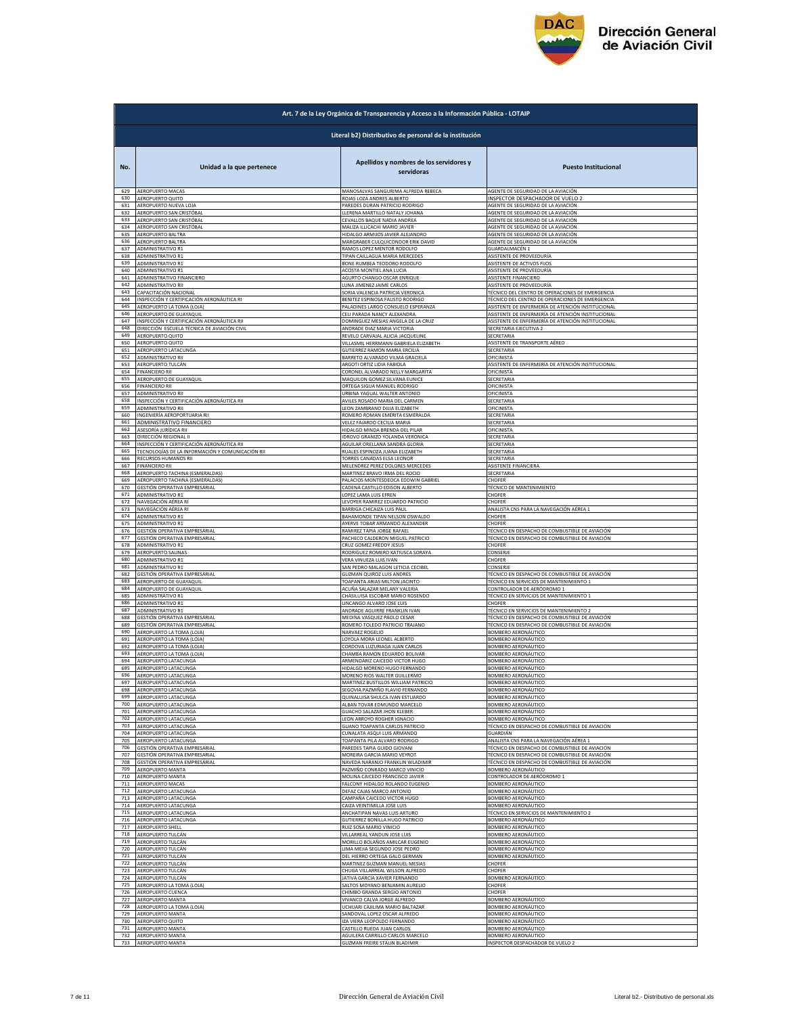

|            | Art. 7 de la Ley Orgánica de Transparencia y Acceso a la Información Pública - LOTAIP |                                                                      |                                                                                                  |  |
|------------|---------------------------------------------------------------------------------------|----------------------------------------------------------------------|--------------------------------------------------------------------------------------------------|--|
|            | Literal b2) Distributivo de personal de la institución                                |                                                                      |                                                                                                  |  |
| No.        | Unidad a la que pertenece                                                             | Apellidos y nombres de los servidores y<br>servidoras                | <b>Puesto Institucional</b>                                                                      |  |
| 629        | AEROPUERTO MACAS                                                                      | MANOSALVAS SANGURIMA ALFREDA REBECA                                  | AGENTE DE SEGURIDAD DE LA AVIACIÓN                                                               |  |
| 630        | AEROPUERTO QUITO                                                                      | ROJAS LOZA ANDRES ALBERTO                                            | INSPECTOR DESPACHADOR DE VUELO 2                                                                 |  |
| 631        | AEROPUERTO NUEVA LOJA                                                                 | PAREDES DURAN PATRICIO RODRIGO                                       | AGENTE DE SEGURIDAD DE LA AVIACIÓN                                                               |  |
| 632        | AEROPUERTO SAN CRISTÓBAL                                                              | LLERENA MARTILLO NATALY JOHANA                                       | AGENTE DE SEGURIDAD DE LA AVIACIÓN                                                               |  |
| 633        | AEROPUERTO SAN CRISTÓBAL                                                              | CEVALLOS BAQUE NADIA ANDREA                                          | AGENTE DE SEGURIDAD DE LA AVIACIÓN                                                               |  |
| 634        | AEROPUERTO SAN CRISTÓBAL                                                              | MALIZA ILLICACHI MARIO JAVIER                                        | AGENTE DE SEGURIDAD DE LA AVIACIÓN                                                               |  |
| 635        | AEROPUERTO BALTRA                                                                     | HIDALGO ARMIJOS JAVIER ALEJANDRO                                     | AGENTE DE SEGURIDAD DE LA AVIACIÓN                                                               |  |
| 636        | AEROPUERTO BALTRA                                                                     | MARGRABER CULQUICONDOR ERIK DAVID                                    | AGENTE DE SEGURIDAD DE LA AVIACIÓN                                                               |  |
| 637        | ADMINISTRATIVO R1                                                                     | RAMOS LOPEZ MENTOR RODOLFO                                           | <b>GUARDALMACÉN 1</b>                                                                            |  |
| 638        | ADMINISTRATIVO R1                                                                     | TIPAN CAILLAGUA MARIA MERCEDES                                       | ASISTENTE DE PROVEEDURÍA                                                                         |  |
| 639        | <b>ADMINISTRATIVO R1</b>                                                              | BONE RUMBEA TEODORO RODOLFO                                          | ASISTENTE DE ACTIVOS FIJOS                                                                       |  |
| 640        | ADMINISTRATIVO R1                                                                     | ACOSTA MONTIEL ANA LUCIA                                             | ASISTENTE DE PROVEEDURÍA                                                                         |  |
| 641        | ADMINISTRATIVO FINANCIERO                                                             | AGURTO CHANGO OSCAR ENRIQUE                                          | ASISTENTE FINANCIERO                                                                             |  |
| 642<br>643 | ADMINISTRATIVO RII                                                                    | LUNA JIMENEZ JAIME CARLOS                                            | ASISTENTE DE PROVEEDURÍA                                                                         |  |
| 644        | CAPACITACIÓN NACIONAL                                                                 | SORIA VALENCIA PATRICIA VERONICA                                     | TÉCNICO DEL CENTRO DE OPERACIONES DE EMERGENCIA                                                  |  |
|            | INSPECCIÓN Y CERTIFICACIÓN AERONÁUTICA RI                                             | BENITEZ ESPINOSA FAUSTO RODRIGO                                      | TÉCNICO DEL CENTRO DE OPERACIONES DE EMERGENCIA                                                  |  |
| 645        | AEROPUERTO LA TOMA (LOJA)                                                             | PALADINES LARGO CONSUELO ESPERANZA                                   | ASISTENTE DE ENFERMERÍA DE ATENCIÓN INSTITUCIONAL                                                |  |
| 646        | AEROPUERTO DE GUAYAQUIL                                                               | CELI PARADA NANCY ALEXANDRA                                          | ASISTENTE DE ENFERMERÍA DE ATENCIÓN INSTITUCIONAL                                                |  |
| 647        | INSPECCIÓN Y CERTIFICACIÓN AERONÁUTICA RII                                            | DOMINGUEZ MESIAS ANGELA DE LA CRUZ                                   | ASISTENTE DE ENFERMERÍA DE ATENCIÓN INSTITUCIONAL                                                |  |
| 648        | DIRECCIÓN ESCUELA TÉCNICA DE AVIACIÓN CIVIL                                           | ANDRADE DIAZ MARIA VICTORIA                                          | SECRETARIA EJECUTIVA 2                                                                           |  |
| 649        | AEROPUERTO QUITO                                                                      | REVELO CARVAJAL ALICIA JACQUELINE                                    | SECRETARIA                                                                                       |  |
| 650        | AEROPUERTO QUITO                                                                      | VILLASMIL HERRMANN GABRIELA ELIZABETH                                | ASISTENTE DE TRANSPORTE AÉREO                                                                    |  |
| 651<br>652 | AEROPUERTO LATACUNGA                                                                  | GUTIERREZ RAMON MARIA ERCILIA                                        | SECRETARIA<br>OFICINISTA                                                                         |  |
| 653        | ADMINISTRATIVO RII<br>AEROPUERTO TULCÁN                                               | BARRETO ALVARADO VILMA GRACIELA<br>ARGOTI ORTIZ LIDIA FABIOLA        | ASISTENTE DE ENFERMERÍA DE ATENCIÓN INSTITUCIONAL                                                |  |
| 654        | <b>FINANCIERO RII</b>                                                                 | CORONEL ALVARADO NELLY MARGARITA                                     | OFICINISTA                                                                                       |  |
| 655        | AEROPUERTO DE GUAYAQUIL                                                               | MAQUILON GOMEZ SILVANA EUNICE                                        | SECRETARIA                                                                                       |  |
| 656        | <b>FINANCIERO RII</b>                                                                 | ORTEGA SIGUA MANUEL RODRIGO                                          | OFICINISTA                                                                                       |  |
| 657        | ADMINISTRATIVO RII                                                                    | <b>JRBINA YAGUAL WALTER ANTONIO</b>                                  | OFICINISTA                                                                                       |  |
| 658        | INSPECCIÓN Y CERTIFICACIÓN AERONÁUTICA RII                                            | AVILES ROSADO MARIA DEL CARMEN                                       | SECRETARIA                                                                                       |  |
| 659        | ADMINISTRATIVO RII                                                                    | LEON ZAMBRANO DILIA ELIZABETH                                        | <b>OFICINISTA</b>                                                                                |  |
| 660        | INGENIERÍA AEROPORTUARIA RII                                                          | ROMERO ROMAN EMERITA ESMERALDA<br>VELEZ FAJARDO CECILIA MARIA        | <b>SECRETARIA</b>                                                                                |  |
| 661        | ADMINISTRATIVO FINANCIERO                                                             | HIDALGO MINDA BRENDA DEL PILAR                                       | SECRETARIA                                                                                       |  |
| 662        | ASESORÍA JURÍDICA RII                                                                 |                                                                      | OFICINISTA                                                                                       |  |
| 663        | DIRECCIÓN REGIONAL II                                                                 | IDROVO GRANIZO YOLANDA VERONICA                                      | SECRETARIA                                                                                       |  |
| 664        | INSPECCIÓN Y CERTIFICACIÓN AERONÁUTICA RII                                            | AGUILAR ORELLANA SANDRA GLORIA                                       | SECRETARIA                                                                                       |  |
| 665        | TECNOLOGÍAS DE LA INFORMACIÓN Y COMUNICACIÓN RII                                      | RUALES ESPINOZA JUANA ELIZABETH                                      | SECRETARIA                                                                                       |  |
| 666        | RECURSOS HUMANOS RII                                                                  | TORRES CANADAS ELSA LEONOR                                           | SECRETARIA                                                                                       |  |
| 667<br>668 | <b>FINANCIERO RII</b><br>AEROPUERTO TACHINA (ESMERALDAS)                              | MELENDREZ PEREZ DOLORES MERCEDES                                     | ASISTENTE FINANCIERA                                                                             |  |
| 669        | AEROPUERTO TACHINA (ESMERALDAS)                                                       | MARTINEZ BRAVO IRMA DEL ROCIO<br>PALACIOS MONTESDEOCA EDDWIN GABRIEL | SECRETARIA<br><b>CHOFER</b>                                                                      |  |
| 670        | GESTIÓN OPERATIVA EMPRESARIAL                                                         | CADENA CASTILLO EDISON ALBERTO                                       | <b>TÉCNICO DE MANTENIMIENTO</b>                                                                  |  |
| 671        | ADMINISTRATIVO R1                                                                     | LOPEZ LAMA LUIS EFREN                                                | CHOFER                                                                                           |  |
| 672        | NAVEGACIÓN AÉREA RI                                                                   | LEVOYER RAMIREZ EDUARDO PATRICIO                                     | <b>CHOFER</b>                                                                                    |  |
| 673        | NAVEGACIÓN AÉREA RI                                                                   | BARRIGA CHICAIZA LUIS PAUL                                           | ANALISTA CNS PARA LA NAVEGACIÓN AÉREA 1                                                          |  |
| 674        | ADMINISTRATIVO R1                                                                     | BAHAMONDE TIPAN NELSON OSWALDO                                       | CHOFER                                                                                           |  |
| 675        | ADMINISTRATIVO R1                                                                     | AYERVE TOBAR ARMANDO ALEXANDER                                       | <b>HOFER</b>                                                                                     |  |
| 676        | GESTIÓN OPERATIVA EMPRESARIAL                                                         | RAMIREZ TAPIA JORGE RAFAEL                                           | TÉCNICO EN DESPACHO DE COMBUSTIBLE DE AVIACIÓN                                                   |  |
| 677        | GESTIÓN OPERATIVA EMPRESARIAL                                                         | PACHECO CALDERON MIGUEL PATRICIO                                     | TÉCNICO EN DESPACHO DE COMBUSTIBLE DE AVIACIÓN                                                   |  |
| 678<br>679 | <b>ADMINISTRATIVO R1</b>                                                              | CRUZ GOMEZ FREDDY JESUS                                              | CHOFER                                                                                           |  |
| 680        | AEROPUERTO SALINAS                                                                    | RODRIGUEZ ROMERO KATIUSCA SORAYA                                     | CONSERJE                                                                                         |  |
|            | ADMINISTRATIVO R1                                                                     | VERA VINUEZA LUIS IVAN                                               | CHOFER                                                                                           |  |
| 681        | ADMINISTRATIVO R1                                                                     | SAN PEDRO MALAGON LETICIA CECIBEL                                    | CONSERJE                                                                                         |  |
| 682        | GESTIÓN OPERATIVA EMPRESARIAL                                                         | <b>GUZMAN QUIROZ LUIS ANDRES</b>                                     | TÉCNICO EN DESPACHO DE COMBUSTIBLE DE AVIACIÓN                                                   |  |
| 683        | AEROPUERTO DE GUAYAQUIL                                                               | TOAPANTA ARIAS MILTON JACINTO                                        | TÉCNICO EN SERVICIOS DE MANTENIMIENTO 1                                                          |  |
| 684        | AEROPUERTO DE GUAYAQUIL                                                               | ACUÑA SALAZAR MELANY VALERIA                                         | CONTROLADOR DE AERÓDROMO 1                                                                       |  |
| 685        | ADMINISTRATIVO R1                                                                     | CHASILUISA ESCOBAR MARIO ROSENDO                                     | TÉCNICO EN SERVICIOS DE MANTENIMIENTO 1                                                          |  |
| 686        | ADMINISTRATIVO R1                                                                     | LINCANGO ALVARO JOSE LUIS                                            | CHOFER                                                                                           |  |
| 687        | ADMINISTRATIVO R1                                                                     | ANDRADE AGUIRRE FRANKLIN IVAN                                        | TÉCNICO EN SERVICIOS DE MANTENIMIENTO 2                                                          |  |
| 688        | GESTIÓN OPERATIVA EMPRESARIAL                                                         | MEDINA VASQUEZ PAOLO CESAR                                           | TÉCNICO EN DESPACHO DE COMBUSTIBLE DE AVIACIÓN                                                   |  |
| 689        | GESTIÓN OPERATIVA EMPRESARIAL                                                         | ROMERO TOLEDO PATRICIO TRAJANO                                       | TÉCNICO EN DESPACHO DE COMBUSTIBLE DE AVIACIÓN                                                   |  |
| 690        | AEROPUERTO LA TOMA (LOJA)                                                             | NARVAEZ ROGELIO                                                      | BOMBERO AERONÁUTICO                                                                              |  |
| 691        | AEROPUERTO LA TOMA (LOJA)                                                             | LOYOLA MORA LEONEL ALBERTO                                           | BOMBERO AERONÁUTICO                                                                              |  |
| 692        | AEROPUERTO LA TOMA (LOJA)                                                             | CORDOVA LUZURIAGA JUAN CARLOS                                        | BOMBERO AERONÁUTICO                                                                              |  |
| 693        | AEROPUERTO LA TOMA (LOJA)                                                             | CHAMBA RAMON EDUARDO BOLIVAR                                         | <b>BOMBERO AERONÁUTICO</b>                                                                       |  |
| 694        | AEROPUERTO LATACUNGA                                                                  | ARMENDARIZ CAICEDO VICTOR HUGO                                       | BOMBERO AERONÁUTICO                                                                              |  |
| 695        | AEROPUERTO LATACUNGA                                                                  | HIDALGO MORENO HUGO FERNANDO                                         | <b>BOMBERO AERONÁUTICO</b>                                                                       |  |
| 696        | AFROPUERTO LATACUNGA                                                                  | MORENO RIOS WAI TER GUILLERMO                                        | BOMBERO AFRONÁLITICO                                                                             |  |
| 697        | AEROPUERTO LATACUNGA                                                                  | MARTINEZ BUSTILLOS WILLIAM PATRICIO                                  | <b>BOMBERO AERONÁUTICO</b>                                                                       |  |
| 698        | AEROPUERTO LATACUNGA                                                                  | SEGOVIA PAZMIÑO FLAVIO FERNANDO                                      | BOMBERO AERONÁUTICO                                                                              |  |
| 699        | AEROPUERTO LATACUNGA                                                                  | QUINALUISA SHULCA IVAN ESTUARDO                                      | BOMBERO AERONÁUTICO                                                                              |  |
| 700        | AEROPUERTO LATACUNGA                                                                  | ALBAN TOVAR EDMUNDO MARCELO                                          | BOMBERO AERONÁUTICO                                                                              |  |
| 701        | AEROPUERTO LATACUNGA                                                                  | GUACHO SALAZAR JHON KLEBER                                           | <b>BOMBERO AERONÁUTICO</b>                                                                       |  |
| 702        | AEROPUERTO LATACUNGA                                                                  | LEON ARROYO ROGHER IGNACIO                                           | BOMBERO AERONÁUTICO                                                                              |  |
| 703        | AEROPUERTO LATACUNGA                                                                  | <b>GUANO TOAPANTA CARLOS PATRICIO</b>                                | TÉCNICO EN DESPACHO DE COMBUSTIBLE DE AVIACIÓN                                                   |  |
| 704        | AEROPUERTO LATACUNGA                                                                  | CUNALATA ASQUI LUIS ARMANDO                                          | GUARDIÁN                                                                                         |  |
| 705        | AEROPUERTO LATACUNGA                                                                  | TOAPANTA PILA ALVARO RODRIGO                                         | ANALISTA CNS PARA LA NAVEGACIÓN AÉREA 1                                                          |  |
| 706        | <b>GESTIÓN OPERATIVA EMPRESARIAL</b>                                                  | PAREDES TAPIA GUIDO GIOVANI                                          | TÉCNICO EN DESPACHO DE COMBUSTIBLE DE AVIACIÓN                                                   |  |
| 707        | GESTIÓN OPERATIVA EMPRESARIAL                                                         | MOREIRA GARCIA MARIO VEYROT                                          | TÉCNICO EN DESPACHO DE COMBUSTIBLE DE AVIACIÓN<br>FÉCNICO EN DESPACHO DE COMBUSTIBLE DE AVIACIÓN |  |
| 708        | SESTIÓN OPERATIVA EMPRESARIAL                                                         | NAVEDA NARANJO FRANKLIN WLADIMIR                                     | BOMBERO AERONÁUTICO                                                                              |  |
| 709        | AEROPUERTO MANTA                                                                      | PAZMIÑO CONRADO MARCO VINICIO                                        |                                                                                                  |  |
| 710        | <b>AEROPUERTO MANTA</b>                                                               | MOLINA CAICEDO FRANCISCO JAVIER                                      | CONTROLADOR DE AERÓDROMO 1                                                                       |  |
| 711        | AEROPUERTO MACAS                                                                      | FALCONY HIDALGO ROLANDO EUGENIO                                      | BOMBERO AERONÁUTICO                                                                              |  |
| 712        | AEROPUERTO LATACUNGA                                                                  | DEFAZ CAJAS MARCO ANTONIO                                            | BOMBERO AERONÁUTICO                                                                              |  |
| 713        | AEROPUERTO LATACUNGA                                                                  | CAMPAÑA CAICEDO VICTOR HUGO                                          | BOMBERO AERONÁUTICO                                                                              |  |
| 714        | AEROPUERTO LATACUNGA                                                                  | CAIZA VEINTIMILLA JOSE LUIS                                          | <b>BOMBERO AERONÁUTICO</b>                                                                       |  |
| 715        | AEROPUERTO LATACUNGA                                                                  | ANCHATIPAN NAVAS LUIS ARTURO                                         | TÉCNICO EN SERVICIOS DE MANTENIMIENTO 2                                                          |  |
| 716        | AEROPUERTO LATACUNGA                                                                  | GUTIERREZ BONILLA HUGO PATRICIO                                      | BOMBERO AERONÁUTICO                                                                              |  |
| 717        | AEROPUERTO SHELL                                                                      | RUIZ SOSA MARIO VINICIO                                              | BOMBERO AERONÁUTICO                                                                              |  |
| 718        | AEROPUERTO TULCÁN                                                                     | VILLARREAL YANDUN JOSE LUIS                                          | BOMBERO AERONÁUTICO                                                                              |  |
| 719        | AEROPUERTO TULCÁN                                                                     | MORILLO BOLAÑOS AMILCAR EUGENIO                                      | BOMBERO AERONÁUTICO                                                                              |  |
| 720        | AEROPUERTO TULCÁN                                                                     | LIMA MEJIA SEGUNDO JOSE PEDRO                                        | BOMBERO AERONÁUTICO                                                                              |  |
| 721        | AEROPUERTO TULCÁN                                                                     | DEL HIERRO ORTEGA GALO GERMAN                                        | <b>BOMBERO AERONÁUTICO</b>                                                                       |  |
| 722        | AEROPUERTO TULCÁN                                                                     | MARTINEZ GUZMAN MANUEL MESIAS                                        | <b>CHOFER</b>                                                                                    |  |
| 723        | AEROPUERTO TULCÁN                                                                     | CHUGA VILLARREAL WILSON ALFREDO                                      | CHOFER                                                                                           |  |
| 724        | AEROPUERTO TULCÁN                                                                     | ATIVA GARCIA XAVIER FERNANDO                                         | BOMBERO AERONÁUTICO                                                                              |  |
| 725<br>726 | <b>AEROPUERTO LA TOMA (LOJA)</b>                                                      | SALTOS MOYANO BENJAMIN AURELIO                                       | <b>CHOFER</b><br><b>CHOFER</b>                                                                   |  |
| 727        | AEROPUERTO CUENCA<br>AEROPUERTO MANTA                                                 | CHIMBO GRANDA SERGIO ANTONIO<br>VIVANCO CALVA JORGE ALFREDO          | BOMBERO AERONÁUTICO                                                                              |  |
| 728        | AEROPUERTO LA TOMA (LOJA)                                                             | UCHUARI CAJILIMA MARIO BALTAZAR                                      | BOMBERO AERONÁUTICO                                                                              |  |
| 729        | AEROPUERTO MANTA                                                                      | SANDOVAL LOPEZ OSCAR ALFREDO                                         | BOMBERO AERONÁUTICO                                                                              |  |
| 730        | AEROPUERTO QUITO                                                                      | IZA VIERA LEOPOLDO FERNANDO                                          | <b>BOMBERO AERONÁUTICO</b>                                                                       |  |
| 731        | AEROPUERTO MANTA                                                                      | CASTILLO RUEDA JUAN CARLOS                                           | BOMBERO AERONÁUTICO                                                                              |  |
| 732        | <b>AEROPUERTO MANTA</b>                                                               | AGUILERA CARRILLO CARLOS MARCELO                                     | BOMBERO AERONÁUTICO                                                                              |  |
| 733        | AEROPUERTO MANTA                                                                      | GUZMAN FREIRE STALIN BLADIMIR                                        | INSPECTOR DESPACHADOR DE VUELO 2                                                                 |  |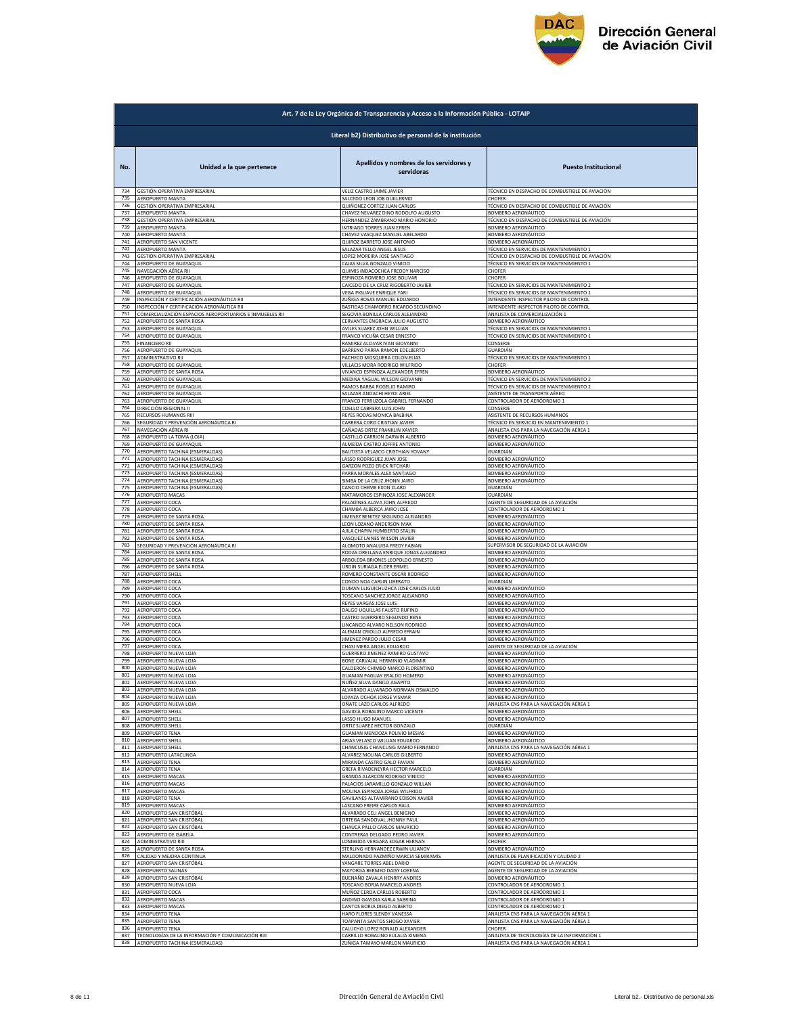

|            | Art. 7 de la Ley Orgánica de Transparencia y Acceso a la Información Pública - LOTAIP |                                                                                    |                                                                               |  |
|------------|---------------------------------------------------------------------------------------|------------------------------------------------------------------------------------|-------------------------------------------------------------------------------|--|
|            | Literal b2) Distributivo de personal de la institución                                |                                                                                    |                                                                               |  |
| No.<br>734 | Unidad a la que pertenece<br>GESTIÓN OPERATIVA EMPRESARIAL                            | Apellidos y nombres de los servidores y<br>servidoras<br>VELIZ CASTRO JAIME JAVIER | <b>Puesto Institucional</b><br>TÉCNICO EN DESPACHO DE COMBUSTIBLE DE AVIACIÓN |  |
| 735        | AEROPUERTO MANTA                                                                      | SALCEDO LEON JOB GUILLERMO                                                         | CHOFER                                                                        |  |
| 736        | GESTIÓN OPERATIVA EMPRESARIAL                                                         | QUIÑONEZ CORTEZ JUAN CARLOS                                                        | TÉCNICO EN DESPACHO DE COMBUSTIBLE DE AVIACIÓN                                |  |
| 737        | <b>AEROPUERTO MANTA</b>                                                               | CHAVEZ NEVAREZ DINO RODOLFO AUGUSTO                                                | <b>BOMBERO AERONÁUTICO</b>                                                    |  |
| 738        | GESTIÓN OPERATIVA EMPRESARIAL                                                         | HERNANDEZ ZAMBRANO MARIO HONORIO                                                   | TÉCNICO EN DESPACHO DE COMBUSTIBLE DE AVIACIÓN                                |  |
| 739        | AEROPUERTO MANTA                                                                      | INTRIAGO TORRES JUAN EFREN                                                         | BOMBERO AERONÁUTICO                                                           |  |
| 740        | AEROPUERTO MANTA                                                                      | CHAVEZ VASQUEZ MANUEL ABELARDO                                                     | BOMBERO AERONÁUTICO                                                           |  |
| 741        | AEROPUERTO SAN VICENTE                                                                | QUIROZ BARRETO JOSE ANTONIO                                                        | BOMBERO AERONÁUTICO                                                           |  |
| 742        | AEROPUERTO MANTA                                                                      | SALAZAR TELLO ANGEL JESUS                                                          | TÉCNICO EN SERVICIOS DE MANTENIMIENTO 1                                       |  |
| 743        | GESTIÓN OPERATIVA EMPRESARIAL                                                         | LOPEZ MOREIRA JOSE SANTIAGO                                                        | FÉCNICO EN DESPACHO DE COMBUSTIBLE DE AVIACIÓN                                |  |
| 744        | AEROPUERTO DE GUAYAQUIL                                                               | CAJAS SILVA GONZALO VINICIO                                                        | TÉCNICO EN SERVICIOS DE MANTENIMIENTO 1                                       |  |
| 745        | NAVEGACIÓN AÉREA RII                                                                  | QUIMIS INDACOCHEA FREDDY NARCISO                                                   | CHOFFR                                                                        |  |
| 746        | AEROPUERTO DE GUAYAQUII                                                               | ESPINOZA ROMERO JOSE BOLIVAR                                                       | CHOFER                                                                        |  |
| 747        | AEROPUERTO DE GUAYAQUIL                                                               | CAICEDO DE LA CRUZ RIGOBERTO JAVIER                                                | TÉCNICO EN SERVICIOS DE MANTENIMIENTO 2                                       |  |
| 748        | AEROPUERTO DE GUAYAQUIL                                                               | VEGA PIGUAVE ENRIQUE YARI                                                          | TÉCNICO EN SERVICIOS DE MANTENIMIENTO 1                                       |  |
| 749        | INSPECCIÓN Y CERTIFICACIÓN AERONÁUTICA RII                                            | <u>ZUÑIGA ROSAS MANUEL EDUARDO</u>                                                 | INTENDENTE INSPECTOR PILOTO DE CONTROL                                        |  |
| 750        | INSPECCIÓN Y CERTIFICACIÓN AERONÁUTICA RII                                            | BASTIDAS CHAMORRO RICARDO SECUNDINO                                                | NTENDENTE INSPECTOR PILOTO DE CONTROL                                         |  |
| 751        | COMERCIALIZACIÓN ESPACIOS AEROPORTUARIOS E INMUEBLES RII                              | SEGOVIA BONILLA CARLOS ALEJANDRO                                                   | ANALISTA DE COMERCIALIZACIÓN 1                                                |  |
| 752<br>753 | <b>AEROPUERTO DE SANTA ROSA</b>                                                       | CERVANTES ENGRACIA JULIO AUGUSTO                                                   | BOMBERO AERONÁUTICO                                                           |  |
| 754        | AEROPUERTO DE GUAYAQUIL                                                               | AVILES SUAREZ JOHN WILLIAN                                                         | TÉCNICO EN SERVICIOS DE MANTENIMIENTO 1                                       |  |
|            | AEROPUERTO DE GUAYAQUIL                                                               | FRANCO VICUÑA CESAR ERNESTO                                                        | TÉCNICO EN SERVICIOS DE MANTENIMIENTO 1                                       |  |
| 755        | <b>FINANCIERO RII</b>                                                                 | RAMIREZ ALCIVAR IVAN GIOVANNI                                                      | CONSERJE                                                                      |  |
| 756        | AEROPUERTO DE GUAYAQUIL                                                               | BARRENO PARRA RAMON EDELBERTO                                                      | GUARDIÁN                                                                      |  |
| 757        | ADMINISTRATIVO RII                                                                    | PACHECO MOSQUERA COLON ELIAS                                                       | TÉCNICO EN SERVICIOS DE MANTENIMIENTO 1                                       |  |
| 758        | AEROPUERTO DE GUAYAQUIL                                                               | VILLACIS MORA RODRIGO WILFRIDO                                                     | CHOFER                                                                        |  |
| 759        | AEROPUERTO DE SANTA ROSA                                                              | VIVANCO ESPINOZA ALEXANDER EFREN                                                   | <b>3OMBERO AERONÁUTICO</b>                                                    |  |
| 760        | AEROPUERTO DE GUAYAQUIL                                                               | MEDINA YAGUAL WILSON GIOVANNI                                                      | TÉCNICO EN SERVICIOS DE MANTENIMIENTO 2                                       |  |
| 761        | AEROPUERTO DE GUAYAQUIL                                                               | RAMOS BARBA ROGELIO RAMIRO                                                         | TÉCNICO EN SERVICIOS DE MANTENIMIENTO 2                                       |  |
| 762        | AEROPUERTO DE GUAYAQUIL                                                               | SALAZAR ANDACHI HEYDI ARIEL                                                        | ASISTENTE DE TRANSPORTE AÉREO                                                 |  |
| 763        | AEROPUERTO DE GUAYAQUIL                                                               | FRANCO FERRUZOLA GABRIEL FERNANDO                                                  | CONTROLADOR DE AERÓDROMO 1                                                    |  |
| 764        | DIRECCIÓN REGIONAL II                                                                 | COELLO CABRERA LUIS JOHN                                                           | CONSERJE                                                                      |  |
| 765<br>766 | RECURSOS HUMANOS RIII                                                                 | REYES RODAS MONICA BALBINA                                                         | ASISTENTE DE RECURSOS HUMANOS                                                 |  |
| 767        | SEGURIDAD Y PREVENCIÓN AERONÁUTICA RI                                                 | CARRERA CORO CRISTIAN JAVIER                                                       | TÉCNICO EN SERVICIO EN MANTENIMIENTO 1                                        |  |
|            | NAVEGACIÓN AÉREA RI                                                                   | CAÑADAS ORTIZ FRANKLIN XAVIER                                                      | ANALISTA CNS PARA LA NAVEGACIÓN AÉREA 1                                       |  |
| 768        | AEROPUERTO LA TOMA (LOJA)                                                             | CASTILLO CARRION DARWIN ALBERTO                                                    | BOMBERO AERONÁUTICO                                                           |  |
| 769        | AEROPUERTO DE GUAYAQUIL                                                               | ALMEIDA CASTRO JOFFRE ANTONIO                                                      | BOMBERO AERONÁUTICO                                                           |  |
| 770        | AEROPUERTO TACHINA (ESMERALDAS)                                                       | BAUTISTA VELASCO CRISTHIAN YOVANY                                                  | GUARDIÁN                                                                      |  |
| 771        | AEROPUERTO TACHINA (ESMERALDAS)                                                       | LASSO RODRIGUEZ JUAN JOSE                                                          | BOMBERO AERONÁUTICO                                                           |  |
| 772        | AEROPUERTO TACHINA (ESMERALDAS)                                                       | <b>GARZON POZO ERICK RITCHARI</b>                                                  | BOMBERO AERONÁUTICO                                                           |  |
| 773<br>774 | AEROPUERTO TACHINA (ESMERALDAS)                                                       | PARRA MORALES ALEX SANTIAGO                                                        | <b>BOMBERO AERONÁUTICO</b>                                                    |  |
| 775        | AEROPUERTO TACHINA (ESMERALDAS)                                                       | SIMBA DE LA CRUZ JHONN JAIRO                                                       | BOMBERO AERONÁUTICO                                                           |  |
|            | AEROPUERTO TACHINA (ESMERALDAS)                                                       | CANCIO CHEME EXON CLARD                                                            | <b>GUARDIÁN</b>                                                               |  |
| 776        | AEROPUERTO MACAS                                                                      | MATAMOROS ESPINOZA JOSE ALEXANDER                                                  | <b>GUARDIÁN</b>                                                               |  |
| 777        | AEROPUERTO COCA                                                                       | PALADINES ALAVA JOHN ALFREDO                                                       | AGENTE DE SEGURIDAD DE LA AVIACIÓN                                            |  |
| 778<br>779 | AEROPUERTO COCA                                                                       | CHAMBA ALBERCA JAIRO JOSE                                                          | CONTROLADOR DE AERÓDROMO 1                                                    |  |
| 780        | AEROPUERTO DE SANTA ROSA                                                              | <b>IIMENEZ BENITEZ SEGUNDO ALEJANDRO</b>                                           | <b>BOMBERO AERONÁUTICO</b>                                                    |  |
|            | AEROPUERTO DE SANTA ROSA                                                              | LEON LOZANO ANDERSON MAX                                                           | BOMBERO AERONÁUTICO                                                           |  |
| 781        | AEROPUERTO DE SANTA ROSA                                                              | AJILA CHAPIN HUMBERTO STALIN                                                       | <b>BOMBERO AERONÁUTICO</b>                                                    |  |
| 782        | AEROPUERTO DE SANTA ROSA                                                              | VASQUEZ LAINES WILSON JAVIER                                                       | <b>BOMBERO AERONÁUTICO</b>                                                    |  |
| 783        | SEGURIDAD Y PREVENCIÓN AERONÁUTICA RI                                                 | ALOMOTO ANALUISA FREDY FABIAN                                                      | SUPERVISOR DE SEGURIDAD DE LA AVIACIÓN                                        |  |
| 784        | AEROPUERTO DE SANTA ROSA                                                              | RODAS ORELLANA ENRIQUE JONAS ALEJANDRO                                             | <b>3OMBERO AERONÁUTICO</b>                                                    |  |
| 785        | AEROPUERTO DE SANTA ROSA                                                              | ARBOLEDA BRIONES LEOPOLDO ERNESTO                                                  | BOMBERO AERONÁUTICO                                                           |  |
| 786        | AEROPUERTO DE SANTA ROSA                                                              | URDIN SURIAGA ELDER ERMEL                                                          | BOMBERO AERONÁUTICO                                                           |  |
| 787        | <b>AEROPUERTO SHELL</b>                                                               | ROMERO CONSTANTE OSCAR RODRIGO                                                     | BOMBERO AERONÁUTICO                                                           |  |
| 788        | AEROPUERTO COCA                                                                       | CONDO NOA CARLIN LIBERATO                                                          | GUARDIÁN                                                                      |  |
| 789        | AEROPUERTO COCA                                                                       | DUMAN LLIGUICHUZHCA JOSE CARLOS JULIO                                              | BOMBERO AERONÁUTICO                                                           |  |
| 790        | AEROPUERTO COCA                                                                       | TOSCANO SANCHEZ JORGE ALEJANDRO                                                    | BOMBERO AERONÁUTICO                                                           |  |
| 791        | AEROPUERTO COCA                                                                       | REYES VARGAS JOSE LUIS                                                             | BOMBERO AERONÁUTICO                                                           |  |
| 792        | AEROPUERTO COCA                                                                       | DALGO UQUILLAS FAUSTO RUFINO                                                       | <b>3OMBERO AERONÁUTICO</b>                                                    |  |
| 793        | AEROPUERTO COCA                                                                       | CASTRO GUERRERO SEGUNDO RENE                                                       | <b>BOMBERO AERONÁUTICO</b>                                                    |  |
| 794        | AEROPUERTO COCA                                                                       | LINCANGO ALVARO NELSON RODRIGO                                                     | BOMBERO AERONÁUTICO                                                           |  |
| 795        | AEROPUERTO COCA                                                                       | ALEMAN CRIOLLO ALFREDO EFRAIN                                                      | BOMBERO AERONÁUTICO                                                           |  |
| 796        | AEROPUERTO COCA                                                                       | JIMENEZ PARDO JULIO CESAR                                                          | BOMBERO AERONÁUTICO                                                           |  |
| 797        | AEROPUERTO COCA                                                                       | CHASI MERA ANGEL EDUARDO                                                           | AGENTE DE SEGURIDAD DE LA AVIACIÓN                                            |  |
| 798        | AEROPUERTO NUEVA LOJA                                                                 | GUERRERO JIMENEZ RAMIRO GUSTAVO                                                    | <b>BOMBERO AERONÁUTICO</b>                                                    |  |
| 799        | AEROPUERTO NUEVA LOJA                                                                 | BONE CARVAIAL HERMINIO VI ADIMIR                                                   | BOMBERO AERONÁUTICO                                                           |  |
| 800        | AEROPUERTO NUEVA LOJA                                                                 | CALDERON CHIMBO MARCO FLORENTINO                                                   | BOMBERO AERONÁUTICO                                                           |  |
| 801        | AEROPUERTO NUEVA LOJA                                                                 | GUAMAN PAGUAY ERALDO HOMERO                                                        | BOMBERO AERONÁUTICO                                                           |  |
| 802        | AEROPUERTO NUEVA LOJA                                                                 | <u>NUÑEZ SILVA DANILO AGAPITO</u>                                                  | <b>BOMBERO AERONÁUTICO</b>                                                    |  |
| 803        | AEROPUERTO NUEVA LOJA                                                                 | ALVARADO ALVARADO NORMAN OSWALDO                                                   | BOMBERO AERONÁUTICO                                                           |  |
| 804        | AEROPUERTO NUEVA LOJA                                                                 | LOAYZA OCHOA JORGE VISMAR                                                          | BOMBERO AERONÁUTICO                                                           |  |
| 805        | AEROPUERTO NUEVA LOJA                                                                 | OÑATE LAZO CARLOS ALFREDO                                                          | ANALISTA CNS PARA LA NAVEGACIÓN AÉREA 1                                       |  |
| 806        | AEROPUERTO SHELL                                                                      | GAVIDIA ROBALINO MARCO VICENTE                                                     | BOMBERO AERONÁUTICO                                                           |  |
| 807        | AEROPUERTO SHELL                                                                      | LASSO HUGO MANUEL                                                                  | BOMBERO AERONÁUTICO                                                           |  |
| 808        | AEROPUERTO SHELL                                                                      | ORTIZ SUAREZ HECTOR GONZALO                                                        | <b>GUARDIÁN</b>                                                               |  |
| 809        | AEROPUERTO TENA                                                                       | GUAMAN MENDOZA POLIVIO MESIAS                                                      | <b>BOMBERO AERONÁUTICO</b>                                                    |  |
| 810        | AEROPUERTO SHELL                                                                      | ARIAS VELASCO WILLIAN EDUARDO                                                      | BOMBERO AERONÁUTICO                                                           |  |
| 811        | <b>AEROPUERTO SHELI</b>                                                               | CHANCUSIG CHANCUSIG MARIO FERNANDO                                                 | ANALISTA CNS PARA LA NAVEGACIÓN AÉREA 1                                       |  |
| 812        | AEROPUERTO LATACUNGA                                                                  | ALVAREZ MOLINA CARLOS GILBERTO                                                     | BOMBERO AERONÁUTICO                                                           |  |
| 813        | <b>AEROPUERTO TENA</b>                                                                | MIRANDA CASTRO GALO FAVIAN                                                         | BOMBERO AERONÁUTICO                                                           |  |
| 814        | <b>AEROPUERTO TENA</b>                                                                | GREFA RIVADENEYRA HECTOR MARCELO                                                   | GUARDIÁN                                                                      |  |
| 815        |                                                                                       | GRANDA ALARCON RODRIGO VINICIO                                                     | <b>BOMBERO AERONÁUTICO</b>                                                    |  |
| 816        | AEROPUERTO MACAS<br>AEROPUERTO MACAS                                                  | PALACIOS JARAMILLO GONZALO WILLAN                                                  | <b>BOMBERO AERONÁUTICO</b>                                                    |  |
| 817        | AEROPUERTO MACAS                                                                      | MOLINA ESPINOZA JORGE WILFRIDO                                                     | <b>BOMBERO AERONÁUTICO</b>                                                    |  |
| 818        | AEROPUERTO TENA                                                                       | GAVILANES ALTAMIRANO EDISON XAVIER                                                 | BOMBERO AERONÁUTICO                                                           |  |
| 819        | AEROPUERTO MACAS                                                                      | LASCANO FREIRE CARLOS RAUL                                                         | BOMBERO AERONÁUTICO                                                           |  |
|            | AEROPUERTO SAN CRISTÓBAL                                                              | ALVARADO CELI ANGEL BENIGNO                                                        | BOMBERO AERONÁUTICO                                                           |  |
| 820<br>821 | AEROPUERTO SAN CRISTÓBAL                                                              | ORTEGA SANDOVAL JHONNY PAUL                                                        | <b>BOMBERO AERONÁUTICO</b>                                                    |  |
| 822        | AEROPUERTO SAN CRISTÓBAL                                                              | CHAUCA PALLO CARLOS MAURICIO                                                       | BOMBERO AERONÁUTICO                                                           |  |
| 823        | AEROPUERTO DE ISABELA                                                                 | CONTRERAS DELGADO PEDRO JAVIER                                                     | BOMBERO AERONÁUTICO                                                           |  |
| 824        | ADMINISTRATIVO RIII                                                                   | LOMBEIDA VERGARA EDGAR HERNAN                                                      | CHOFER                                                                        |  |
| 825        | AEROPUERTO DE SANTA ROSA                                                              | STERLING HERNANDEZ ERWIN ULIANOV                                                   | <b>3OMBERO AERONÁUTICO</b>                                                    |  |
| 826        | CALIDAD Y MEJORA CONTINUA                                                             | MALDONADO PAZMIÑO MARCIA SEMIRAMIS                                                 | ANALISTA DE PLANIFICACIÓN Y CALIDAD 2                                         |  |
| 827        | AEROPUERTO SAN CRISTÓBAL                                                              | YANGARE TORRES ABEL DARIO                                                          | AGENTE DE SEGURIDAD DE LA AVIACIÓN                                            |  |
| 828        | AEROPUERTO SALINAS                                                                    | MAYORGA BERMEO DAISY LORENA                                                        | AGENTE DE SEGURIDAD DE LA AVIACIÓN                                            |  |
| 829        | AEROPUERTO SAN CRISTÓBAL                                                              | BUENAÑO ZAVALA HENRRY ANDRES                                                       | BOMBERO AERONÁUTICO                                                           |  |
| 830        | AEROPUERTO NUEVA LOJA                                                                 | TOSCANO BORJA MARCELO ANDRES                                                       | CONTROLADOR DE AERÓDROMO 1                                                    |  |
| 831        | AEROPUERTO COCA                                                                       | MUÑOZ CERDA CARLOS ROBERTO                                                         | CONTROLADOR DE AERÓDROMO 1                                                    |  |
| 832        | AEROPUERTO MACAS                                                                      | ANDINO GAVIDIA KARLA SABRINA                                                       | <u>CONTROLADOR DE AERÓDROMO 1</u>                                             |  |
| 833        | AEROPUERTO MACAS                                                                      | CANTOS BORJA DIEGO ALBERTO                                                         | CONTROLADOR DE AERÓDROMO 1                                                    |  |
| 834        | AEROPUERTO TENA                                                                       | HARO FLORES SLENDY VANESSA                                                         | ANALISTA CNS PARA LA NAVEGACIÓN AÉREA 1                                       |  |
| 835        | <b>AEROPUERTO TENA</b>                                                                | TOAPANTA SANTOS SHOGO XAVIER                                                       | ANALISTA CNS PARA LA NAVEGACIÓN AÉREA 1                                       |  |
| 836        | <b>AEROPUERTO TENA</b>                                                                | CALUCHO LOPEZ RONALD ALEXANDER                                                     | CHOFFR                                                                        |  |
| 837        | TECNOLOGÍAS DE LA INFORMACIÓN Y COMUNICACIÓN RIII                                     | CARRILLO ROBALINO EULALIA XIMENA                                                   | ANALISTA DE TECNOLOGÍAS DE LA INFORMACIÓN 1                                   |  |
| 838        | AEROPUERTO TACHINA (ESMERALDAS)                                                       | ZUÑIGA TAMAYO MARLON MAURICIO                                                      | ANALISTA CNS PARA LA NAVEGACIÓN AÉREA 1                                       |  |
|            |                                                                                       |                                                                                    |                                                                               |  |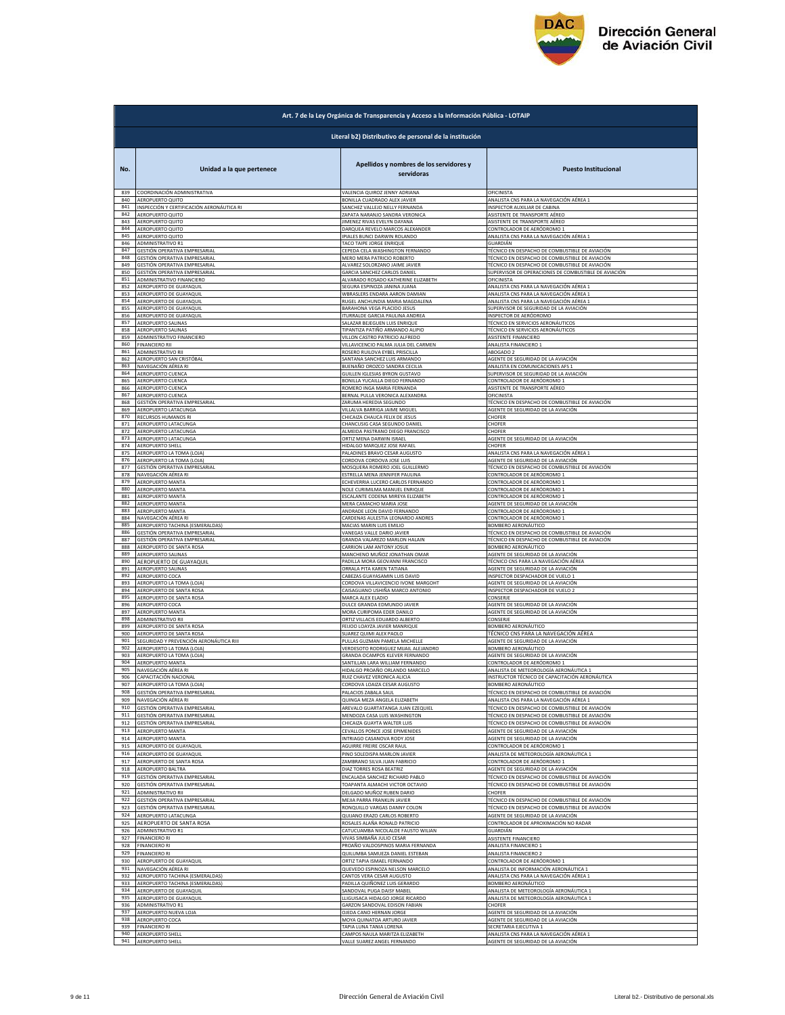

|            | Art. 7 de la Ley Orgánica de Transparencia y Acceso a la Información Pública - LOTAIP |                                                          |                                                                      |  |
|------------|---------------------------------------------------------------------------------------|----------------------------------------------------------|----------------------------------------------------------------------|--|
|            | Literal b2) Distributivo de personal de la institución                                |                                                          |                                                                      |  |
| No.        | Unidad a la que pertenece                                                             | Apellidos y nombres de los servidores y<br>servidoras    | <b>Puesto Institucional</b>                                          |  |
| 839        | COORDINACIÓN ADMINISTRATIVA                                                           | VALENCIA QUIROZ JENNY ADRIANA                            | OFICINISTA                                                           |  |
| 840        | AEROPUERTO QUITO                                                                      | BONILLA CUADRADO ALEX JAVIER                             | ANALISTA CNS PARA LA NAVEGACIÓN AÉREA 1                              |  |
| 841        | INSPECCIÓN Y CERTIFICACIÓN AERONÁUTICA RI                                             | SANCHEZ VALLEJO NELLY FERNANDA                           | INSPECTOR AUXILIAR DE CABINA                                         |  |
| 842        |                                                                                       | ZAPATA NARANJO SANDRA VERONICA                           | ASISTENTE DE TRANSPORTE AÉREO                                        |  |
| 843        | AEROPUERTO QUITO<br>AEROPUERTO QUITO                                                  | JIMENEZ RIVAS EVELYN DAYANA                              | ASISTENTE DE TRANSPORTE AÉREO                                        |  |
| 844        | AEROPUERTO QUITO                                                                      | DARQUEA REVELO MARCOS ALEXANDER                          | CONTROLADOR DE AERÓDROMO 1                                           |  |
| 845        | AEROPUERTO QUITO                                                                      | IPIALES BUNCI DARWIN ROLANDO                             | ANALISTA CNS PARA LA NAVEGACIÓN AÉREA 1                              |  |
| 846        | ADMINISTRATIVO R1                                                                     | TACO TAIPE JORGE ENRIQUI                                 | GUARDIÁN                                                             |  |
| 847        | <b>GESTIÓN OPERATIVA EMPRESARIA</b>                                                   | CEPEDA CELA WASHINGTON FERNANDO                          | TÉCNICO EN DESPACHO DE COMBUSTIBLE DE AVIACIÓN                       |  |
| 848        | GESTIÓN OPERATIVA EMPRESARIAL                                                         | MERO MERA PATRICIO ROBERTO                               | TÉCNICO EN DESPACHO DE COMBUSTIBLE DE AVIACIÓN                       |  |
| 849        | GESTIÓN OPERATIVA EMPRESARIAL                                                         | ALVAREZ SOLORZANO JAIME JAVIER                           | TÉCNICO EN DESPACHO DE COMBUSTIBLE DE AVIACIÓN                       |  |
| 850        | GESTIÓN OPERATIVA EMPRESARIAL                                                         | GARCIA SANCHEZ CARLOS DANIEL                             | SUPERVISOR DE OPERACIONES DE COMBUSTIBLE DE AVIACIÓN                 |  |
| 851        | ADMINISTRATIVO FINANCIERO                                                             | ALVARADO ROSADO KATHERINE ELIZABETH                      | OFICINISTA                                                           |  |
| 852        | AEROPUERTO DE GUAYAQUIL                                                               | SEGURA ESPINOZA JANINA JUANA                             | ANALISTA CNS PARA LA NAVEGACIÓN AÉREA 1                              |  |
| 853        | AEROPUERTO DE GUAYAQUIL                                                               | WBRASLERS ENDARA AARON DAMIAN                            | ANALISTA CNS PARA LA NAVEGACIÓN AÉREA 1                              |  |
| 854        | AEROPUERTO DE GUAYAQUIL                                                               | RUGEL ANCHUNDIA MARIA MAGDALENA                          | ANALISTA CNS PARA LA NAVEGACIÓN AÉREA 1                              |  |
| 855        | AEROPUERTO DE GUAYAQUIL                                                               | BARAHONA VEGA PLACIDO JESUS                              | SUPERVISOR DE SEGURIDAD DE LA AVIACIÓN                               |  |
| 856        | AEROPUERTO DE GUAYAQUIL                                                               | ITURRALDE GARCIA PAULINA ANDREA                          | INSPECTOR DE AERÓDROMO                                               |  |
| 857        | AEROPUERTO SALINAS                                                                    | SALAZAR BEJEGUEN LUIS ENRIQUE                            | TÉCNICO EN SERVICIOS AERONÁUTICOS                                    |  |
| 858        | AEROPUERTO SALINAS                                                                    | TIPANTIZA PATIÑO ARMANDO ALIPIO                          | TÉCNICO EN SERVICIOS AERONÁUTICOS                                    |  |
| 859        | ADMINISTRATIVO FINANCIERO                                                             | VILLON CASTRO PATRICIO ALFREDO                           | ASISTENTE FINANCIERO                                                 |  |
| 860        | FINANCIERO RII                                                                        | VILLAVICENCIO PALMA JULIA DEL CARMEN                     | ANALISTA FINANCIERO 1                                                |  |
| 861        | ADMINISTRATIVO RII                                                                    | ROSERO RUILOVA EYBEL PRISCILLA                           | ABOGADO 2                                                            |  |
| 862        | AEROPUERTO SAN CRISTÓBAL                                                              | SANTANA SANCHEZ LUIS ARMANDO                             | AGENTE DE SEGURIDAD DE LA AVIACIÓN                                   |  |
| 863<br>864 | NAVEGACIÓN AÉREA RI                                                                   | BUENAÑO OROZCO SANDRA CECILIA                            | ANALISTA EN COMUNICACIONES AFS                                       |  |
| 865        | <b>AEROPUERTO CUENCA</b>                                                              | GUILLEN IGLESIAS BYRON GUSTAVO                           | SUPERVISOR DE SEGURIDAD DE LA AVIACIÓN                               |  |
|            | AEROPUERTO CUENCA                                                                     | BONILLA YUCAILLA DIEGO FERNANDO                          | CONTROLADOR DE AERÓDROMO 1                                           |  |
| 866        | AEROPUERTO CUENCA                                                                     | ROMERO INGA MARIA FERNANDA                               | ASISTENTE DE TRANSPORTE AÉREO                                        |  |
| 867        | AEROPUERTO CUENCA                                                                     | BERNAL PULLA VERONICA ALEXANDRA                          | OFICINISTA                                                           |  |
| 868        | GESTIÓN OPERATIVA EMPRESARIAL                                                         | ZARUMA HEREDIA SEGUNDO                                   | ÉCNICO EN DESPACHO DE COMBUSTIBLE DE AVIACIÓN                        |  |
| 869        | AEROPUERTO LATACUNGA                                                                  | VILLALVA BARRIGA JAIME MIGUEL                            | AGENTE DE SEGURIDAD DE LA AVIACIÓN                                   |  |
| 870        | RECURSOS HUMANOS RI                                                                   | CHICAIZA CHAUCA FELIX DE JESUS                           | CHOFER                                                               |  |
| 871        | AEROPUERTO LATACUNGA                                                                  | CHANCUSIG CASA SEGUNDO DANIEI                            | CHOFFR                                                               |  |
| 872        | AEROPUERTO LATACUNGA                                                                  | ALMEIDA PASTRANO DIEGO FRANCISCO                         | CHOFER                                                               |  |
| 873        | AEROPUERTO LATACUNGA                                                                  | ORTIZ MENA DARWIN ISRAEL                                 | AGENTE DE SEGURIDAD DE LA AVIACIÓN                                   |  |
| 874        | AEROPUERTO SHELL                                                                      | HIDALGO MARQUEZ JOSE RAFAEL                              | CHOFER                                                               |  |
| 875        | AEROPUERTO LA TOMA (LOJA)                                                             | PALADINES BRAVO CESAR AUGUSTO                            | ANALISTA CNS PARA LA NAVEGACIÓN AÉREA 1                              |  |
| 876        | AEROPUERTO LA TOMA (LOJA)                                                             | CORDOVA CORDOVA JOSE LUIS                                | AGENTE DE SEGURIDAD DE LA AVIACIÓN                                   |  |
| 877        | GESTIÓN OPERATIVA EMPRESARIAL                                                         | MOSQUERA ROMERO JOEL GUILLERMO                           | FÉCNICO EN DESPACHO DE COMBUSTIBLE DE AVIACIÓN                       |  |
| 878        | NAVEGACIÓN AÉREA RI                                                                   | ESTRELLA MENA JENNIFER PAULINA                           | CONTROLADOR DE AERÓDROMO 1                                           |  |
| 879        | <b>AEROPUERTO MANTA</b>                                                               | ECHEVERRIA LUCERO CARLOS FERNANDO                        | <u>CONTROLADOR DE AERÓDROMO 1</u>                                    |  |
| 880        | AEROPUERTO MANTA                                                                      | NOLE CURIMILMA MANUEL ENRIQUE                            | CONTROLADOR DE AERÓDROMO 1                                           |  |
| 881        | AEROPUERTO MANTA                                                                      | ESCALANTE CODENA MIREYA ELIZABETH                        | CONTROLADOR DE AERÓDROMO 1                                           |  |
| 882        | AEROPUERTO MANTA                                                                      | MERA CAMACHO MARIA JOSE                                  | AGENTE DE SEGURIDAD DE LA AVIACIÓN                                   |  |
| 883        | AEROPUERTO MANTA                                                                      | ANDRADE LEON DAVID FERNANDO                              | CONTROLADOR DE AERÓDROMO 1                                           |  |
| 884        | NAVEGACIÓN AÉREA RI                                                                   | CARDENAS AULESTIA LEONARDO ANDRES                        | CONTROLADOR DE AERÓDROMO 1                                           |  |
| 885        | AEROPUERTO TACHINA (ESMERALDAS)                                                       | MACIAS MARIN LUIS EMILIO                                 | SOMBERO AERONÁUTICO                                                  |  |
| 886        | GESTIÓN OPERATIVA EMPRESARIAL                                                         | VANEGAS VALLE DARIO JAVIER                               | <u>FÉCNICO EN DESPACHO DE COMBUSTIBLE DE AVIACIÓN</u>                |  |
| 887        | GESTIÓN OPERATIVA EMPRESARIAL                                                         | GRANDA VALAREZO MARLON HALAIN                            | TÉCNICO EN DESPACHO DE COMBUSTIBLE DE AVIACIÓN                       |  |
| 888        | AEROPUERTO DE SANTA ROSA                                                              | CARRION LAM ANTONY JOSUE                                 | <b>BOMBERO AERONÁUTICO</b>                                           |  |
| 889        | AEROPUERTO SALINAS                                                                    | MANCHENO MUÑOZ JONATHAN OMAR                             | AGENTE DE SEGURIDAD DE LA AVIACIÓN                                   |  |
| 890        | AEROPUERTO DE GUAYAQUIL                                                               | PADILLA MORA GEOVANNI FRANCISCO                          | TÉCNICO CNS PARA LA NAVEGACIÓN AÉREA                                 |  |
| 891        | AEROPUERTO SALINAS                                                                    | ORRALA PITA KAREN TATIANA                                | AGENTE DE SEGURIDAD DE LA AVIACIÓN                                   |  |
| 892        | AEROPUERTO COCA                                                                       | CABEZAS GUAYASAMIN LUIS DAVID                            | INSPECTOR DESPACHADOR DE VUELO 1                                     |  |
| 893        | AEROPUERTO LA TOMA (LOJA)                                                             | CORDOVA VILLAVICENCIO IVONE MARGOHT                      | AGENTE DE SEGURIDAD DE LA AVIACIÓN                                   |  |
| 894        | AEROPUERTO DE SANTA ROSA                                                              | CAISAGUANO USHIÑA MARCO ANTONIO                          | NSPECTOR DESPACHADOR DE VUELO 2                                      |  |
| 895        | AEROPUERTO DE SANTA ROSA                                                              | MARCA ALEX ELADIO                                        | CONSERJE                                                             |  |
| 896        | AEROPUERTO COCA                                                                       | DULCE GRANDA EDMUNDO JAVIER                              | AGENTE DE SEGURIDAD DE LA AVIACIÓN                                   |  |
| 897        | AFROPUFRTO MANTA                                                                      | MORA CURIPOMA EDER DANILO                                | AGENTE DE SEGURIDAD DE LA AVIACIÓN                                   |  |
| 898        | ADMINISTRATIVO RII                                                                    | ORTIZ VILLACIS EDUARDO ALBERTO                           | CONSERIE                                                             |  |
| 899        | AEROPUERTO DE SANTA ROSA                                                              |                                                          | BOMBERO AERONÁUTICO                                                  |  |
| 900        | AEROPUERTO DE SANTA ROSA                                                              | FEIJOO LOAYZA JAVIER MANRIQUE<br>SUAREZ QUIMI ALEX PAOLO | TÉCNICO CNS PARA LA NAVEGACIÓN AÉREA                                 |  |
| 901        | SEGURIDAD Y PREVENCIÓN AERONÁUTICA RIII                                               | PULLAS GUZMAN PAMELA MICHELLE                            | AGENTE DE SEGURIDAD DE LA AVIACIÓN                                   |  |
| 902        | AEROPUERTO LA TOMA (LOJA)                                                             | VERDESOTO RODRIGUEZ MIJAIL ALEJANDRO                     | BOMBERO AERONÁUTICO                                                  |  |
| 903        | AEROPUERTO LA TOMA (LOJA)                                                             | GRANDA OCAMPOS KLEVER FERNANDO                           | AGENTE DE SEGURIDAD DE LA AVIACIÓN                                   |  |
| 904        | AEROPUERTO MANTA                                                                      | SANTILLAN LARA WILLIAM FERNANDO                          | CONTROLADOR DE AERÓDROMO 1                                           |  |
| 905        | NAVEGACIÓN AÉREA RI                                                                   | HIDALGO PROAÑO ORLANDO MARCELO                           | ANALISTA DE METEOROLOGÍA AERONÁUTICA 1                               |  |
| 906        | CAPACITACIÓN NACIONAL                                                                 | RUIZ CHAVEZ VERONICA ALICIA                              | INSTRUCTOR TÉCNICO DE CAPACITACIÓN AERONÁUTICA                       |  |
| 907        | AEROPUERTO LA TOMA (LOJA)                                                             | CORDOVA LOAIZA CESAR AUGUSTO                             | BOMBERO AERONÁUTICO                                                  |  |
| 908        | GESTIÓN OPERATIVA EMPRESARIAL                                                         | PALACIOS ZABALA SAUL                                     | TÉCNICO EN DESPACHO DE COMBUSTIBLE DE AVIACIÓN                       |  |
| 909        | NAVEGACIÓN AÉREA RI                                                                   | QUINGA MEZA ANGELA ELIZABETH                             | ANALISTA CNS PARA LA NAVEGACIÓN AÉREA 1                              |  |
| 910        | GESTIÓN OPERATIVA EMPRESARIAL                                                         | AREVALO GUARTATANGA JUAN EZEQUIEL                        | TÉCNICO EN DESPACHO DE COMBUSTIBLE DE AVIACIÓN                       |  |
| 911        | GESTIÓN OPERATIVA EMPRESARIAL                                                         | MENDOZA CASA LUIS WASHINGTON                             | TÉCNICO EN DESPACHO DE COMBUSTIBLE DE AVIACIÓN                       |  |
| 912        | GESTIÓN OPERATIVA EMPRESARIAL                                                         | CHICAIZA GUAYTA WALTER LUIS                              | TÉCNICO EN DESPACHO DE COMBUSTIBLE DE AVIACIÓN                       |  |
| 913        | AEROPUERTO MANTA                                                                      | CEVALLOS PONCE JOSE EPIMENIDES                           | AGENTE DE SEGURIDAD DE LA AVIACIÓN                                   |  |
| 914        | AEROPUERTO MANTA                                                                      | INTRIAGO CASANOVA RODY JOSE                              | AGENTE DE SEGURIDAD DE LA AVIACIÓN                                   |  |
| 915        | AEROPUERTO DE GUAYAQUIL                                                               | AGUIRRE FREIRE OSCAR RAUL                                | CONTROLADOR DE AERÓDROMO 1<br>ANALISTA DE METEOROLOGÍA AERONÁUTICA 1 |  |
| 916        | AEROPUERTO DE GUAYAQUIL                                                               | PINO SOLEDISPA MARLON JAVIER                             | CONTROLADOR DE AERÓDROMO 1                                           |  |
| 917        | AEROPUERTO DE SANTA ROSA                                                              | ZAMBRANO SILVA JUAN FABRICIO                             |                                                                      |  |
| 918        | AEROPUERTO BALTRA                                                                     | DIAZ TORRES ROSA BEATRIZ                                 | AGENTE DE SEGURIDAD DE LA AVIACIÓN                                   |  |
| 919        | GESTIÓN OPERATIVA EMPRESARIAL                                                         | ENCALADA SANCHEZ RICHARD PABLO                           | TÉCNICO EN DESPACHO DE COMBUSTIBLE DE AVIACIÓN                       |  |
| 920        | GESTIÓN OPERATIVA EMPRESARIAL                                                         | TOAPANTA ALMACHI VICTOR OCTAVIO                          | TÉCNICO EN DESPACHO DE COMBUSTIBLE DE AVIACIÓN                       |  |
| 921        | ADMINISTRATIVO RII                                                                    | DELGADO MUÑOZ RUBEN DARIO                                | CHOFER                                                               |  |
| 922        | GESTIÓN OPERATIVA EMPRESARIAL                                                         | MEJIA PARRA FRANKLIN JAVIER                              | TÉCNICO EN DESPACHO DE COMBUSTIBLE DE AVIACIÓN                       |  |
| 923        | GESTIÓN OPERATIVA EMPRESARIAL                                                         | RONQUILLO VARGAS DANNY COLON                             | TÉCNICO EN DESPACHO DE COMBUSTIBLE DE AVIACIÓN                       |  |
| 924        | AEROPUERTO LATACUNGA                                                                  | QUIJANO ERAZO CARLOS ROBERTO                             | AGENTE DE SEGURIDAD DE LA AVIACIÓN                                   |  |
| 925        | AEROPUERTO DE SANTA ROSA                                                              | ROSALES ALAÑA RONALD PATRICIO                            | CONTROLADOR DE APROXIMACIÓN NO RADAR                                 |  |
| 926        | ADMINISTRATIVO R1                                                                     | CATUCUAMBA NICOLALDE FAUSTO WILIAN                       | GUARDIÁN                                                             |  |
| 927        | <b>FINANCIERO RI</b>                                                                  | VIVAS SIMBAÑA JULIO CESAR                                | ASISTENTE FINANCIERO                                                 |  |
| 928        | <b>FINANCIERO RI</b>                                                                  | PROAÑO VALDOSPINOS MARIA FERNANDA                        | ANALISTA FINANCIERO 1                                                |  |
| 929        | <b>FINANCIERO RI</b>                                                                  | QUILUMBA SAMUEZA DANIEL ESTEBAN                          | ANALISTA FINANCIERO 2                                                |  |
| 930        | AEROPUERTO DE GUAYAQUIL                                                               | ORTIZ TAPIA ISMAEL FERNANDO                              | CONTROLADOR DE AERÓDROMO 1                                           |  |
| 931        | NAVEGACIÓN AÉREA RI                                                                   | QUEVEDO ESPINOZA NELSON MARCELO                          | ANALISTA DE INFORMACIÓN AERONÁUTICA 1                                |  |
| 932        | AEROPUERTO TACHINA (ESMERALDAS)                                                       | CANTOS VERA CESAR AUGUSTO                                | ANALISTA CNS PARA LA NAVEGACIÓN AÉREA 1                              |  |
| 933        | AEROPUERTO TACHINA (ESMERALDAS)                                                       | PADILLA QUIÑONEZ LUIS GERARDO                            | BOMBERO AERONÁUTICO                                                  |  |
| 934        | AEROPUERTO DE GUAYAQUIL                                                               | SANDOVAL PUGA DAISY MABEL                                | ANALISTA DE METEOROLOGÍA AERONÁUTICA 1                               |  |
| 935        | AEROPUERTO DE GUAYAQUIL                                                               | LLIGUISACA HIDALGO JORGE RICARDO                         | ANALISTA DE METEOROLOGÍA AERONÁUTICA 1                               |  |
| 936        | ADMINISTRATIVO R1                                                                     | GARZON SANDOVAL EDISON FABIAN                            | CHOFER                                                               |  |
| 937<br>938 | AEROPUERTO NUEVA LOJA                                                                 | OJEDA CANO HERNAN JORGE                                  | AGENTE DE SEGURIDAD DE LA AVIACIÓN                                   |  |
| 939        | AEROPUERTO COCA                                                                       | MOYA QUINATOA ARTURO JAVIER                              | AGENTE DE SEGURIDAD DE LA AVIACIÓN                                   |  |
|            | <b>FINANCIERO RI</b>                                                                  | TAPIA LUNA TANIA LORENA                                  | SECRETARIA EJECUTIVA 1                                               |  |
| 940        | AEROPUERTO SHELL                                                                      | CAMPOS NAULA MARITZA ELIZABETH                           | ANALISTA CNS PARA LA NAVEGACIÓN AÉREA 1                              |  |
|            | 941 AEROPUERTO SHELL                                                                  | VALLE SUAREZ ANGEL FERNANDO                              | AGENTE DE SEGURIDAD DE LA AVIACIÓN                                   |  |
|            |                                                                                       |                                                          |                                                                      |  |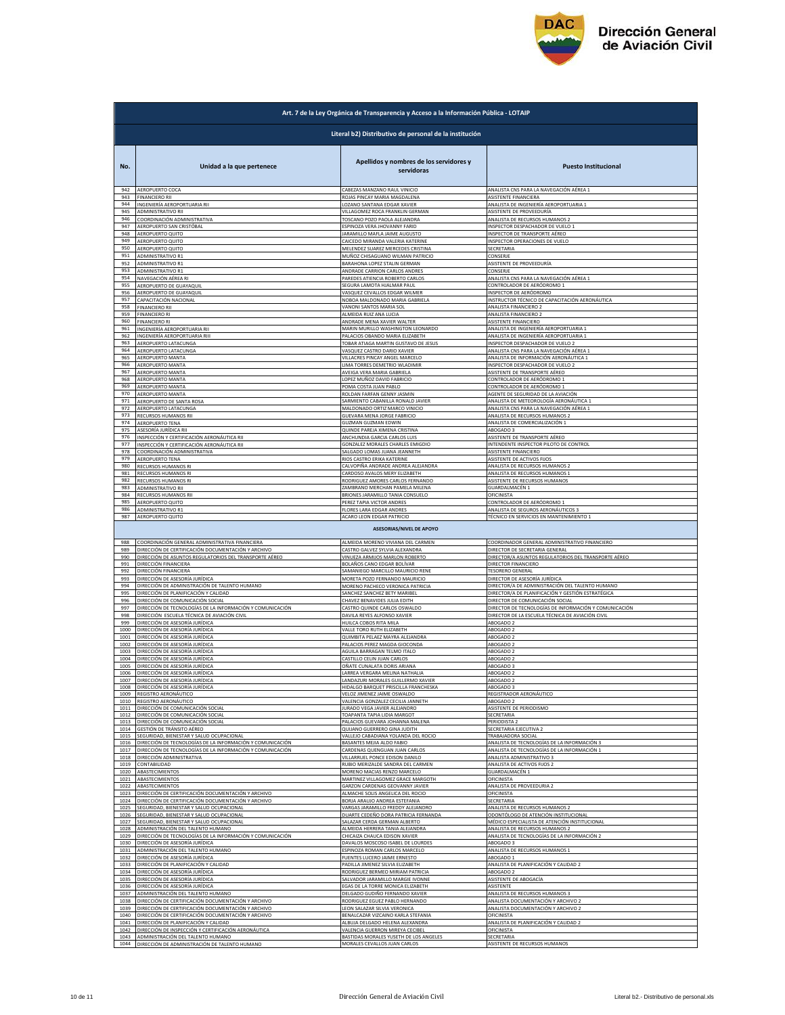

|                      | Art. 7 de la Ley Orgánica de Transparencia y Acceso a la Información Pública - LOTAIP                                                              |                                                                                                          |                                                                           |  |
|----------------------|----------------------------------------------------------------------------------------------------------------------------------------------------|----------------------------------------------------------------------------------------------------------|---------------------------------------------------------------------------|--|
|                      | Literal b2) Distributivo de personal de la institución                                                                                             |                                                                                                          |                                                                           |  |
| No.                  | Unidad a la que pertenece                                                                                                                          | Apellidos y nombres de los servidores y<br>servidoras                                                    | <b>Puesto Institucional</b>                                               |  |
| 942<br>943<br>944    | AEROPUERTO COCA<br>FINANCIERO RII                                                                                                                  | ABEZAS MANZANO RAUL VINICIO<br>ROJAS PINCAY MARIA MAGDALENA                                              | ANALISTA CNS PARA LA NAVEGACIÓN AÉREA 1<br>ASISTENTE FINANCIERA           |  |
| 945                  | INGENIERÍA AEROPORTUARIA RII                                                                                                                       | LOZANO SANTANA EDGAR XAVIER                                                                              | ANALISTA DE INGENIERÍA AEROPORTUARIA 1                                    |  |
|                      | <b>ADMINISTRATIVO RII</b>                                                                                                                          | VILLAGOMEZ ROCA FRANKLIN GERMAN                                                                          | ASISTENTE DE PROVEEDURÍA                                                  |  |
| 946                  | COORDINACIÓN ADMINISTRATIVA                                                                                                                        | TOSCANO POZO PAOLA ALEJANDRA                                                                             | ANALISTA DE RECURSOS HUMANOS 2                                            |  |
| 947                  | AEROPUERTO SAN CRISTÓBAL                                                                                                                           | ESPINOZA VERA JHOVANNY FARID                                                                             | INSPECTOR DESPACHADOR DE VUELO 1                                          |  |
| 948                  | AEROPUERTO QUITO                                                                                                                                   | JARAMILLO MAFLA JAIME AUGUSTO                                                                            | INSPECTOR DE TRANSPORTE AÉREO                                             |  |
| 949                  | AEROPUERTO QUITO                                                                                                                                   | CAICEDO MIRANDA VALERIA KATERINE                                                                         | INSPECTOR OPERACIONES DE VUELO                                            |  |
| 950                  | AEROPUERTO QUITO                                                                                                                                   | MELENDEZ SUAREZ MERCEDES CRISTINA                                                                        | SECRETARIA                                                                |  |
| 951                  | ADMINISTRATIVO R1                                                                                                                                  | MUÑOZ CHISAGUANO WILMAN PATRICIO                                                                         | CONSERJE                                                                  |  |
| 952                  | ADMINISTRATIVO R1                                                                                                                                  | BARAHONA LOPEZ STALIN GERMAN                                                                             | ASISTENTE DE PROVEEDURÍA                                                  |  |
| 953                  | ADMINISTRATIVO R1                                                                                                                                  | ANDRADE CARRION CARLOS ANDRES                                                                            | CONSERJE                                                                  |  |
| 954                  | NAVEGACIÓN AÉREA RI                                                                                                                                | PAREDES ATIENCIA ROBERTO CARLOS                                                                          | ANALISTA CNS PARA LA NAVEGACIÓN AÉREA 1                                   |  |
| 955                  | AEROPUERTO DE GUAYAQUIL                                                                                                                            | SEGURA LAMOTA HJALMAR PAUL                                                                               | CONTROLADOR DE AERÓDROMO :                                                |  |
| 956                  | AEROPUERTO DE GUAYAQUIL                                                                                                                            | VASQUEZ CEVALLOS EDGAR WILMER                                                                            | INSPECTOR DE AERÓDROMO                                                    |  |
| 957                  | <u>CAPACITACIÓN NACIONAL</u>                                                                                                                       | NOBOA MALDONADO MARIA GABRIELA                                                                           | INSTRUCTOR TÉCNICO DE CAPACITACIÓN AERONÁUTICA                            |  |
| 958                  | <b>FINANCIERO RII</b>                                                                                                                              | VANONI SANTOS MARIA SOL                                                                                  | ANALISTA FINANCIERO 2                                                     |  |
| 959                  | <b>FINANCIERO RI</b>                                                                                                                               | ALMEIDA RUIZ ANA LUCIA                                                                                   | ANALISTA FINANCIERO 2                                                     |  |
| 960                  | <b>FINANCIERO RI</b>                                                                                                                               | ANDRADE MENA XAVIER WALTER                                                                               | ASISTENTE FINANCIERO                                                      |  |
| 961                  | INGENIERÍA AEROPORTUARIA RII                                                                                                                       | MARIN MURILLO WASHINGTON LEONARDO                                                                        | ANALISTA DE INGENIERÍA AEROPORTUARIA 1                                    |  |
| 962                  | INGENIERÍA AEROPORTUARIA RIII                                                                                                                      | ALACIOS OBANDO MARIA ELIZABETH                                                                           | ANALISTA DE INGENIERÍA AEROPORTUARIA 1                                    |  |
| 963                  | AEROPUERTO LATACUNGA                                                                                                                               | TOBAR ATIAGA MARTIN GUSTAVO DE JESUS                                                                     | INSPECTOR DESPACHADOR DE VUELO 2                                          |  |
| 964                  | AEROPUERTO LATACUNGA                                                                                                                               | VASQUEZ CASTRO DARIO XAVIER                                                                              | ANALISTA CNS PARA LA NAVEGACIÓN AÉREA 1                                   |  |
| 965                  | <b>AEROPUERTO MANTA</b>                                                                                                                            | VILLACRES PINCAY ANGEL MARCELO                                                                           | ANALISTA DE INFORMACIÓN AERONÁUTICA 1                                     |  |
| 966                  | AEROPUERTO MANTA                                                                                                                                   | LIMA TORRES DEMETRIO WLADIMIR                                                                            | INSPECTOR DESPACHADOR DE VUELO 2                                          |  |
| 967                  | AEROPUERTO MANTA                                                                                                                                   | AVEIGA VERA MARIA GABRIELA                                                                               | ASISTENTE DE TRANSPORTE AÉREO                                             |  |
| 968                  | AEROPUERTO MANTA                                                                                                                                   | LOPEZ MUÑOZ DAVID FABRICIO                                                                               | CONTROLADOR DE AERÓDROMO 1                                                |  |
| 969                  | AEROPUERTO MANTA                                                                                                                                   | POMA COSTA JUAN PABLO                                                                                    | CONTROLADOR DE AERÓDROMO 1                                                |  |
| 970                  | AEROPUERTO MANTA                                                                                                                                   | ROLDAN FARFAN GENNY JASMIN                                                                               | AGENTE DE SEGURIDAD DE LA AVIACIÓN                                        |  |
| 971                  | AEROPUERTO DE SANTA ROSA                                                                                                                           | SARMIENTO CABANILLA RONALD JAVIER                                                                        | ANALISTA DE METEOROLOGÍA AERONÁUTICA 1                                    |  |
| 972<br>973           | <b>AEROPUERTO LATACUNGA</b>                                                                                                                        | MALDONADO ORTIZ MARCO VINICIO                                                                            | ANALISTA CNS PARA LA NAVEGACIÓN AÉREA 1<br>ANALISTA DE RECURSOS HUMANOS 2 |  |
| 974                  | RECURSOS HUMANOS RII                                                                                                                               | <b>GUEVARA MENA JORGE FABRICIO</b>                                                                       | ANALISTA DE COMERCIALIZACIÓN 1                                            |  |
| 975                  | <b>AEROPUERTO TENA</b>                                                                                                                             | <b>GUZMAN GUZMAN EDWIN</b>                                                                               |                                                                           |  |
| 976                  | ASESORÍA JURÍDICA RII                                                                                                                              | QUINDE PAREJA XIMENA CRISTINA                                                                            | ABOGADO 3                                                                 |  |
| 977                  | INSPECCIÓN Y CERTIFICACIÓN AERONÁUTICA RII                                                                                                         | ANCHUNDIA GARCIA CARLOS LUIS                                                                             | ASISTENTE DE TRANSPORTE AÉREO                                             |  |
| 978                  | INSPECCIÓN Y CERTIFICACIÓN AERONÁUTICA RII                                                                                                         | GONZALEZ MORALES CHARLES EMIGDIO                                                                         | INTENDENTE INSPECTOR PILOTO DE CONTROL                                    |  |
|                      | COORDINACIÓN ADMINISTRATIVA                                                                                                                        | SALGADO LOMAS JUANA JEANNETH                                                                             | ASISTENTE FINANCIERO                                                      |  |
| 979                  | AEROPUERTO TENA                                                                                                                                    | RIOS CASTRO ERIKA KATERINE                                                                               | ASISTENTE DE ACTIVOS FIJOS                                                |  |
| 980                  | RECURSOS HUMANOS RI                                                                                                                                | CALVOPIÑA ANDRADE ANDREA ALEJANDRA                                                                       | ANALISTA DE RECURSOS HUMANOS 2                                            |  |
| 981                  | <b>RECURSOS HUMANOS RI</b>                                                                                                                         | CARDOSO AVALOS MERY ELIZABETH                                                                            | ANALISTA DE RECURSOS HUMANOS                                              |  |
| 982                  | <b>RECURSOS HUMANOS RI</b>                                                                                                                         | RODRIGUEZ AMORES CARLOS FERNANDO                                                                         | ASISTENTE DE RECURSOS HUMANOS                                             |  |
| 983                  | ADMINISTRATIVO RII                                                                                                                                 | ZAMBRANO MERCHAN PAMELA MILENA                                                                           | GUARDALMACÉN 1                                                            |  |
| 984                  | RECURSOS HUMANOS RII                                                                                                                               | BRIONES JARAMILLO TANIA CONSUELO                                                                         | OFICINISTA                                                                |  |
| 985                  | AEROPUERTO QUITO                                                                                                                                   | PEREZ TAPIA VICTOR ANDRES                                                                                | CONTROLADOR DE AERÓDROMO 1                                                |  |
| 986                  | ADMINISTRATIVO R1                                                                                                                                  | <b>FLORES LARA EDGAR ANDRES</b>                                                                          | ANALISTA DE SEGUROS AERONÁUTICOS 3                                        |  |
| 987                  | AEROPUERTO QUITO                                                                                                                                   | ACARO LEON EDGAR PATRICIO<br><b>ASESORIAS/NIVEL DE APOYO</b>                                             | TÉCNICO EN SERVICIOS EN MANTENIMIENTO 1                                   |  |
| 988                  | COORDINACIÓN GENERAL ADMINISTRATIVA FINANCIERA                                                                                                     | ALMEIDA MORENO VIVIANA DEL CARMEN                                                                        | COORDINADOR GENERAL ADMINISTRATIVO FINANCIERO                             |  |
| 989                  | DIRECCIÓN DE CERTIFICACIÓN DOCUMENTACIÓN Y ARCHIVO                                                                                                 | CASTRO GALVEZ SYLVIA ALEXANDRA                                                                           | DIRECTOR DE SECRETARIA GENERAL                                            |  |
| 990                  | DIRECCIÓN DE ASUNTOS REGULATORIOS DEL TRANSPORTE AÉREO                                                                                             | VINUEZA ARMIJOS MARLON ROBERTO                                                                           | DIRECTOR/A ASUNTOS REGULATORIOS DEL TRANSPORTE AÉREO                      |  |
| 991                  | DIRECCIÓN FINANCIERA                                                                                                                               | BOLAÑOS CANO EDGAR BOLÍVAR                                                                               | DIRECTOR FINANCIERO                                                       |  |
| 992                  | DIRECCIÓN FINANCIERA                                                                                                                               | SAMANIEGO MARCILLO MAURICIO RENE                                                                         | <b>TESORERO GENERAL</b>                                                   |  |
| 993                  | DIRECCIÓN DE ASESORÍA JURÍDICA                                                                                                                     | MORETA POZO FERNANDO MAURICIO                                                                            | DIRECTOR DE ASESORÍA JURÍDICA                                             |  |
| 994                  | DIRECCIÓN DE ADMINISTRACIÓN DE TALENTO HUMANO                                                                                                      | MORENO PACHECO VERONICA PATRICIA                                                                         | DIRECTOR/A DE ADMINISTRACIÓN DEL TALENTO HUMANO                           |  |
| 995                  | DIRECCIÓN DE PLANIFICACIÓN Y CALIDAD                                                                                                               | SANCHEZ SANCHEZ BETY MARIBEL                                                                             | DIRECTOR/A DE PLANIFICACIÓN Y GESTIÓN ESTRATÉGICA                         |  |
| 996                  | DIRECCIÓN DE COMUNICACIÓN SOCIAL                                                                                                                   | CHAVEZ BENAVIDES JULIA EDITH                                                                             | DIRECTOR DE COMUNICACIÓN SOCIAL                                           |  |
| 997                  | DIRECCIÓN DE TECNOLOGÍAS DE LA INFORMACIÓN Y COMUNICACIÓN                                                                                          | CASTRO QUINDE CARLOS OSWALDO                                                                             | DIRECTOR DE TECNOLOGÍAS DE INFORMACIÓN Y COMUNICACIÓN                     |  |
| 998                  | DIRECCIÓN ESCUELA TÉCNICA DE AVIACIÓN CIVIL                                                                                                        | DAVILA REYES ALFONSO XAVIER                                                                              | DIRECTOR DE LA ESCUELA TÉCNICA DE AVIACIÓN CIVIL                          |  |
| 999                  | DIRECCIÓN DE ASESORÍA JURÍDICA                                                                                                                     | HUILCA COBOS RITA MILA                                                                                   | ABOGADO 2                                                                 |  |
| 1000                 | DIRECCIÓN DE ASESORÍA JURÍDICA                                                                                                                     | VALLE TORO RUTH ELIZABETH                                                                                | ABOGADO 2                                                                 |  |
| 1001                 | DIRECCIÓN DE ASESORÍA JURÍDICA                                                                                                                     | QUIMBITA PELAEZ MAYRA ALEJANDRA                                                                          | ABOGADO 2                                                                 |  |
| 1002                 | DIRECCIÓN DE ASESORÍA JURÍDICA                                                                                                                     |                                                                                                          | ABOGADO 2                                                                 |  |
| 1003<br>1004         | DIRECCIÓN DE ASESORÍA JURÍDICA                                                                                                                     | PALACIOS PEREZ MAGDA GIOCONDA<br>AGUILA BARRAGAN TELMO ITALO<br>CASTILLO CELIN JUAN CARLOS               | ABOGADO 2                                                                 |  |
| 1005<br>1006         | DIRECCIÓN DE ASESORÍA JURÍDICA<br>DIRECCIÓN DE ASESORÍA JURÍDICA<br>DIRECCIÓN DE ASESORÍA IURÍDICA                                                 | OÑATE CUNALATA DORIS ARIANA<br><b>ARREA VERGARA MELINA NATHAL</b>                                        | ABOGADO 2<br>ABOGADO 3<br>AROGADO 2                                       |  |
| 1007                 | DIRECCIÓN DE ASESORÍA JURÍDICA                                                                                                                     | ANDAZURI MORALES GUILLERMO XAVIER                                                                        | ABOGADO 2<br>ABOGADO 3                                                    |  |
| 1008<br>1009         | DIRECCIÓN DE ASESORÍA JURÍDICA<br>REGISTRO AERONÁUTICO<br>REGISTRO AERONÁUTICO                                                                     | HIDALGO BARQUET PRISCILLA FRANCHESKA<br>VELOZ JIMENEZ JAIME OSWALDO<br>VALENCIA GONZALEZ CECILIA JANNETH | REGISTRADOR AERONÁUTICO                                                   |  |
| 1010<br>1011<br>1012 | DIRECCIÓN DE COMUNICACIÓN SOCIAL<br>DIRECCIÓN DE COMUNICACIÓN SOCIAL                                                                               | JURADO VEGA JAVIER ALEJANDRI<br>TOAPANTA TAPIA LIDIA MARGOT                                              | ABOGADO 2<br>ASISTENTE DE PERIODISMO<br>SECRETARIA                        |  |
| 1013                 | DIRECCIÓN DE COMUNICACIÓN SOCIAL                                                                                                                   | PALACIOS GUEVARA JOHANNA MALENA<br>OUIJANO GUERRERO GINA JUDITH                                          | PERIODISTA 2<br>SECRETARIA EJECUTIVA 2                                    |  |
| 1014                 | GESTIÓN DE TRÁNSITO AÉREO                                                                                                                          | VALLEJO CABADIANA YOLANDA DEL ROCIO                                                                      | TRABAJADORA SOCIAL                                                        |  |
| 1015                 | SEGURIDAD, BIENESTAR Y SALUD OCUPACIONAL                                                                                                           |                                                                                                          | ANALISTA DE TECNOLOGÍAS DE LA INFORMACIÓN 3                               |  |
| 1016<br>1017<br>1018 | DIRECCIÓN DE TECNOLOGÍAS DE LA INFORMACIÓN Y COMUNICACIÓN<br>DIRECCIÓN DE TECNOLOGÍAS DE LA INFORMACIÓN Y COMUNICACIÓN<br>DIRECCIÓN ADMINISTRATIVA | BASANTES MEJIA ALDO FABIO<br>CARDENAS QUENGUAN JUAN CARLOS<br>VILLARRUEL PONCE EDISON DANILO             | ANALISTA DE TECNOLOGÍAS DE LA INFORMACIÓN 1<br>ANALISTA ADMINISTRATIVO 3  |  |
| 1019                 | CONTABILIDAD                                                                                                                                       | RUBIO MERIZALDE SANDRA DEL CARMEN                                                                        | ANALISTA DE ACTIVOS FIJOS 2                                               |  |
| 1020                 | ABASTECIMIENTOS                                                                                                                                    | MORENO MACIAS RENZO MARCELO                                                                              | GUARDALMACÉN 1                                                            |  |
| 1021                 | ABASTECIMIENTOS                                                                                                                                    | MARTINEZ VILLAGOMEZ GRACE MARGOTH                                                                        | OFICINISTA                                                                |  |
| 1022                 | ABASTECIMIENTOS                                                                                                                                    | GARZON CARDENAS GEOVANNY JAVIER                                                                          | ANALISTA DE PROVEEDURIA 2                                                 |  |
| 1023                 | DIRECCIÓN DE CERTIFICACIÓN DOCUMENTACIÓN Y ARCHIVO                                                                                                 | ALMACHE SOLIS ANGELICA DEL ROCIO                                                                         | OFICINISTA                                                                |  |
| 1024                 | DIRECCIÓN DE CERTIFICACIÓN DOCUMENTACIÓN Y ARCHIVO                                                                                                 | BORJA ARAUJO ANDREA ESTEFANIA                                                                            | SECRETARIA                                                                |  |
| 1025                 | SEGURIDAD, BIENESTAR Y SALUD OCUPACIONAL                                                                                                           | VARGAS JARAMILLO FREDDY ALEJANDRO                                                                        | ANALISTA DE RECURSOS HUMANOS 2                                            |  |
| 1026                 | SEGURIDAD, BIENESTAR Y SALUD OCUPACIONAL                                                                                                           | DUARTE CEDEÑO DORA PATRICIA FERNANDA                                                                     | ODONTÓLOGO DE ATENCIÓN INSTITUCIONAL                                      |  |
| 1027                 | SEGURIDAD, BIENESTAR Y SALUD OCUPACIONAL                                                                                                           | SALAZAR CERDA GERMAN ALBERTO                                                                             | MÉDICO ESPECIALISTA DE ATENCIÓN INSTITUCIONAL                             |  |
| 1028                 | ADMINISTRACIÓN DEL TALENTO HUMANO                                                                                                                  | ALMEIDA HERRERA TANIA ALEJANDRA                                                                          | ANALISTA DE RECURSOS HUMANOS 2                                            |  |
| 1029                 | DIRECCIÓN DE TECNOLOGÍAS DE LA INFORMACIÓN Y COMUNICACIÓN                                                                                          | <b>CHICAIZA CHAUCA EDISON XAVIER</b>                                                                     | ANALISTA DE TECNOLOGÍAS DE LA INFORMACIÓN 2                               |  |
| 1030                 | DIRECCIÓN DE ASESORÍA JURÍDICA                                                                                                                     | DAVALOS MOSCOSO ISABEL DE LOURDES                                                                        | ABOGADO 3                                                                 |  |
| 1031                 | ADMINISTRACIÓN DEL TALENTO HUMANO                                                                                                                  | ESPINOZA ROMAN CARLOS MARCELO                                                                            | ANALISTA DE RECURSOS HUMANOS 1                                            |  |
| 1032                 | DIRECCIÓN DE ASESORÍA JURÍDICA                                                                                                                     | FUENTES LUCERO JAIME ERNESTO                                                                             | ABOGADO 1                                                                 |  |
| 1033                 | DIRECCIÓN DE PLANIFICACIÓN Y CALIDAD                                                                                                               | PADILLA JIMENEZ SILVIA ELIZABETH                                                                         | ANALISTA DE PLANIFICACIÓN Y CALIDAD 2                                     |  |
| 1034                 | DIRECCIÓN DE ASESORÍA JURÍDICA                                                                                                                     | RODRIGUEZ BERMEO MIRIAM PATRICIA                                                                         | ABOGADO 2                                                                 |  |
| 1035                 | DIRECCIÓN DE ASESORÍA JURÍDICA                                                                                                                     | SALVADOR JARAMILLO MARGIE IVONNE                                                                         | ASISTENTE DE ABOGACÍA                                                     |  |
| 1036                 | DIRECCIÓN DE ASESORÍA JURÍDICA                                                                                                                     | EGAS DE LA TORRE MONICA ELIZABETH                                                                        | <b>ASISTENTE</b>                                                          |  |
| 1037                 | ADMINISTRACIÓN DEL TALENTO HUMANO                                                                                                                  | DELGADO GUDIÑO FERNANDO XAVIER                                                                           | ANALISTA DE RECURSOS HUMANOS 3                                            |  |
| 1038                 | DIRECCIÓN DE CERTIFICACIÓN DOCUMENTACIÓN Y ARCHIVO                                                                                                 | RODRIGUEZ EGUEZ PABLO HERNANDO                                                                           | ANALISTA DOCUMENTACIÓN Y ARCHIVO 2                                        |  |
| 1039                 | DIRECCIÓN DE CERTIFICACIÓN DOCUMENTACIÓN Y ARCHIVO                                                                                                 | LEON SALAZAR SILVIA VERONICA                                                                             | ANALISTA DOCUMENTACIÓN Y ARCHIVO 2                                        |  |
| 1040                 | DIRECCIÓN DE CERTIFICACIÓN DOCUMENTACIÓN Y ARCHIVO                                                                                                 | BENALCAZAR VIZCAINO KARLA STEFANIA                                                                       | OFICINISTA                                                                |  |
| 1041                 | DIRECCIÓN DE PLANIFICACIÓN Y CALIDAD                                                                                                               | ALBUJA DELGADO HELENA ALEXANDRA                                                                          | ANALISTA DE PLANIFICACIÓN Y CALIDAD 2                                     |  |
| 1042                 | DIRECCIÓN DE INSPECCIÓN Y CERTIFICACIÓN AERONÁUTICA                                                                                                | VALENCIA GUERRON MIREYA CECIBEL                                                                          | <b>OFICINISTA</b>                                                         |  |
| 1043                 | ADMINISTRACIÓN DEL TALENTO HUMANO                                                                                                                  | BASTIDAS MORALES YUSETH DE LOS ANGELES                                                                   | SECRETARIA                                                                |  |
|                      | 1044 DIRECCIÓN DE ADMINISTRACIÓN DE TALENTO HUMANO                                                                                                 | MORALES CEVALLOS JUAN CARLOS                                                                             | ASISTENTE DE RECURSOS HUMANOS                                             |  |